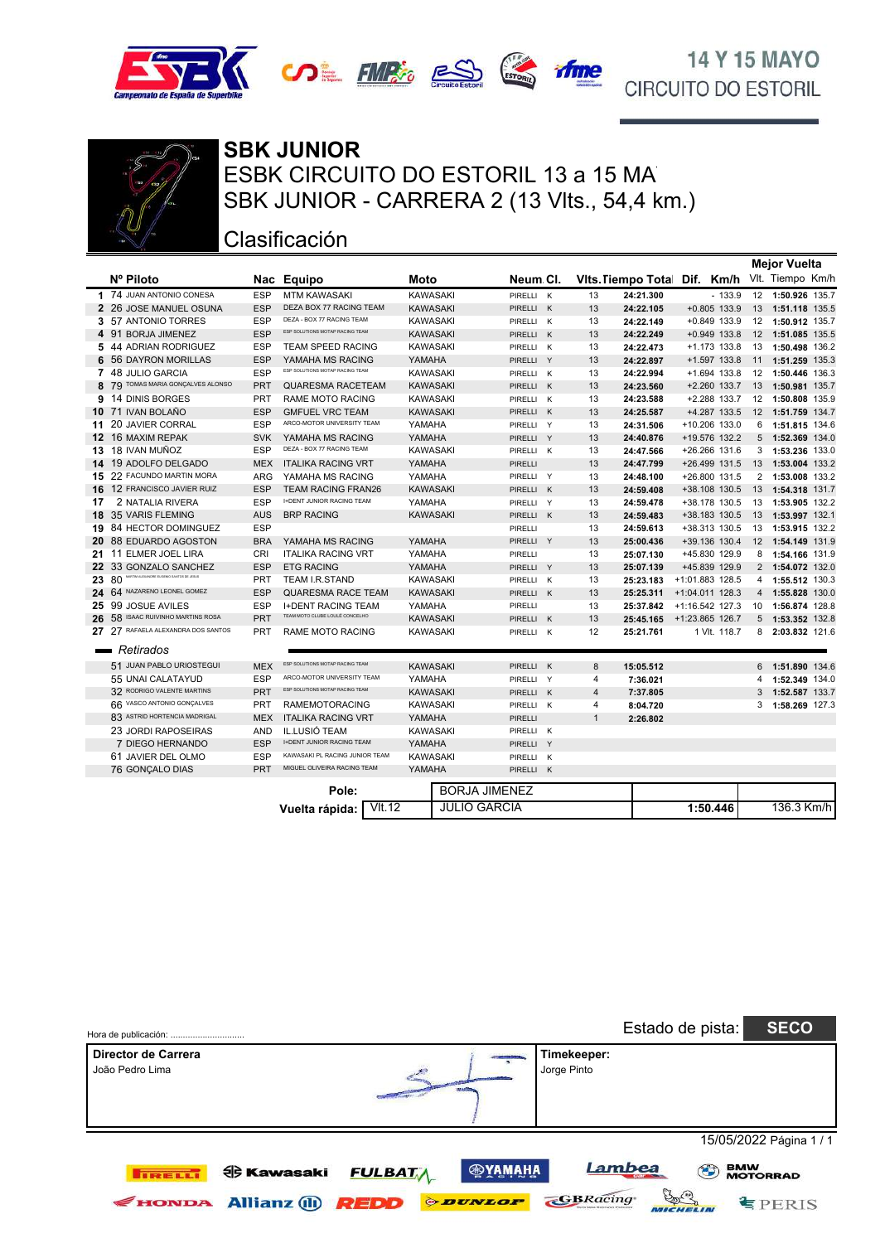





### ESBK CIRCUITO DO ESTORIL 13 a 15 MA **SBK JUNIOR** SBK JUNIOR - CARRERA 2 (13 Vlts., 54,4 km.)

### Clasificación

|               |                                                   |            |                                  |                 |                      |   |                |                           |      |                   |                | <b>Mejor Vuelta</b> |  |
|---------------|---------------------------------------------------|------------|----------------------------------|-----------------|----------------------|---|----------------|---------------------------|------|-------------------|----------------|---------------------|--|
|               | Nº Piloto                                         |            | Nac Equipo                       | Moto            | Neum Cl.             |   |                | <b>Vits. Tiempo Total</b> | Dif. | Km/h              |                | Vlt. Tiempo Km/h    |  |
|               | 1 74 JUAN ANTONIO CONESA                          | <b>ESP</b> | <b>MTM KAWASAKI</b>              | <b>KAWASAKI</b> | PIRELLI K            |   | 13             | 24:21.300                 |      | $-133.9$          |                | 12 1:50.926 135.7   |  |
|               | 2 26 JOSE MANUEL OSUNA                            | <b>ESP</b> | DEZA BOX 77 RACING TEAM          | <b>KAWASAKI</b> | PIRELLI K            |   | 13             | 24:22.105                 |      | $+0.805$ 133.9    |                | 13 1:51.118 135.5   |  |
|               | 3 57 ANTONIO TORRES                               | <b>ESP</b> | DEZA - BOX 77 RACING TEAM        | <b>KAWASAKI</b> | PIRELLI K            |   | 13             | 24:22.149                 |      | $+0.849$ 133.9    |                | 12 1:50.912 135.7   |  |
|               | 4 91 BORJA JIMENEZ                                | <b>ESP</b> | ESP SOLUTIONS MOTAP RACING TEAM  | <b>KAWASAKI</b> | PIRELLI K            |   | 13             | 24:22.249                 |      | $+0.949$ 133.8    |                | 12 1:51.085 135.5   |  |
|               | 5 44 ADRIAN RODRIGUEZ                             | <b>ESP</b> | <b>TEAM SPEED RACING</b>         | <b>KAWASAKI</b> | PIRELLI K            |   | 13             | 24:22.473                 |      | $+1.173$ 133.8    |                | 13 1:50.498 136.2   |  |
|               | <b>6 56 DAYRON MORILLAS</b>                       | <b>ESP</b> | YAMAHA MS RACING                 | YAMAHA          | PIRELLI Y            |   | 13             | 24:22.897                 |      | +1.597 133.8      | 11             | 1:51.259 135.3      |  |
|               | 7 48 JULIO GARCIA                                 | <b>ESP</b> | ESP SOLUTIONS MOTAP RACING TEAM  | <b>KAWASAKI</b> | PIRELLI K            |   | 13             | 24:22.994                 |      | +1.694 133.8      |                | 12 1:50.446 136.3   |  |
|               | 8 79 TOMAS MARIA GONÇALVES ALONSO                 | <b>PRT</b> | QUARESMA RACETEAM                | <b>KAWASAKI</b> | PIRELLI K            |   | 13             | 24:23.560                 |      | $+2.260$ 133.7    | 13             | 1:50.981 135.7      |  |
|               | 9 14 DINIS BORGES                                 | <b>PRT</b> | <b>RAME MOTO RACING</b>          | <b>KAWASAKI</b> | PIRELLI K            |   | 13             | 24:23.588                 |      | +2.288 133.7      |                | 12 1:50.808 135.9   |  |
|               | 10 71 IVAN BOLAÑO                                 | <b>ESP</b> | <b>GMFUEL VRC TEAM</b>           | <b>KAWASAKI</b> | PIRELLI K            |   | 13             | 24:25.587                 |      | +4.287 133.5      |                | 12 1:51.759 134.7   |  |
|               | 11 20 JAVIER CORRAL                               | <b>ESP</b> | ARCO-MOTOR UNIVERSITY TEAM       | YAMAHA          | PIRELLI Y            |   | 13             | 24:31.506                 |      | +10.206 133.0     | 6              | 1:51.815 134.6      |  |
|               | 12 16 MAXIM REPAK                                 | <b>SVK</b> | YAMAHA MS RACING                 | YAMAHA          | PIRELLI Y            |   | 13             | 24:40.876                 |      | +19.576 132.2     |                | 5 1:52.369 134.0    |  |
|               | 13 18 IVAN MUÑOZ                                  | <b>ESP</b> | DEZA - BOX 77 RACING TEAM        | <b>KAWASAKI</b> | PIRELLI K            |   | 13             | 24:47.566                 |      | +26.266 131.6     | 3              | 1:53.236 133.0      |  |
|               | 14 19 ADOLFO DELGADO                              | <b>MEX</b> | <b>ITALIKA RACING VRT</b>        | YAMAHA          | <b>PIRELLI</b>       |   | 13             | 24:47.799                 |      | $+26.499$ 131.5   | 13             | 1:53.004 133.2      |  |
|               | 15 22 FACUNDO MARTIN MORA                         | <b>ARG</b> | YAMAHA MS RACING                 | YAMAHA          | PIRELLI Y            |   | 13             | 24:48.100                 |      | +26.800 131.5     | $\overline{2}$ | 1:53.008 133.2      |  |
|               | 16 12 FRANCISCO JAVIER RUIZ                       | <b>ESP</b> | <b>TEAM RACING FRAN26</b>        | <b>KAWASAKI</b> | PIRELLI K            |   | 13             | 24:59.408                 |      | +38.108 130.5     | 13             | 1:54.318 131.7      |  |
| 17            | 2 NATALIA RIVERA                                  | <b>ESP</b> | <b>I+DENT JUNIOR RACING TEAM</b> | YAMAHA          | PIRELLI Y            |   | 13             | 24:59.478                 |      | +38.178 130.5     | 13             | 1:53.905 132.2      |  |
|               | 18 35 VARIS FLEMING                               | <b>AUS</b> | <b>BRP RACING</b>                | <b>KAWASAKI</b> | PIRELLI K            |   | 13             | 24:59.483                 |      | +38.183 130.5     | 13             | 1:53.997 132.1      |  |
|               | 19 84 HECTOR DOMINGUEZ                            | <b>ESP</b> |                                  |                 | PIRELLI              |   | 13             | 24:59.613                 |      | +38.313 130.5     | 13             | 1:53.915 132.2      |  |
|               | 20 88 EDUARDO AGOSTON                             | <b>BRA</b> | YAMAHA MS RACING                 | YAMAHA          | PIRELLI Y            |   | 13             | 25:00.436                 |      | +39.136 130.4     |                | 12 1:54.149 131.9   |  |
|               | 21 11 ELMER JOEL LIRA                             | <b>CRI</b> | <b>ITALIKA RACING VRT</b>        | YAMAHA          | <b>PIRELLI</b>       |   | 13             | 25:07.130                 |      | +45.830 129.9     | 8              | 1:54.166 131.9      |  |
|               | 22 33 GONZALO SANCHEZ                             | <b>ESP</b> | <b>ETG RACING</b>                | YAMAHA          | PIRELLI Y            |   | 13             | 25:07.139                 |      | +45.839 129.9     |                | 2 1:54.072 132.0    |  |
|               | MARTIM ALEXANDRE EUGENIO SANTOS DE JESUS<br>23 80 | <b>PRT</b> | <b>TEAM I.R.STAND</b>            | <b>KAWASAKI</b> | PIRELLI K            |   | 13             | 25:23.183                 |      | +1:01.883 128.5   |                | 4 1:55.512 130.3    |  |
|               | 24 64 NAZARENO LEONEL GOMEZ                       | <b>ESP</b> | <b>QUARESMA RACE TEAM</b>        | <b>KAWASAKI</b> | PIRELLI K            |   | 13             | 25:25.311                 |      | +1:04.011 128.3   | $\overline{4}$ | 1:55.828 130.0      |  |
|               | 25 99 JOSUE AVILES                                | <b>ESP</b> | <b>I+DENT RACING TEAM</b>        | YAMAHA          | PIRELLI              |   | 13             | 25:37.842                 |      | $+1:16.542$ 127.3 | 10             | 1:56.874 128.8      |  |
| 26            | 58 ISAAC RUIVINHO MARTINS ROSA                    | PRT        | TEAM MOTO CLUBE LOULÉ CONCELHO   | <b>KAWASAKI</b> | PIRELLI              | K | 13             | 25:45.165                 |      | +1:23.865 126.7   | 5              | 1:53.352 132.8      |  |
|               | 27 27 RAFAELA ALEXANDRA DOS SANTOS                | <b>PRT</b> | <b>RAME MOTO RACING</b>          | <b>KAWASAKI</b> | PIRELLI K            |   | 12             | 25:21.761                 |      | 1 VIt. 118.7      | 8              | 2:03.832 121.6      |  |
|               |                                                   |            |                                  |                 |                      |   |                |                           |      |                   |                |                     |  |
| <b>The Co</b> | Retirados                                         |            |                                  |                 |                      |   |                |                           |      |                   |                |                     |  |
|               | 51 JUAN PABLO URIOSTEGUI                          | <b>MEX</b> | ESP SOLUTIONS MOTAP RACING TEAM  | <b>KAWASAKI</b> | PIRELLI K            |   | 8              | 15:05.512                 |      |                   |                | 6 1:51.890 134.6    |  |
|               | 55 UNAI CALATAYUD                                 | <b>ESP</b> | ARCO-MOTOR UNIVERSITY TEAM       | YAMAHA          | PIRELLI Y            |   | 4              | 7:36.021                  |      |                   | 4              | 1:52.349 134.0      |  |
|               | 32 RODRIGO VALENTE MARTINS                        | <b>PRT</b> | ESP SOLUTIONS MOTAP RACING TEAM  | <b>KAWASAKI</b> | PIRELLI K            |   | $\overline{4}$ | 7:37.805                  |      |                   | 3              | 1:52.587 133.7      |  |
|               | 66 VASCO ANTONIO GONÇALVES                        | <b>PRT</b> | RAMEMOTORACING                   | <b>KAWASAKI</b> | PIRELLI K            |   | 4              | 8:04.720                  |      |                   | 3              | 1:58.269 127.3      |  |
|               | 83 ASTRID HORTENCIA MADRIGAL                      | <b>MEX</b> | <b>ITALIKA RACING VRT</b>        | YAMAHA          | PIRELLI              |   | $\mathbf{1}$   | 2:26.802                  |      |                   |                |                     |  |
|               | <b>23 JORDI RAPOSEIRAS</b>                        | <b>AND</b> | <b>IL.LUSIO TEAM</b>             | <b>KAWASAKI</b> | PIRELLI K            |   |                |                           |      |                   |                |                     |  |
|               | 7 DIEGO HERNANDO                                  | <b>ESP</b> | <b>I+DENT JUNIOR RACING TEAM</b> | YAMAHA          | PIRELLI Y            |   |                |                           |      |                   |                |                     |  |
|               | 61 JAVIER DEL OLMO                                | ESP        | KAWASAKI PL RACING JUNIOR TEAM   | <b>KAWASAKI</b> | PIRELLI K            |   |                |                           |      |                   |                |                     |  |
|               | 76 GONÇALO DIAS                                   | <b>PRT</b> | MIGUEL OLIVEIRA RACING TEAM      | YAMAHA          | PIRELLI K            |   |                |                           |      |                   |                |                     |  |
|               |                                                   |            | Pole:                            |                 | <b>BORJA JIMENEZ</b> |   |                |                           |      |                   |                |                     |  |
|               |                                                   |            | $\overline{\text{V}}$ 12         |                 | <b>JULIO GARCIA</b>  |   |                |                           |      | 1:50.446          |                | 136.3 Km/h          |  |
|               |                                                   |            | Vuelta rápida:                   |                 |                      |   |                |                           |      |                   |                |                     |  |

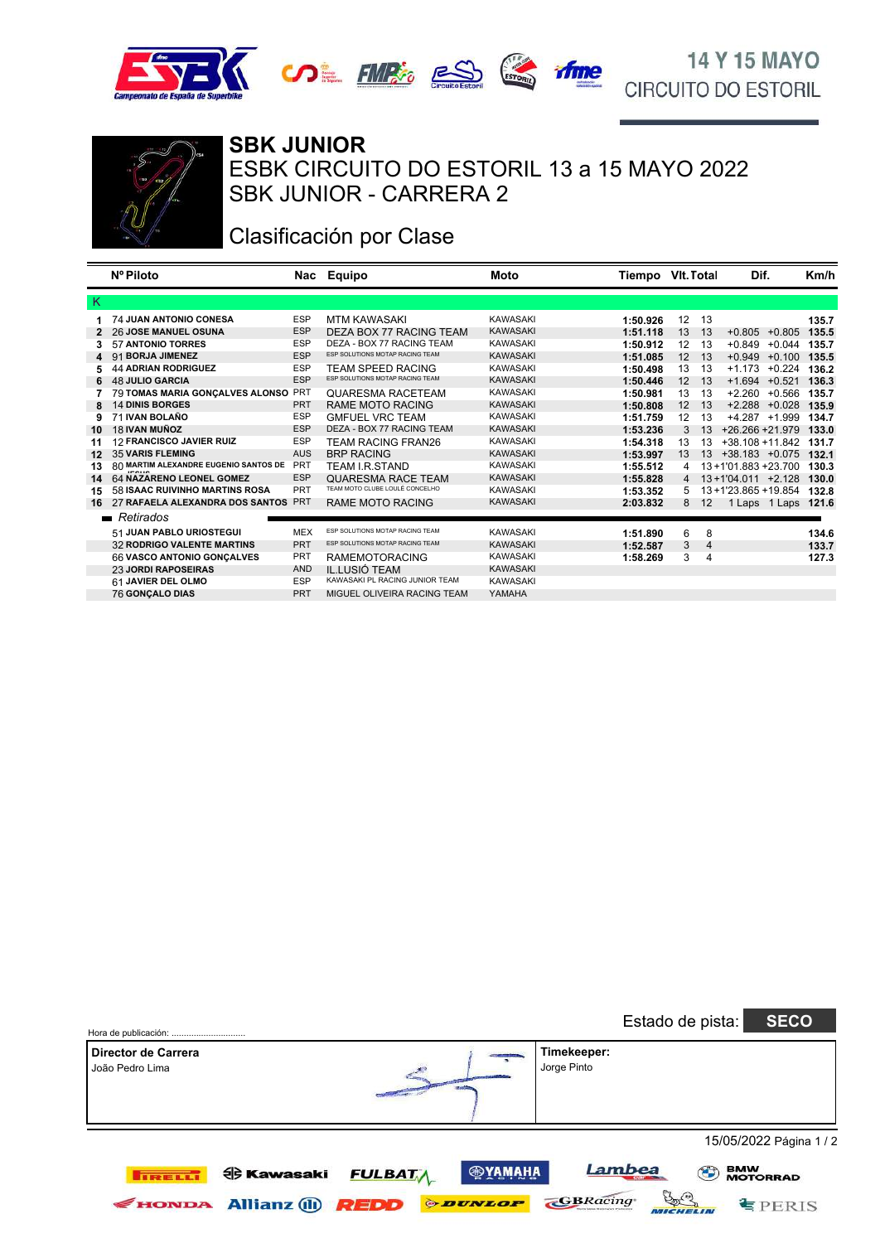





### Clasificación por Clase

|    | Nº Piloto                                       |            | Nac Equipo                      | Moto            | Tiempo VIt. Total |    |    | Dif.                 |          | Km/h  |
|----|-------------------------------------------------|------------|---------------------------------|-----------------|-------------------|----|----|----------------------|----------|-------|
| -K |                                                 |            |                                 |                 |                   |    |    |                      |          |       |
|    | <b>74 JUAN ANTONIO CONESA</b>                   | <b>ESP</b> | <b>MTM KAWASAKI</b>             | <b>KAWASAKI</b> | 1:50.926          | 12 | 13 |                      |          | 135.7 |
| 2  | <b>26 JOSE MANUEL OSUNA</b>                     | <b>ESP</b> | DEZA BOX 77 RACING TEAM         | <b>KAWASAKI</b> | 1:51.118          | 13 | 13 | $+0.805$             | $+0.805$ | 135.5 |
|    | <b>57 ANTONIO TORRES</b>                        | <b>ESP</b> | DEZA - BOX 77 RACING TEAM       | <b>KAWASAKI</b> | 1:50.912          | 12 | 13 | $+0.849$             | $+0.044$ | 135.7 |
| 4  | 91 BORJA JIMENEZ                                | <b>ESP</b> | ESP SOLUTIONS MOTAP RACING TEAM | <b>KAWASAKI</b> | 1:51.085          | 12 | 13 | $+0.949$             | $+0.100$ | 135.5 |
|    | <b>44 ADRIAN RODRIGUEZ</b>                      | <b>ESP</b> | TEAM SPEED RACING               | <b>KAWASAKI</b> | 1:50.498          | 13 | 13 | $+1.173$             | $+0.224$ | 136.2 |
| 6  | <b>48 JULIO GARCIA</b>                          | <b>ESP</b> | ESP SOLUTIONS MOTAP RACING TEAM | <b>KAWASAKI</b> | 1:50.446          | 12 | 13 | $+1.694$             | $+0.521$ | 136.3 |
|    | 79 TOMAS MARIA GONÇALVES ALONSO                 | <b>PRT</b> | QUARESMA RACETEAM               | <b>KAWASAKI</b> | 1:50.981          | 13 | 13 | $+2.260$             | $+0.566$ | 135.7 |
| 8  | <b>14 DINIS BORGES</b>                          | <b>PRT</b> | <b>RAME MOTO RACING</b>         | <b>KAWASAKI</b> | 1:50.808          | 12 | 13 | $+2.288 + 0.028$     |          | 135.9 |
| 9  | 71 IVAN BOLAÑO                                  | <b>ESP</b> | <b>GMFUEL VRC TEAM</b>          | <b>KAWASAKI</b> | 1:51.759          | 12 | 13 | +4.287 +1.999        |          | 134.7 |
| 10 | 18 IVAN MUÑOZ                                   | <b>ESP</b> | DEZA - BOX 77 RACING TEAM       | <b>KAWASAKI</b> | 1:53.236          | 3  | 13 | +26.266 +21.979      |          | 133.0 |
| 11 | <b>12 FRANCISCO JAVIER RUIZ</b>                 | <b>ESP</b> | TEAM RACING FRAN26              | <b>KAWASAKI</b> | 1:54.318          | 13 | 13 | $+38.108 + 11.842$   |          | 131.7 |
| 12 | <b>35 VARIS FLEMING</b>                         | <b>AUS</b> | <b>BRP RACING</b>               | <b>KAWASAKI</b> | 1:53.997          | 13 | 13 | $+38.183$ $+0.075$   |          | 132.1 |
| 13 | 80 MARTIM ALEXANDRE EUGENIO SANTOS DE<br>100110 | <b>PRT</b> | TEAM I.R.STAND                  | <b>KAWASAKI</b> | 1:55.512          | 4  |    | 13+1'01.883 +23.700  |          | 130.3 |
| 14 | 64 NAZARENO LEONEL GOMEZ                        | <b>ESP</b> | <b>QUARESMA RACE TEAM</b>       | <b>KAWASAKI</b> | 1:55.828          | 4  |    | $13+1'04.011$ +2.128 |          | 130.0 |
| 15 | 58 ISAAC RUIVINHO MARTINS ROSA                  | <b>PRT</b> | TEAM MOTO CLUBE LOULÉ CONCELHO  | <b>KAWASAKI</b> | 1:53.352          | 5  |    | 13+1'23.865 +19.854  |          | 132.8 |
| 16 | 27 RAFAELA ALEXANDRA DOS SANTOS                 | <b>PRT</b> | <b>RAME MOTO RACING</b>         | <b>KAWASAKI</b> | 2:03.832          | 8  | 12 | 1 Laps 1 Laps        |          | 121.6 |
|    | $\blacksquare$ Retirados                        |            |                                 |                 |                   |    |    |                      |          |       |
|    | 51 JUAN PABLO URIOSTEGUI                        | <b>MEX</b> | ESP SOLUTIONS MOTAP RACING TEAM | <b>KAWASAKI</b> | 1:51.890          | 6  | 8  |                      |          | 134.6 |
|    | <b>32 RODRIGO VALENTE MARTINS</b>               | <b>PRT</b> | ESP SOLUTIONS MOTAP RACING TEAM | <b>KAWASAKI</b> | 1:52.587          | 3  | 4  |                      |          | 133.7 |
|    | 66 VASCO ANTONIO GONCALVES                      | <b>PRT</b> | <b>RAMEMOTORACING</b>           | <b>KAWASAKI</b> | 1:58.269          | 3  | 4  |                      |          | 127.3 |
|    | <b>23 JORDI RAPOSEIRAS</b>                      | <b>AND</b> | IL.LUSIÓ TEAM                   | <b>KAWASAKI</b> |                   |    |    |                      |          |       |
|    | 61 JAVIER DEL OLMO                              | <b>ESP</b> | KAWASAKI PL RACING JUNIOR TEAM  | <b>KAWASAKI</b> |                   |    |    |                      |          |       |
|    | <b>76 GONCALO DIAS</b>                          | PRT        | MIGUEL OLIVEIRA RACING TEAM     | YAMAHA          |                   |    |    |                      |          |       |

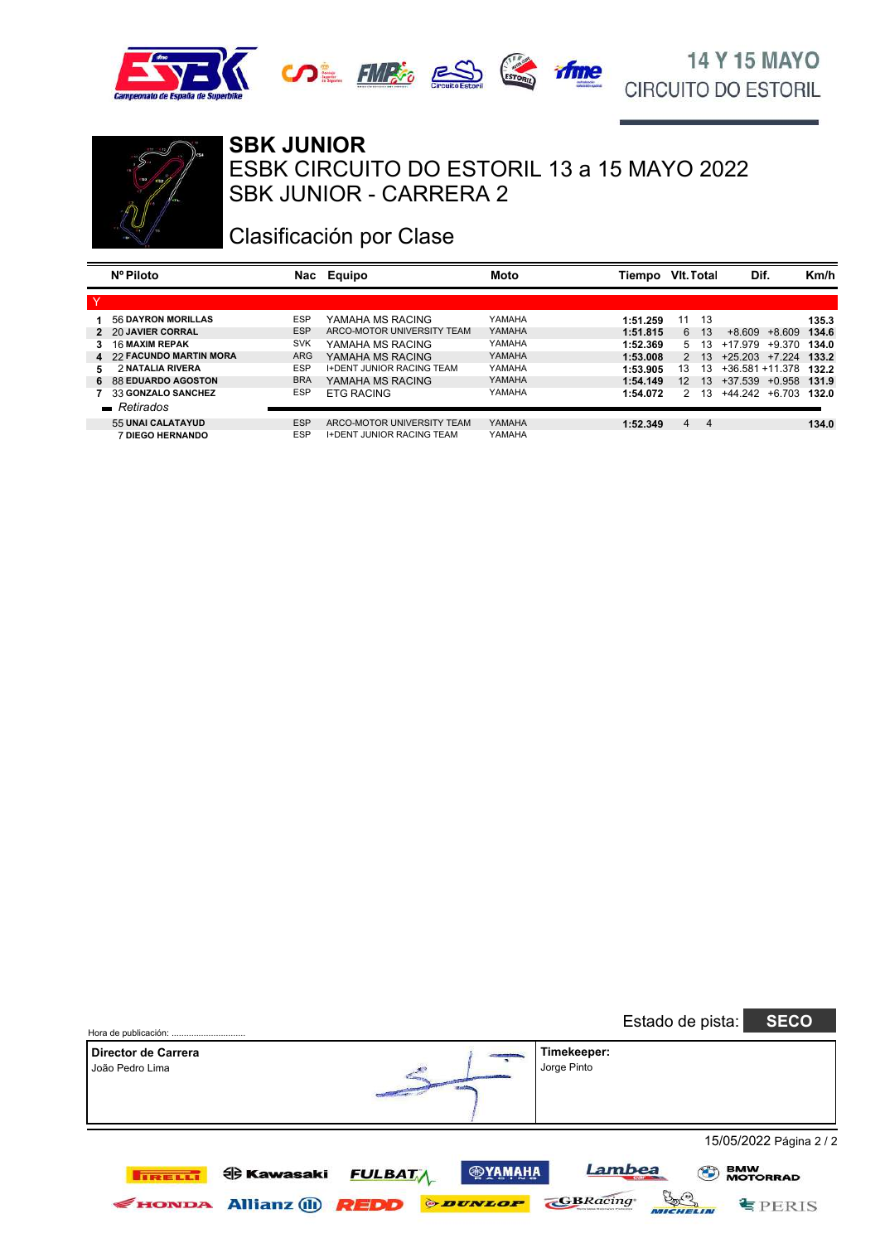





### **SBK JUNIOR**

SBK JUNIOR - CARRERA 2 ESBK CIRCUITO DO ESTORIL 13 a 15 MAYO 2022

### Clasificación por Clase

|    | Nº Piloto                | Nac        | Equipo                           | Moto   | Tiempo   | VIt. Total        |                 | Dif.               |          | Km/h  |
|----|--------------------------|------------|----------------------------------|--------|----------|-------------------|-----------------|--------------------|----------|-------|
| ٧  |                          |            |                                  |        |          |                   |                 |                    |          |       |
|    | 56 DAYRON MORILLAS       | <b>ESP</b> | YAMAHA MS RACING                 | YAMAHA | 1:51.259 | 11                | 13              |                    |          | 135.3 |
|    | 2 20 JAVIER CORRAL       | <b>ESP</b> | ARCO-MOTOR UNIVERSITY TEAM       | YAMAHA | 1:51.815 | 6                 | 13              | +8.609             | +8.609   | 134.6 |
|    | <b>16 MAXIM REPAK</b>    | <b>SVK</b> | YAMAHA MS RACING                 | YAMAHA | 1:52.369 | 5                 | 13              | +17.979            | $+9.370$ | 134.0 |
|    | 4 22 FACUNDO MARTIN MORA | <b>ARG</b> | YAMAHA MS RACING                 | YAMAHA | 1:53.008 | $\mathcal{P}$     | 13              | $+25.203$ $+7.224$ |          | 133.2 |
| 5. | 2 NATALIA RIVERA         | <b>ESP</b> | <b>I+DENT JUNIOR RACING TEAM</b> | YAMAHA | 1:53.905 | 13                | 13              | $+36.581 + 11.378$ |          | 132.2 |
|    | 6 88 EDUARDO AGOSTON     | <b>BRA</b> | YAMAHA MS RACING                 | YAMAHA | 1:54.149 | $12 \overline{ }$ | 13 <sup>1</sup> | +37.539 +0.958     |          | 131.9 |
|    | 33 GONZALO SANCHEZ       | <b>ESP</b> | <b>ETG RACING</b>                | YAMAHA | 1:54.072 | $\mathcal{P}$     | 13              | $+44.242 + 6.703$  |          | 132.0 |
|    | $\blacksquare$ Retirados |            |                                  |        |          |                   |                 |                    |          |       |
|    | 55 UNAI CALATAYUD        | <b>ESP</b> | ARCO-MOTOR UNIVERSITY TEAM       | YAMAHA | 1:52.349 | 4                 | 4               |                    |          | 134.0 |
|    | <b>7 DIEGO HERNANDO</b>  | <b>ESP</b> | <b>I+DENT JUNIOR RACING TEAM</b> | YAMAHA |          |                   |                 |                    |          |       |

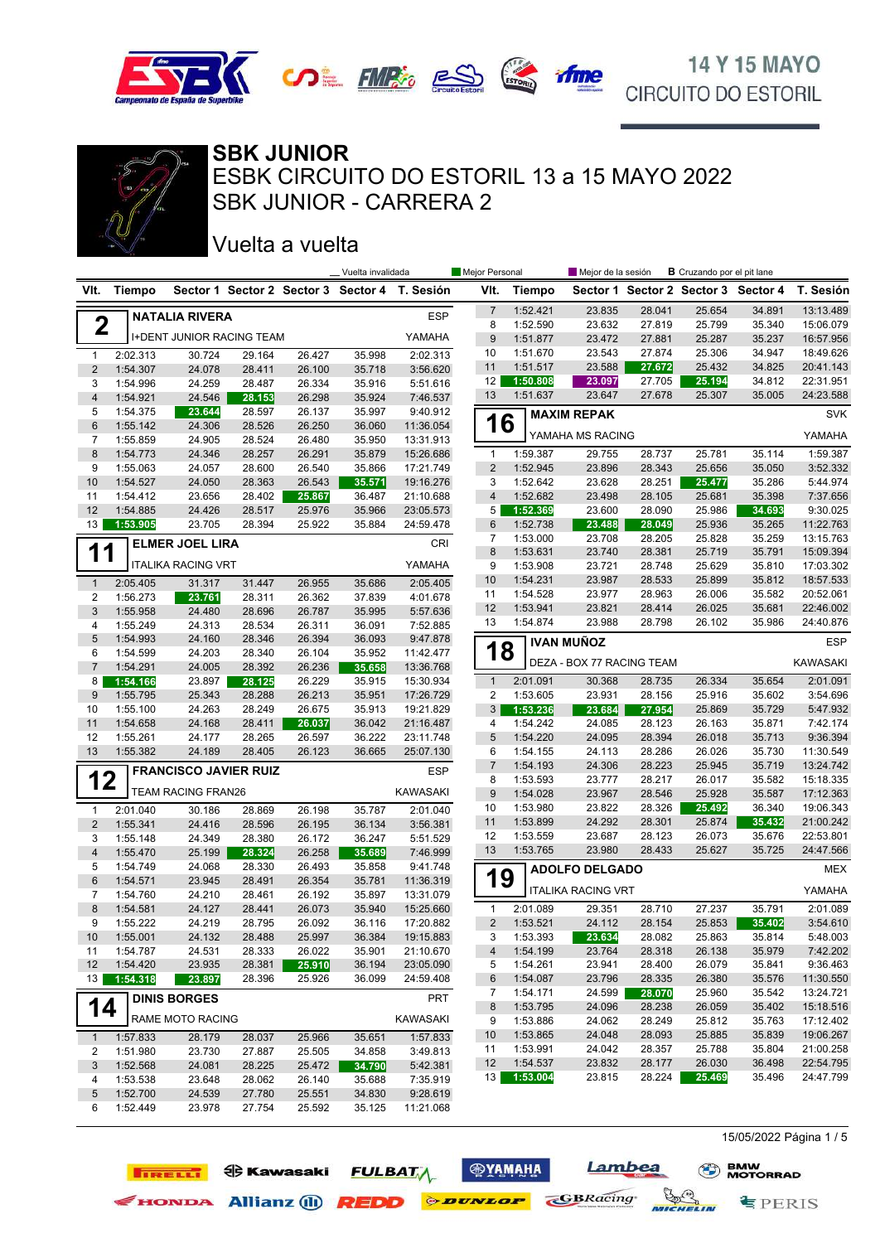



SBK JUNIOR - CARRERA 2 ESBK CIRCUITO DO ESTORIL 13 a 15 MAYO 2022 **SBK JUNIOR**

### Vuelta a vuelta

**TIRELLI OG Kawasaki** 

|                 |                      |                           |                                  |                  | Vuelta invalidada |                                               | Mejor Personal                 |                      | Mejor de la sesión        |                  | <b>B</b> Cruzando por el pit lane |                                     |                        |
|-----------------|----------------------|---------------------------|----------------------------------|------------------|-------------------|-----------------------------------------------|--------------------------------|----------------------|---------------------------|------------------|-----------------------------------|-------------------------------------|------------------------|
| VIt.            | Tiempo               |                           |                                  |                  |                   | Sector 1 Sector 2 Sector 3 Sector 4 T. Sesión | VIt.                           | Tiempo               |                           |                  |                                   | Sector 1 Sector 2 Sector 3 Sector 4 | T. Sesión              |
|                 |                      | <b>NATALIA RIVERA</b>     |                                  |                  |                   | <b>ESP</b>                                    | $\overline{7}$                 | 1:52.421             | 23.835                    | 28.041           | 25.654                            | 34.891                              | 13:13.489              |
| $\mathbf 2$     |                      |                           |                                  |                  |                   |                                               | 8                              | 1:52.590             | 23.632                    | 27.819           | 25.799                            | 35.340                              | 15:06.079              |
|                 |                      |                           | <b>I+DENT JUNIOR RACING TEAM</b> |                  |                   | YAMAHA                                        | $9\,$                          | 1:51.877             | 23.472                    | 27.881           | 25.287                            | 35.237                              | 16:57.956              |
| $\mathbf{1}$    | 2:02.313             | 30.724                    | 29.164                           | 26.427           | 35.998            | 2:02.313                                      | 10                             | 1:51.670             | 23.543                    | 27.874           | 25.306                            | 34.947                              | 18:49.626              |
| $\overline{2}$  | 1:54.307             | 24.078                    | 28.411                           | 26.100           | 35.718            | 3:56.620                                      | 11                             | 1:51.517             | 23.588                    | 27.672           | 25.432                            | 34.825                              | 20:41.143              |
| 3               | 1:54.996             | 24.259                    | 28.487                           | 26.334           | 35.916            | 5:51.616                                      | 12                             | 1:50.808             | 23.097                    | 27.705           | 25.194                            | 34.812                              | 22:31.951              |
| $\overline{4}$  | 1:54.921             | 24.546                    | 28.153                           | 26.298           | 35.924            | 7:46.537                                      | 13                             | 1:51.637             | 23.647                    | 27.678           | 25.307                            | 35.005                              | 24:23.588              |
| 5               | 1:54.375             | 23.644                    | 28.597                           | 26.137           | 35.997            | 9:40.912                                      |                                |                      | <b>MAXIM REPAK</b>        |                  |                                   |                                     | <b>SVK</b>             |
| 6               | 1:55.142             | 24.306                    | 28.526                           | 26.250           | 36.060            | 11:36.054                                     | 16                             |                      | YAMAHA MS RACING          |                  |                                   |                                     | YAMAHA                 |
| 7               | 1:55.859             | 24.905                    | 28.524                           | 26.480           | 35.950            | 13:31.913                                     |                                |                      |                           |                  |                                   |                                     |                        |
| 8<br>9          | 1:54.773<br>1:55.063 | 24.346                    | 28.257<br>28.600                 | 26.291<br>26.540 | 35.879            | 15:26.686<br>17:21.749                        | $\mathbf{1}$<br>$\overline{2}$ | 1:59.387<br>1:52.945 | 29.755<br>23.896          | 28.737<br>28.343 | 25.781<br>25.656                  | 35.114<br>35.050                    | 1:59.387<br>3:52.332   |
| 10              | 1:54.527             | 24.057<br>24.050          | 28.363                           | 26.543           | 35.866<br>35.571  | 19:16.276                                     | 3                              | 1:52.642             | 23.628                    | 28.251           | 25.477                            | 35.286                              | 5:44.974               |
| 11              | 1:54.412             | 23.656                    | 28.402                           | 25.867           | 36.487            | 21:10.688                                     | $\overline{4}$                 | 1:52.682             | 23.498                    | 28.105           | 25.681                            | 35.398                              | 7:37.656               |
| 12              | 1:54.885             | 24.426                    | 28.517                           | 25.976           | 35.966            | 23:05.573                                     | 5                              | 1:52.369             | 23.600                    | 28.090           | 25.986                            | 34.693                              | 9:30.025               |
| 13              | 1:53.905             | 23.705                    | 28.394                           | 25.922           | 35.884            | 24:59.478                                     | 6                              | 1:52.738             | 23.488                    | 28.049           | 25.936                            | 35.265                              | 11:22.763              |
|                 |                      |                           |                                  |                  |                   |                                               | $\overline{7}$                 | 1:53.000             | 23.708                    | 28.205           | 25.828                            | 35.259                              | 13:15.763              |
| 1<br>1          |                      | <b>ELMER JOEL LIRA</b>    |                                  |                  |                   | CRI                                           | 8                              | 1:53.631             | 23.740                    | 28.381           | 25.719                            | 35.791                              | 15:09.394              |
|                 |                      | <b>ITALIKA RACING VRT</b> |                                  |                  |                   | YAMAHA                                        | 9                              | 1:53.908             | 23.721                    | 28.748           | 25.629                            | 35.810                              | 17:03.302              |
| $\mathbf{1}$    | 2:05.405             | 31.317                    | 31.447                           | 26.955           | 35.686            | 2:05.405                                      | 10                             | 1:54.231             | 23.987                    | 28.533           | 25.899                            | 35.812                              | 18:57.533              |
| $\overline{c}$  | 1:56.273             | 23.761                    | 28.311                           | 26.362           | 37.839            | 4:01.678                                      | 11                             | 1:54.528             | 23.977                    | 28.963           | 26.006                            | 35.582                              | 20:52.061              |
| 3               | 1:55.958             | 24.480                    | 28.696                           | 26.787           | 35.995            | 5:57.636                                      | 12                             | 1:53.941             | 23.821                    | 28.414           | 26.025                            | 35.681                              | 22:46.002              |
| 4               | 1:55.249             | 24.313                    | 28.534                           | 26.311           | 36.091            | 7:52.885                                      | 13                             | 1:54.874             | 23.988                    | 28.798           | 26.102                            | 35.986                              | 24:40.876              |
| $\overline{5}$  | 1:54.993             | 24.160                    | 28.346                           | 26.394           | 36.093            | 9:47.878                                      |                                |                      | <b>IVAN MUÑOZ</b>         |                  |                                   |                                     | <b>ESP</b>             |
| 6               | 1:54.599             | 24.203                    | 28.340                           | 26.104           | 35.952            | 11:42.477                                     | 18                             |                      |                           |                  |                                   |                                     |                        |
| $\overline{7}$  | 1:54.291             | 24.005                    | 28.392                           | 26.236           | 35.658            | 13:36.768                                     |                                |                      | DEZA - BOX 77 RACING TEAM |                  |                                   |                                     | <b>KAWASAKI</b>        |
| 8               | 1:54.166             | 23.897                    | 28.125                           | 26.229           | 35.915            | 15:30.934                                     | $\mathbf{1}$                   | 2:01.091             | 30.368                    | 28.735           | 26.334                            | 35.654                              | 2:01.091               |
| 9               | 1:55.795             | 25.343                    | 28.288                           | 26.213           | 35.951            | 17:26.729                                     | $\overline{c}$                 | 1:53.605             | 23.931                    | 28.156           | 25.916                            | 35.602                              | 3:54.696               |
| 10              | 1:55.100             | 24.263                    | 28.249                           | 26.675           | 35.913            | 19:21.829                                     | 3                              | 1:53.236             | 23.684                    | 27.954           | 25.869                            | 35.729                              | 5:47.932               |
| 11              | 1:54.658             | 24.168                    | 28.411                           | 26.037           | 36.042            | 21:16.487                                     | 4                              | 1:54.242             | 24.085                    | 28.123           | 26.163                            | 35.871                              | 7:42.174               |
| 12              | 1:55.261             | 24.177                    | 28.265                           | 26.597           | 36.222            | 23:11.748                                     | 5                              | 1:54.220             | 24.095                    | 28.394           | 26.018                            | 35.713                              | 9:36.394               |
| 13              | 1:55.382             | 24.189                    | 28.405                           | 26.123           | 36.665            | 25:07.130                                     | 6                              | 1:54.155             | 24.113                    | 28.286           | 26.026                            | 35.730                              | 11:30.549              |
|                 |                      |                           | <b>FRANCISCO JAVIER RUIZ</b>     |                  |                   | <b>ESP</b>                                    | $\overline{7}$                 | 1:54.193             | 24.306                    | 28.223           | 25.945                            | 35.719                              | 13:24.742              |
| 12              |                      |                           |                                  |                  |                   |                                               | 8                              | 1:53.593             | 23.777                    | 28.217           | 26.017                            | 35.582                              | 15:18.335              |
|                 |                      | TEAM RACING FRAN26        |                                  |                  |                   | <b>KAWASAKI</b>                               | 9                              | 1:54.028             | 23.967                    | 28.546           | 25.928                            | 35.587                              | 17:12.363              |
| $\mathbf{1}$    | 2:01.040             | 30.186                    | 28.869                           | 26.198           | 35.787            | 2:01.040                                      | 10                             | 1:53.980             | 23.822                    | 28.326           | 25.492                            | 36.340                              | 19:06.343              |
| $\overline{2}$  | 1:55.341             | 24.416                    | 28.596                           | 26.195           | 36.134            | 3:56.381                                      | 11                             | 1:53.899             | 24.292                    | 28.301           | 25.874                            | 35.432                              | 21:00.242              |
| 3               | 1:55.148             | 24.349                    | 28.380                           | 26.172           | 36.247            | 5:51.529                                      | 12                             | 1:53.559             | 23.687                    | 28.123           | 26.073                            | 35.676                              | 22:53.801              |
| $\overline{4}$  | 1:55.470             | 25.199                    | 28.324                           | 26.258           | 35.689            | 7:46.999                                      | 13                             | 1:53.765             | 23.980                    | 28.433           | 25.627                            | 35.725                              | 24:47.566              |
| 5               | 1:54.749             | 24.068                    | 28.330                           | 26.493           | 35.858            | 9:41.748                                      |                                |                      | <b>ADOLFO DELGADO</b>     |                  |                                   |                                     | <b>MEX</b>             |
| 6               | 1:54.571             | 23.945                    | 28.491                           | 26.354           | 35.781            | 11:36.319                                     | 19                             |                      | <b>ITALIKA RACING VRT</b> |                  |                                   |                                     | YAMAHA                 |
| 7               | 1:54.760             | 24.210                    | 28.461                           | 26.192           | 35.897            | 13:31.079                                     |                                |                      |                           |                  |                                   |                                     |                        |
| 8               | 1:54.581             | 24.127                    | 28.441                           | 26.073           | 35.940            | 15:25.660                                     | $\mathbf{1}$                   | 2:01.089             | 29.351                    | 28.710           | 27.237                            | 35.791                              | 2:01.089               |
| 9               | 1:55.222             | 24.219                    | 28.795                           | 26.092           | 36.116            | 17:20.882                                     | $\overline{2}$                 | 1:53.521             | 24.112                    | 28.154           | 25.853                            | 35.402                              | 3:54.610               |
| 10              | 1:55.001             | 24.132                    | 28.488                           | 25.997           | 36.384            | 19:15.883                                     | 3                              | 1:53.393             | 23.634                    | 28.082           | 25.863                            | 35.814                              | 5:48.003               |
| 11              | 1:54.787             | 24.531                    | 28.333                           | 26.022           | 35.901            | 21:10.670                                     | 4                              | 1:54.199             | 23.764                    | 28.318           | 26.138                            | 35.979                              | 7:42.202               |
| 12              | 1:54.420             | 23.935                    | 28.381                           | 25.910           | 36.194            | 23:05.090                                     | 5                              | 1:54.261             | 23.941                    | 28.400           | 26.079                            | 35.841                              | 9:36.463               |
| 13 <sup>1</sup> | 1:54.318             | 23.897                    | 28.396                           | 25.926           | 36.099            | 24:59.408                                     | 6                              | 1:54.087             | 23.796                    | 28.335           | 26.380                            | 35.576                              | 11:30.550              |
|                 |                      | <b>DINIS BORGES</b>       |                                  |                  |                   | PRT                                           | 7<br>8                         | 1:54.171<br>1:53.795 | 24.599<br>24.096          | 28.070<br>28.238 | 25.960<br>26.059                  | 35.542<br>35.402                    | 13:24.721<br>15:18.516 |
| 14              |                      | RAME MOTO RACING          |                                  |                  |                   | KAWASAKI                                      | 9                              | 1:53.886             | 24.062                    | 28.249           | 25.812                            | 35.763                              | 17:12.402              |
|                 |                      |                           |                                  |                  |                   |                                               | 10                             | 1:53.865             | 24.048                    | 28.093           | 25.885                            | 35.839                              | 19:06.267              |
| $\mathbf{1}$    | 1:57.833             | 28.179                    | 28.037                           | 25.966           | 35.651            | 1:57.833                                      | 11                             | 1:53.991             | 24.042                    | 28.357           | 25.788                            | 35.804                              | 21:00.258              |
| 2<br>3          | 1:51.980             | 23.730                    | 27.887                           | 25.505           | 34.858            | 3:49.813                                      | 12                             | 1:54.537             | 23.832                    | 28.177           | 26.030                            | 36.498                              | 22:54.795              |
|                 | 1:52.568<br>1:53.538 | 24.081<br>23.648          | 28.225<br>28.062                 | 25.472<br>26.140 | 34.790<br>35.688  | 5:42.381<br>7:35.919                          | 13                             | 1:53.004             | 23.815                    | 28.224           | 25.469                            | 35.496                              | 24:47.799              |
| 4<br>5          | 1:52.700             | 24.539                    | 27.780                           | 25.551           | 34.830            | 9:28.619                                      |                                |                      |                           |                  |                                   |                                     |                        |
| 6               | 1:52.449             | 23.978                    | 27.754                           | 25.592           | 35.125            | 11:21.068                                     |                                |                      |                           |                  |                                   |                                     |                        |
|                 |                      |                           |                                  |                  |                   |                                               |                                |                      |                           |                  |                                   |                                     |                        |

**<b>ФУАМАНА** 

**FULBATA** 

EHONDA Allianz (1) **REDD** *PEDD* 

Lambea

**MICHELIN** 

**GBRacing** 

15/05/2022 Página 1 / 5

 $\equiv$  PERIS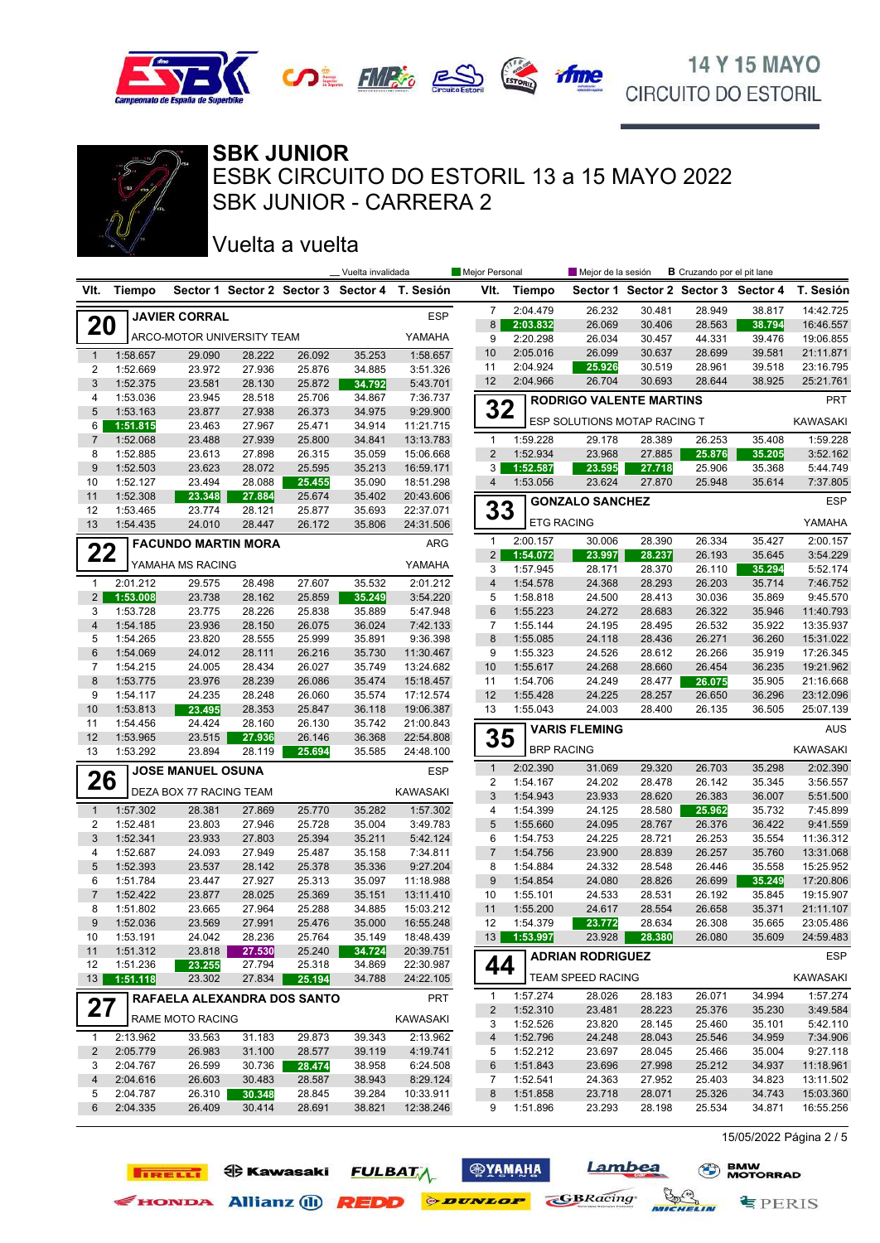



SBK JUNIOR - CARRERA 2 ESBK CIRCUITO DO ESTORIL 13 a 15 MAYO 2022 **SBK JUNIOR**

### Vuelta a vuelta

**TIRELLI EXAMPLE FULBAT** 

EXPRIGING Allianz (i) REDD ODUNLOP COBRacing

|                |                      |                             |                  |                  | _ Vuelta invalidada |                                               | Mejor Personal              |                      | Mejor de la sesión             |                  | <b>B</b> Cruzando por el pit lane |                                     |                        |
|----------------|----------------------|-----------------------------|------------------|------------------|---------------------|-----------------------------------------------|-----------------------------|----------------------|--------------------------------|------------------|-----------------------------------|-------------------------------------|------------------------|
| VIt.           | Tiempo               |                             |                  |                  |                     | Sector 1 Sector 2 Sector 3 Sector 4 T. Sesión | VIt.                        | <b>Tiempo</b>        |                                |                  |                                   | Sector 1 Sector 2 Sector 3 Sector 4 | T. Sesión              |
|                |                      | <b>JAVIER CORRAL</b>        |                  |                  |                     | <b>ESP</b>                                    | $\overline{7}$              | 2:04.479             | 26.232                         | 30.481           | 28.949                            | 38.817                              | 14:42.725              |
| <b>20</b>      |                      |                             |                  |                  |                     |                                               | 8                           | 2:03.832             | 26.069                         | 30.406           | 28.563                            | 38.794                              | 16:46.557              |
|                |                      | ARCO-MOTOR UNIVERSITY TEAM  |                  |                  |                     | YAMAHA                                        | 9                           | 2:20.298             | 26.034                         | 30.457           | 44.331                            | 39.476                              | 19:06.855              |
| $\mathbf{1}$   | 1:58.657             | 29.090                      | 28.222           | 26.092           | 35.253              | 1:58.657                                      | 10<br>11                    | 2:05.016             | 26.099                         | 30.637           | 28.699                            | 39.581                              | 21:11.871              |
| 2              | 1:52.669             | 23.972                      | 27.936           | 25.876           | 34.885              | 3:51.326                                      | 12                          | 2:04.924<br>2:04.966 | 25.926<br>26.704               | 30.519<br>30.693 | 28.961<br>28.644                  | 39.518<br>38.925                    | 23:16.795<br>25:21.761 |
| 3<br>4         | 1:52.375<br>1:53.036 | 23.581<br>23.945            | 28.130<br>28.518 | 25.872<br>25.706 | 34.792<br>34.867    | 5:43.701<br>7:36.737                          |                             |                      |                                |                  |                                   |                                     |                        |
| 5              | 1:53.163             | 23.877                      | 27.938           | 26.373           | 34.975              | 9:29.900                                      | 32                          |                      | <b>RODRIGO VALENTE MARTINS</b> |                  |                                   |                                     | <b>PRT</b>             |
| 6              | 1:51.815             | 23.463                      | 27.967           | 25.471           | 34.914              | 11:21.715                                     |                             |                      | ESP SOLUTIONS MOTAP RACING T   |                  |                                   |                                     | <b>KAWASAKI</b>        |
| $\overline{7}$ | 1:52.068             | 23.488                      | 27.939           | 25.800           | 34.841              | 13:13.783                                     | 1                           | 1:59.228             | 29.178                         | 28.389           | 26.253                            | 35.408                              | 1:59.228               |
| 8              | 1:52.885             | 23.613                      | 27.898           | 26.315           | 35.059              | 15:06.668                                     | $\overline{2}$              | 1:52.934             | 23.968                         | 27.885           | 25.876                            | 35.205                              | 3:52.162               |
| 9              | 1:52.503             | 23.623                      | 28.072           | 25.595           | 35.213              | 16:59.171                                     | 3                           | 1:52.587             | 23.595                         | 27.718           | 25.906                            | 35.368                              | 5:44.749               |
| 10             | 1:52.127             | 23.494                      | 28.088           | 25.455           | 35.090              | 18:51.298                                     | 4                           | 1:53.056             | 23.624                         | 27.870           | 25.948                            | 35.614                              | 7:37.805               |
| 11             | 1:52.308             | 23.348                      | 27.884           | 25.674           | 35.402              | 20:43.606                                     |                             |                      | <b>GONZALO SANCHEZ</b>         |                  |                                   |                                     | <b>ESP</b>             |
| 12<br>13       | 1:53.465<br>1:54.435 | 23.774<br>24.010            | 28.121<br>28.447 | 25.877<br>26.172 | 35.693<br>35.806    | 22:37.071<br>24:31.506                        | 33                          |                      | <b>ETG RACING</b>              |                  |                                   |                                     | YAMAHA                 |
|                |                      |                             |                  |                  |                     |                                               |                             |                      |                                |                  |                                   |                                     |                        |
| 22             |                      | <b>FACUNDO MARTIN MORA</b>  |                  |                  |                     | ARG                                           | $\mathbf{1}$<br>$2^{\circ}$ | 2:00.157<br>1:54.072 | 30.006<br>23.997               | 28.390<br>28.237 | 26.334<br>26.193                  | 35.427<br>35.645                    | 2:00.157<br>3:54.229   |
|                |                      | YAMAHA MS RACING            |                  |                  |                     | YAMAHA                                        | 3                           | 1:57.945             | 28.171                         | 28.370           | 26.110                            | 35.294                              | 5:52.174               |
| $\mathbf{1}$   | 2:01.212             | 29.575                      | 28.498           | 27.607           | 35.532              | 2:01.212                                      | $\overline{\mathbf{4}}$     | 1:54.578             | 24.368                         | 28.293           | 26.203                            | 35.714                              | 7:46.752               |
| $2^{\circ}$    | 1:53.008             | 23.738                      | 28.162           | 25.859           | 35.249              | 3:54.220                                      | 5                           | 1:58.818             | 24.500                         | 28.413           | 30.036                            | 35.869                              | 9:45.570               |
| 3              | 1:53.728             | 23.775                      | 28.226           | 25.838           | 35.889              | 5:47.948                                      | 6                           | 1:55.223             | 24.272                         | 28.683           | 26.322                            | 35.946                              | 11:40.793              |
| $\overline{4}$ | 1:54.185             | 23.936                      | 28.150           | 26.075           | 36.024              | 7:42.133                                      | 7                           | 1:55.144             | 24.195                         | 28.495           | 26.532                            | 35.922                              | 13:35.937              |
| 5              | 1:54.265             | 23.820                      | 28.555           | 25.999           | 35.891              | 9:36.398                                      | 8                           | 1:55.085             | 24.118                         | 28.436           | 26.271                            | 36.260                              | 15:31.022              |
| 6              | 1:54.069             | 24.012                      | 28.111           | 26.216           | 35.730              | 11:30.467                                     | 9                           | 1:55.323             | 24.526                         | 28.612           | 26.266                            | 35.919                              | 17:26.345              |
| 7              | 1:54.215             | 24.005                      | 28.434           | 26.027           | 35.749              | 13:24.682                                     | 10                          | 1:55.617             | 24.268                         | 28.660           | 26.454                            | 36.235                              | 19:21.962              |
| 8<br>9         | 1:53.775<br>1:54.117 | 23.976<br>24.235            | 28.239<br>28.248 | 26.086<br>26.060 | 35.474<br>35.574    | 15:18.457<br>17:12.574                        | 11<br>12                    | 1:54.706<br>1:55.428 | 24.249<br>24.225               | 28.477<br>28.257 | 26.075<br>26.650                  | 35.905<br>36.296                    | 21:16.668<br>23:12.096 |
| 10             | 1:53.813             | 23.495                      | 28.353           | 25.847           | 36.118              | 19:06.387                                     | 13                          | 1:55.043             | 24.003                         | 28.400           | 26.135                            | 36.505                              | 25:07.139              |
| 11             | 1:54.456             | 24.424                      | 28.160           | 26.130           | 35.742              | 21:00.843                                     |                             |                      |                                |                  |                                   |                                     |                        |
| 12             | 1:53.965             | 23.515                      | 27.936           | 26.146           | 36.368              | 22:54.808                                     | 35                          |                      | <b>VARIS FLEMING</b>           |                  |                                   |                                     | <b>AUS</b>             |
| 13             | 1:53.292             | 23.894                      | 28.119           | 25.694           | 35.585              | 24:48.100                                     |                             |                      | <b>BRP RACING</b>              |                  |                                   |                                     | <b>KAWASAKI</b>        |
|                |                      | <b>JOSE MANUEL OSUNA</b>    |                  |                  |                     | <b>ESP</b>                                    | $\mathbf{1}$                | 2:02.390             | 31.069                         | 29.320           | 26.703                            | 35.298                              | 2:02.390               |
| 26             |                      | DEZA BOX 77 RACING TEAM     |                  |                  |                     | KAWASAKI                                      | 2                           | 1:54.167             | 24.202                         | 28.478           | 26.142                            | 35.345                              | 3:56.557               |
|                |                      |                             |                  |                  |                     |                                               | $\sqrt{3}$                  | 1:54.943             | 23.933                         | 28.620           | 26.383                            | 36.007                              | 5:51.500               |
| $\mathbf{1}$   | 1:57.302             | 28.381                      | 27.869           | 25.770           | 35.282              | 1:57.302                                      | 4                           | 1:54.399             | 24.125                         | 28.580           | 25.962                            | 35.732                              | 7:45.899               |
| 2<br>3         | 1:52.481<br>1:52.341 | 23.803<br>23.933            | 27.946<br>27.803 | 25.728<br>25.394 | 35.004<br>35.211    | 3:49.783<br>5:42.124                          | 5<br>6                      | 1:55.660<br>1:54.753 | 24.095<br>24.225               | 28.767<br>28.721 | 26.376<br>26.253                  | 36.422<br>35.554                    | 9:41.559<br>11:36.312  |
| 4              | 1:52.687             | 24.093                      | 27.949           | 25.487           | 35.158              | 7:34.811                                      | $\overline{7}$              | 1:54.756             | 23.900                         | 28.839           | 26.257                            | 35.760                              | 13:31.068              |
| 5              | 1:52.393             | 23.537                      | 28.142           | 25.378           | 35.336              | 9:27.204                                      | 8                           | 1:54.884             | 24.332                         | 28.548           | 26.446                            | 35.558                              | 15:25.952              |
| 6              | 1:51.784             | 23.447                      | 27.927           | 25.313           | 35.097              | 11:18.988                                     | 9                           | 1:54.854             | 24.080                         | 28.826           | 26.699                            | 35.249                              | 17:20.806              |
| $\overline{7}$ | 1:52.422             | 23.877                      | 28.025           | 25.369           | 35.151              | 13:11.410                                     | 10                          | 1:55.101             | 24.533                         | 28.531           | 26.192                            | 35.845                              | 19:15.907              |
| 8              | 1:51.802             | 23.665                      | 27.964           | 25.288           | 34.885              | 15:03.212                                     | 11                          | 1:55.200             | 24.617                         | 28.554           | 26.658                            | 35.371                              | 21:11.107              |
| 9              | 1:52.036             | 23.569                      | 27.991           | 25.476           | 35.000              | 16:55.248                                     | 12                          | 1:54.379             | 23.772                         | 28.634           | 26.308                            | 35.665                              | 23:05.486              |
| 10             | 1:53.191             | 24.042                      | 28.236           | 25.764           | 35.149              | 18:48.439                                     | 13                          | 1:53.997             | 23.928                         | 28.380           | 26.080                            | 35.609                              | 24:59.483              |
| 11<br>12       | 1:51.312<br>1:51.236 | 23.818                      | 27.530<br>27.794 | 25.240<br>25.318 | 34.724<br>34.869    | 20:39.751<br>22:30.987                        |                             |                      | <b>ADRIAN RODRIGUEZ</b>        |                  |                                   |                                     | ESP                    |
| 13             | 1:51.118             | 23.255<br>23.302            | 27.834           | 25.194           | 34.788              | 24:22.105                                     | 44                          |                      | TEAM SPEED RACING              |                  |                                   |                                     | <b>KAWASAKI</b>        |
|                |                      | RAFAELA ALEXANDRA DOS SANTO |                  |                  |                     | <b>PRT</b>                                    | 1                           | 1:57.274             | 28.026                         | 28.183           | 26.071                            | 34.994                              | 1:57.274               |
| 27             |                      |                             |                  |                  |                     |                                               | 2                           | 1:52.310             | 23.481                         | 28.223           | 25.376                            | 35.230                              | 3:49.584               |
|                |                      | RAME MOTO RACING            |                  |                  |                     | KAWASAKI                                      | 3                           | 1:52.526             | 23.820                         | 28.145           | 25.460                            | 35.101                              | 5:42.110               |
| 1              | 2:13.962             | 33.563                      | 31.183           | 29.873           | 39.343              | 2:13.962                                      | 4                           | 1:52.796             | 24.248                         | 28.043           | 25.546                            | 34.959                              | 7:34.906               |
| $\overline{2}$ | 2:05.779             | 26.983                      | 31.100           | 28.577           | 39.119              | 4:19.741                                      | 5                           | 1:52.212             | 23.697                         | 28.045           | 25.466                            | 35.004                              | 9:27.118               |
| 3              | 2:04.767             | 26.599                      | 30.736           | 28.474           | 38.958              | 6:24.508                                      | 6                           | 1:51.843             | 23.696                         | 27.998           | 25.212                            | 34.937                              | 11:18.961              |
| 4              | 2:04.616             | 26.603                      | 30.483           | 28.587           | 38.943              | 8:29.124                                      | 7                           | 1:52.541             | 24.363                         | 27.952           | 25.403                            | 34.823                              | 13:11.502              |
| 5<br>6         | 2:04.787<br>2:04.335 | 26.310<br>26.409            | 30.348<br>30.414 | 28.845<br>28.691 | 39.284<br>38.821    | 10:33.911<br>12:38.246                        | 8<br>9                      | 1:51.858<br>1:51.896 | 23.718<br>23.293               | 28.071<br>28.198 | 25.326<br>25.534                  | 34.743<br>34.871                    | 15:03.360<br>16:55.256 |
|                |                      |                             |                  |                  |                     |                                               |                             |                      |                                |                  |                                   |                                     |                        |
|                |                      |                             |                  |                  |                     |                                               |                             |                      |                                |                  |                                   |                                     |                        |

**<b>OYAMAHA** 

Lambea

MICHELIN

15/05/2022 Página 2 / 5

**专PERIS**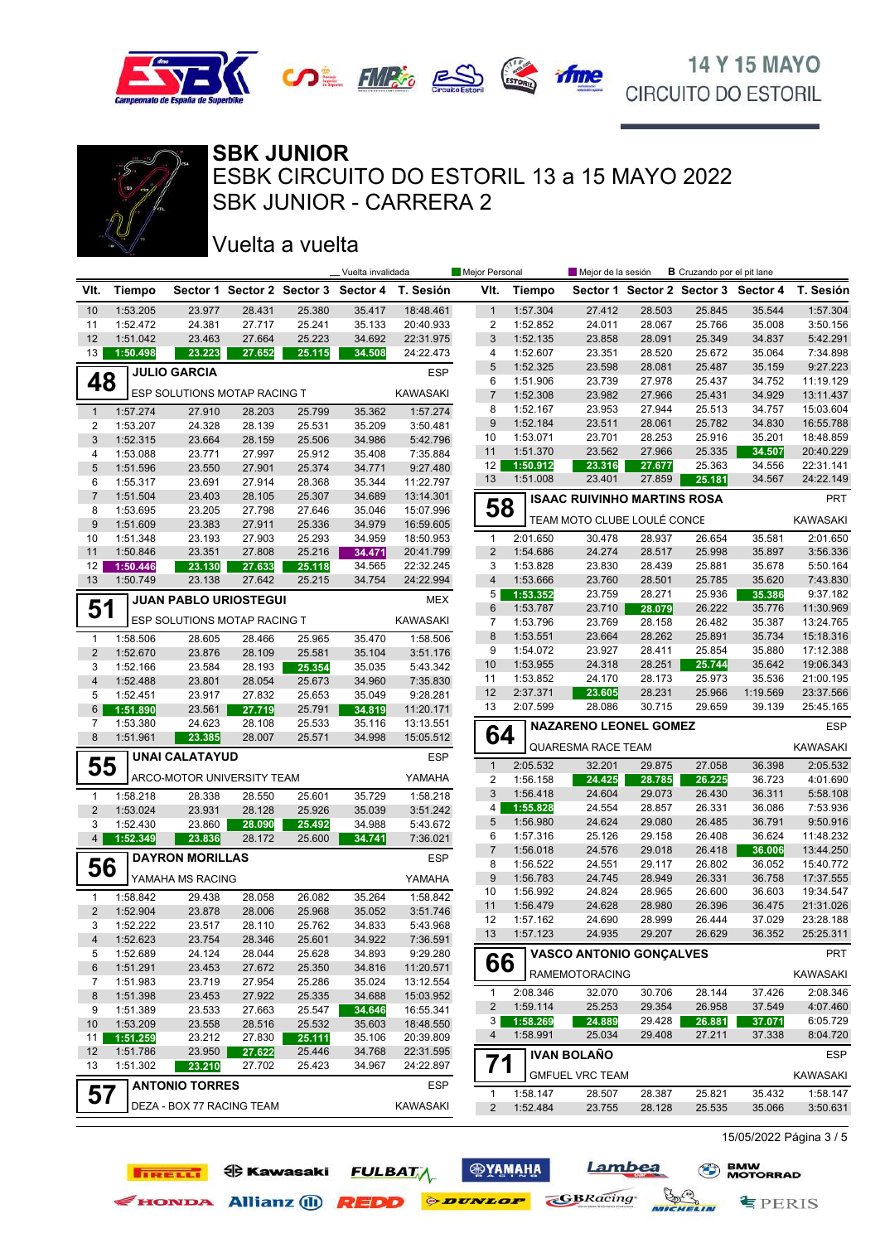



SBK JUNIOR - CARRERA 2 ESBK CIRCUITO DO ESTORIL 13 a 15 MAYO 2022 **SBK JUNIOR**

### Vuelta a vuelta

**TIRELLI ED** Kawasaki

|                |                      |                              |                  |                  | _ Vuelta invalidada                 |                        | Mejor Personal                 |                      | Mejor de la sesión                 |                  | <b>B</b> Cruzando por el pit lane |                                     |                        |
|----------------|----------------------|------------------------------|------------------|------------------|-------------------------------------|------------------------|--------------------------------|----------------------|------------------------------------|------------------|-----------------------------------|-------------------------------------|------------------------|
| VIt.           | <b>Tiempo</b>        |                              |                  |                  | Sector 1 Sector 2 Sector 3 Sector 4 | T. Sesión              | VIt.                           | <b>Tiempo</b>        |                                    |                  |                                   | Sector 1 Sector 2 Sector 3 Sector 4 | T. Sesión              |
| 10             | 1:53.205             | 23.977                       | 28.431           | 25.380           | 35.417                              | 18:48.461              | $\mathbf{1}$                   | 1:57.304             | 27.412                             | 28.503           | 25.845                            | 35.544                              | 1:57.304               |
| 11             | 1:52.472             | 24.381                       | 27.717           | 25.241           | 35.133                              | 20:40.933              | $\overline{c}$                 | 1:52.852             | 24.011                             | 28.067           | 25.766                            | 35.008                              | 3:50.156               |
| 12             | 1:51.042             | 23.463                       | 27.664           | 25.223           | 34.692                              | 22:31.975              | 3                              | 1:52.135             | 23.858                             | 28.091           | 25.349                            | 34.837                              | 5:42.291               |
| 13             | 1:50.498             | 23.223                       | 27.652           | 25.115           | 34.508                              | 24:22.473              | 4                              | 1:52.607             | 23.351                             | 28.520           | 25.672                            | 35.064                              | 7:34.898               |
|                |                      | <b>JULIO GARCIA</b>          |                  |                  |                                     | <b>ESP</b>             | 5                              | 1:52.325             | 23.598                             | 28.081           | 25.487                            | 35.159                              | 9:27.223               |
| 48             |                      |                              |                  |                  |                                     |                        | 6                              | 1:51.906             | 23.739                             | 27.978           | 25.437                            | 34.752                              | 11:19.129              |
|                |                      | ESP SOLUTIONS MOTAP RACING T |                  |                  |                                     | <b>KAWASAKI</b>        | $\overline{7}$                 | 1:52.308             | 23.982                             | 27.966           | 25.431                            | 34.929                              | 13:11.437              |
| $\mathbf{1}$   | 1:57.274             | 27.910                       | 28.203           | 25.799           | 35.362                              | 1:57.274               | 8                              | 1:52.167             | 23.953                             | 27.944           | 25.513                            | 34.757                              | 15:03.604              |
| 2              | 1:53.207             | 24.328                       | 28.139           | 25.531           | 35.209                              | 3:50.481               | 9                              | 1:52.184             | 23.511                             | 28.061           | 25.782                            | 34.830                              | 16:55.788              |
| 3              | 1:52.315             | 23.664                       | 28.159           | 25.506           | 34.986                              | 5:42.796               | 10                             | 1:53.071             | 23.701                             | 28.253           | 25.916                            | 35.201                              | 18:48.859              |
| 4              | 1:53.088             | 23.771                       | 27.997           | 25.912           | 35.408                              | 7:35.884               | 11                             | 1:51.370             | 23.562                             | 27.966           | 25.335                            | 34.507                              | 20:40.229<br>22:31.141 |
| 5              | 1:51.596             | 23.550                       | 27.901           | 25.374           | 34.771                              | 9:27.480               | 12<br>13                       | 1:50.912<br>1:51.008 | 23.316<br>23.401                   | 27.677<br>27.859 | 25.363<br>25.181                  | 34.556                              | 24:22.149              |
| 6              | 1:55.317             | 23.691                       | 27.914           | 28.368           | 35.344                              | 11:22.797              |                                |                      |                                    |                  |                                   | 34.567                              |                        |
| $\overline{7}$ | 1:51.504             | 23.403                       | 28.105           | 25.307           | 34.689                              | 13:14.301              | 58                             |                      | <b>ISAAC RUIVINHO MARTINS ROSA</b> |                  |                                   |                                     | PRT                    |
| 8              | 1:53.695             | 23.205                       | 27.798           | 27.646           | 35.046                              | 15:07.996              |                                |                      | TEAM MOTO CLUBE LOULÉ CONCE        |                  |                                   |                                     | <b>KAWASAKI</b>        |
| 9              | 1:51.609             | 23.383                       | 27.911           | 25.336           | 34.979                              | 16:59.605              |                                |                      |                                    |                  |                                   |                                     |                        |
| 10<br>11       | 1:51.348<br>1:50.846 | 23.193<br>23.351             | 27.903<br>27.808 | 25.293<br>25.216 | 34.959                              | 18:50.953              | $\mathbf{1}$<br>$\overline{2}$ | 2:01.650<br>1:54.686 | 30.478<br>24.274                   | 28.937<br>28.517 | 26.654<br>25.998                  | 35.581<br>35.897                    | 2:01.650<br>3:56.336   |
|                | 1:50.446             |                              |                  |                  | 34.471<br>34.565                    | 20:41.799<br>22:32.245 | 3                              | 1:53.828             |                                    |                  | 25.881                            |                                     | 5:50.164               |
| 12<br>13       | 1:50.749             | 23.130<br>23.138             | 27.633<br>27.642 | 25.118<br>25.215 | 34.754                              | 24:22.994              | 4                              | 1:53.666             | 23.830<br>23.760                   | 28.439<br>28.501 | 25.785                            | 35.678<br>35.620                    | 7:43.830               |
|                |                      |                              |                  |                  |                                     |                        | 5                              | 1:53.352             | 23.759                             | 28.271           | 25.936                            | 35.386                              | 9:37.182               |
| 51             |                      | <b>JUAN PABLO URIOSTEGUI</b> |                  |                  |                                     | <b>MEX</b>             | 6                              | 1:53.787             | 23.710                             | 28.079           | 26.222                            | 35.776                              | 11:30.969              |
|                |                      | ESP SOLUTIONS MOTAP RACING T |                  |                  |                                     | <b>KAWASAKI</b>        | $\overline{7}$                 | 1:53.796             | 23.769                             | 28.158           | 26.482                            | 35.387                              | 13:24.765              |
| $\mathbf{1}$   | 1:58.506             | 28.605                       | 28.466           | 25.965           | 35.470                              | 1:58.506               | 8                              | 1:53.551             | 23.664                             | 28.262           | 25.891                            | 35.734                              | 15:18.316              |
| $\overline{2}$ | 1:52.670             |                              | 28.109           | 25.581           |                                     | 3:51.176               | 9                              | 1:54.072             | 23.927                             | 28.411           | 25.854                            | 35.880                              | 17:12.388              |
| 3              | 1:52.166             | 23.876<br>23.584             | 28.193           |                  | 35.104<br>35.035                    | 5:43.342               | 10                             | 1:53.955             | 24.318                             | 28.251           | 25.744                            | 35.642                              | 19:06.343              |
| $\overline{4}$ | 1:52.488             | 23.801                       | 28.054           | 25.354<br>25.673 | 34.960                              | 7:35.830               | 11                             | 1:53.852             | 24.170                             | 28.173           | 25.973                            | 35.536                              | 21:00.195              |
| 5              | 1:52.451             | 23.917                       | 27.832           | 25.653           | 35.049                              | 9:28.281               | 12                             | 2:37.371             | 23.605                             | 28.231           | 25.966                            | 1:19.569                            | 23:37.566              |
| 6              | 1:51.890             | 23.561                       | 27.719           | 25.791           | 34.819                              | 11:20.171              | 13                             | 2:07.599             | 28.086                             | 30.715           | 29.659                            | 39.139                              | 25:45.165              |
| 7              | 1:53.380             | 24.623                       | 28.108           | 25.533           | 35.116                              | 13:13.551              |                                |                      | <b>NAZARENO LEONEL GOMEZ</b>       |                  |                                   |                                     | <b>ESP</b>             |
| 8              | 1:51.961             | 23.385                       | 28.007           | 25.571           | 34.998                              | 15:05.512              | 64                             |                      |                                    |                  |                                   |                                     |                        |
|                |                      | <b>UNAI CALATAYUD</b>        |                  |                  |                                     | <b>ESP</b>             |                                |                      | QUARESMA RACE TEAM                 |                  |                                   |                                     | <b>KAWASAKI</b>        |
| 55             |                      |                              |                  |                  |                                     |                        | $\mathbf{1}$                   | 2:05.532             | 32.201                             | 29.875           | 27.058                            | 36.398                              | 2:05.532               |
|                |                      | ARCO-MOTOR UNIVERSITY TEAM   |                  |                  |                                     | YAMAHA                 | $\overline{2}$                 | 1:56.158             | 24.425                             | 28.785           | 26.225                            | 36.723                              | 4:01.690               |
| $\mathbf{1}$   | 1:58.218             | 28.338                       | 28.550           | 25.601           | 35.729                              | 1:58.218               | 3                              | 1:56.418             | 24.604                             | 29.073           | 26.430                            | 36.311                              | 5:58.108               |
| $\overline{2}$ | 1:53.024             | 23.931                       | 28.128           | 25.926           | 35.039                              | 3:51.242               | 4                              | 1:55.828             | 24.554                             | 28.857           | 26.331                            | 36.086                              | 7:53.936               |
| 3              | 1:52.430             | 23.860                       | 28.090           | 25.492           | 34.988                              | 5:43.672               | 5                              | 1:56.980             | 24.624                             | 29.080           | 26.485                            | 36.791                              | 9:50.916               |
| 4              | 1:52.349             | 23.836                       | 28.172           | 25.600           | 34.741                              | 7:36.021               | 6                              | 1:57.316             | 25.126                             | 29.158           | 26.408                            | 36.624                              | 11:48.232              |
|                |                      | <b>DAYRON MORILLAS</b>       |                  |                  |                                     | <b>ESP</b>             | $\overline{7}$                 | 1:56.018             | 24.576                             | 29.018           | 26.418                            | 36.006                              | 13:44.250              |
| 56             |                      |                              |                  |                  |                                     |                        | 8<br>9                         | 1:56.522             | 24.551                             | 29.117           | 26.802<br>26.331                  | 36.052                              | 15:40.772              |
|                |                      | YAMAHA MS RACING             |                  |                  |                                     | YAMAHA                 | 10                             | 1:56.783<br>1:56.992 | 24.745<br>24.824                   | 28.949<br>28.965 | 26.600                            | 36.758<br>36.603                    | 17:37.555<br>19:34.547 |
| 1              | 1:58.842             | 29.438                       | 28.058           | 26.082           | 35.264                              | 1:58.842               | 11                             | 1:56.479             | 24.628                             | 28.980           | 26.396                            | 36.475                              | 21:31.026              |
| $\overline{2}$ | 1:52.904             | 23.878                       | 28.006           | 25.968           | 35.052                              | 3:51.746               | 12                             | 1:57.162             | 24.690                             | 28.999           | 26.444                            | 37.029                              | 23:28.188              |
| 3              | 1:52.222             | 23.517                       | 28.110           | 25.762           | 34.833                              | 5:43.968               | 13                             | 1:57.123             | 24.935                             | 29.207           | 26.629                            | 36.352                              | 25:25.311              |
| 4              | 1:52.623             | 23.754                       | 28.346           | 25.601           | 34.922                              | 7:36.591               |                                |                      |                                    |                  |                                   |                                     |                        |
| 5              | 1:52.689             | 24.124                       | 28.044           | 25.628           | 34.893                              | 9:29.280               | 66                             |                      | <b>VASCO ANTONIO GONÇALVES</b>     |                  |                                   |                                     | <b>PRT</b>             |
| 6              | 1:51.291             | 23.453                       | 27.672           | 25.350           | 34.816                              | 11:20.571              |                                |                      | <b>RAMEMOTORACING</b>              |                  |                                   |                                     | KAWASAKI               |
| 7              | 1:51.983             | 23.719                       | 27.954           | 25.286           | 35.024                              | 13:12.554              | $\mathbf{1}$                   | 2:08.346             | 32.070                             | 30.706           | 28.144                            | 37.426                              | 2:08.346               |
| 8              | 1:51.398             | 23.453                       | 27.922           | 25.335           | 34.688                              | 15:03.952              | $\overline{c}$                 | 1:59.114             | 25.253                             | 29.354           | 26.958                            | 37.549                              | 4:07.460               |
| 9              | 1:51.389             | 23.533                       | 27.663           | 25.547           | 34.646                              | 16:55.341              | 3                              | 1:58.269             | 24.889                             | 29.428           | 26.881                            | 37.071                              | 6:05.729               |
| 10             | 1:53.209             | 23.558                       | 28.516           | 25.532           | 35.603                              | 18:48.550              | 4                              | 1:58.991             | 25.034                             | 29.408           | 27.211                            | 37.338                              | 8:04.720               |
| 11             | 1:51.259             | 23.212                       | 27.830           | 25.111           | 35.106                              | 20:39.809              |                                |                      |                                    |                  |                                   |                                     |                        |
| 12<br>13       | 1:51.786<br>1:51.302 | 23.950<br>23.210             | 27.622<br>27.702 | 25.446<br>25.423 | 34.768<br>34.967                    | 22:31.595<br>24:22.897 | 71                             |                      | <b>IVAN BOLAÑO</b>                 |                  |                                   |                                     | <b>ESP</b>             |
|                |                      |                              |                  |                  |                                     |                        |                                |                      | <b>GMFUEL VRC TEAM</b>             |                  |                                   |                                     | KAWASAKI               |
| 57             |                      | <b>ANTONIO TORRES</b>        |                  |                  |                                     | ESP                    | 1                              | 1:58.147             | 28.507                             | 28.387           | 25.821                            | 35.432                              | 1:58.147               |
|                |                      | DEZA - BOX 77 RACING TEAM    |                  |                  |                                     | <b>KAWASAKI</b>        | $\overline{2}$                 | 1:52.484             | 23.755                             | 28.128           | 25.535                            | 35.066                              | 3:50.631               |
|                |                      |                              |                  |                  |                                     |                        |                                |                      |                                    |                  |                                   |                                     |                        |

**<b>ФУАМАНА** 

**FULBATA** 

EHONDA Allianz (1) **REDD** *PEDD* 

Lambea

MICHELIN

**GBRacing** 

15/05/2022 Página 3 / 5

**§PERIS**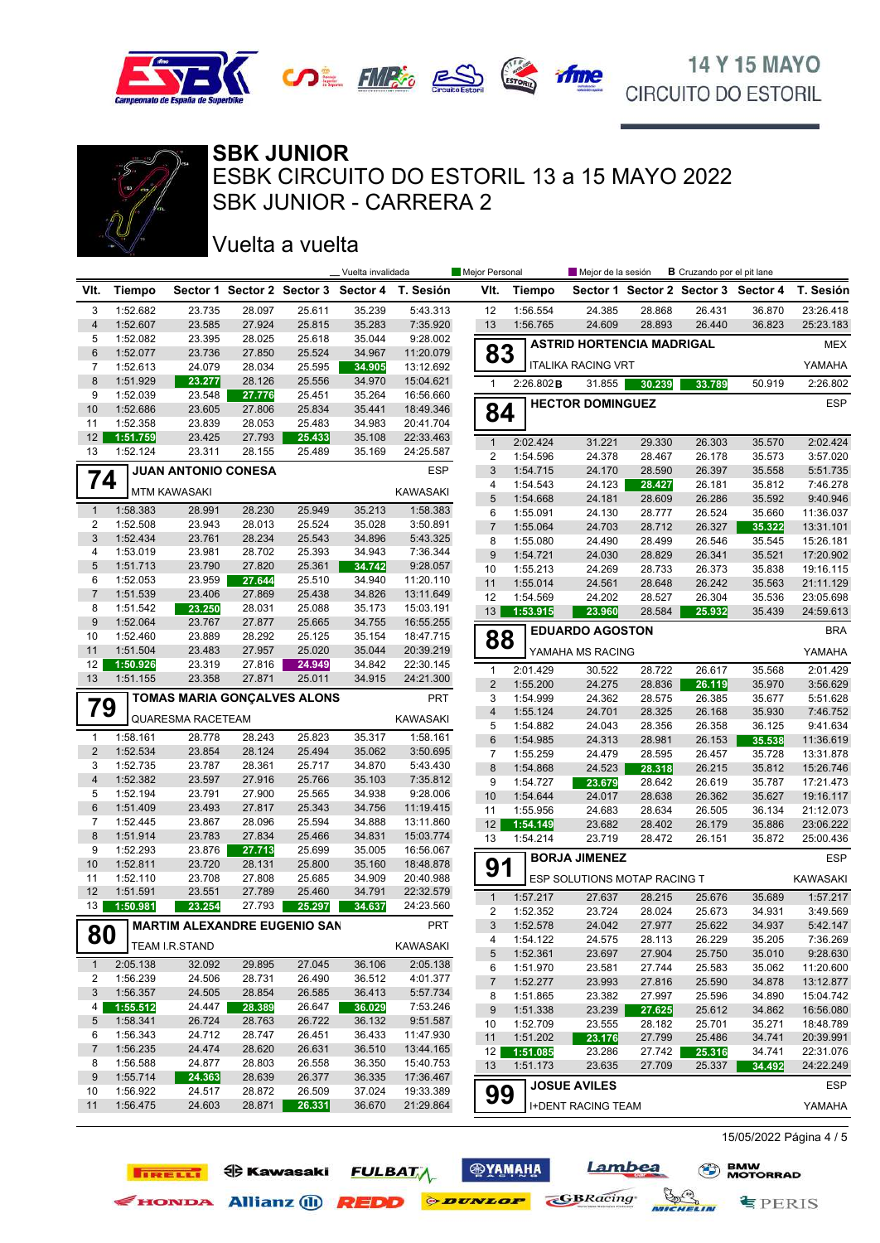



### SBK JUNIOR - CARRERA 2 ESBK CIRCUITO DO ESTORIL 13 a 15 MAYO 2022 **SBK JUNIOR**

### Vuelta a vuelta

**IRELLI O** Kawasaki

| Sector 1 Sector 2 Sector 3 Sector 4<br>T. Sesión<br>VIt.<br>Tiempo<br>Sector 1 Sector 2 Sector 3 Sector 4<br>T. Sesión<br>VIt.<br><b>Tiempo</b><br>5:43.313<br>1:56.554<br>23:26.418<br>3<br>1:52.682<br>23.735<br>28.097<br>25.611<br>35.239<br>12<br>24.385<br>28.868<br>26.431<br>36.870<br>$\overline{4}$<br>1:52.607<br>35.283<br>7:35.920<br>13<br>1:56.765<br>24.609<br>28.893<br>26.440<br>36.823<br>25:23.183<br>23.585<br>27.924<br>25.815<br>5<br>1:52.082<br>9:28.002<br>23.395<br>28.025<br>25.618<br>35.044<br><b>ASTRID HORTENCIA MADRIGAL</b><br><b>MEX</b><br>83<br>6<br>1:52.077<br>23.736<br>27.850<br>25.524<br>34.967<br>11:20.079<br><b>ITALIKA RACING VRT</b><br>YAMAHA<br>7<br>1:52.613<br>24.079<br>28.034<br>25.595<br>13:12.692<br>34.905<br>8<br>1:51.929<br>23.277<br>28.126<br>25.556<br>34.970<br>15:04.621<br>$\mathbf{1}$<br>2:26.802 B<br>30.239<br>33.789<br>50.919<br>2:26.802<br>31.855<br>1:52.039<br>23.548<br>35.264<br>16:56.660<br>9<br>27.776<br>25.451<br>ESP<br><b>HECTOR DOMINGUEZ</b><br>84<br>10<br>1:52.686<br>25.834<br>23.605<br>27.806<br>35.441<br>18:49.346<br>11<br>1:52.358<br>23.839<br>28.053<br>25.483<br>34.983<br>20:41.704<br>12 <sup>2</sup><br>1:51.759<br>27.793<br>25.433<br>35.108<br>23.425<br>22:33.463<br>2:02.424<br>$\mathbf{1}$<br>31.221<br>29.330<br>26.303<br>35.570<br>2:02.424<br>1:52.124<br>23.311<br>13<br>28.155<br>25.489<br>35.169<br>24:25.587<br>$\overline{\mathbf{c}}$<br>24.378<br>1:54.596<br>28.467<br>26.178<br>35.573<br>3:57.020<br><b>JUAN ANTONIO CONESA</b><br><b>ESP</b><br>$\mathbf{3}$<br>1:54.715<br>24.170<br>28.590<br>26.397<br>35.558<br>5:51.735<br>74<br>4<br>1:54.543<br>24.123<br>28.427<br>26.181<br>35.812<br>7:46.278<br><b>KAWASAKI</b><br><b>MTM KAWASAKI</b><br>$\sqrt{5}$<br>1:54.668<br>24.181<br>26.286<br>9:40.946<br>28.609<br>35.592<br>1:58.383<br>28.230<br>25.949<br>35.213<br>1:58.383<br>$\mathbf{1}$<br>28.991<br>1:55.091<br>24.130<br>26.524<br>35.660<br>11:36.037<br>6<br>28.777<br>2<br>1:52.508<br>23.943<br>28.013<br>25.524<br>3:50.891<br>35.028<br>$\overline{7}$<br>24.703<br>26.327<br>35.322<br>1:55.064<br>28.712<br>13:31.101<br>3<br>1:52.434<br>28.234<br>25.543<br>23.761<br>34.896<br>5:43.325<br>8<br>1:55.080<br>24.490<br>35.545<br>15:26.181<br>28.499<br>26.546<br>1:53.019<br>23.981<br>25.393<br>7:36.344<br>4<br>28.702<br>34.943<br>$\boldsymbol{9}$<br>17:20.902<br>1:54.721<br>24.030<br>28.829<br>26.341<br>35.521<br>5<br>1:51.713<br>23.790<br>27.820<br>25.361<br>34.742<br>9:28.057<br>10<br>1:55.213<br>24.269<br>28.733<br>26.373<br>35.838<br>19:16.115<br>6<br>1:52.053<br>23.959<br>27.644<br>25.510<br>34.940<br>11:20.110<br>1:55.014<br>24.561<br>28.648<br>26.242<br>21:11.129<br>11<br>35.563<br>7<br>1:51.539<br>23.406<br>27.869<br>25.438<br>34.826<br>13:11.649<br>12<br>1:54.569<br>26.304<br>24.202<br>28.527<br>35.536<br>23:05.698<br>8<br>1:51.542<br>23.250<br>28.031<br>25.088<br>35.173<br>15:03.191<br>13<br>23.960<br>25.932<br>35.439<br>1:53.915<br>28.584<br>24:59.613<br>9<br>1:52.064<br>23.767<br>27.877<br>25.665<br>34.755<br>16:55.255<br><b>EDUARDO AGOSTON</b><br><b>BRA</b><br>88<br>1:52.460<br>28.292<br>25.125<br>10<br>23.889<br>35.154<br>18:47.715<br>1:51.504<br>27.957<br>25.020<br>35.044<br>11<br>23.483<br>20:39.219<br>YAMAHA MS RACING<br>YAMAHA<br>12<br>1:50.926<br>23.319<br>27.816<br>24.949<br>34.842<br>22:30.145<br>2:01.429<br>$\mathbf{1}$<br>30.522<br>28.722<br>26.617<br>35.568<br>2:01.429<br>27.871<br>25.011<br>13<br>1:51.155<br>23.358<br>34.915<br>24:21.300<br>2<br>1:55.200<br>24.275<br>35.970<br>3:56.629<br>28.836<br>26.119<br><b>TOMAS MARIA GONÇALVES ALONS</b><br><b>PRT</b><br>3<br>1:54.999<br>24.362<br>26.385<br>5:51.628<br>28.575<br>35.677<br>79<br>$\overline{\mathbf{4}}$<br>1:55.124<br>24.701<br>28.325<br>26.168<br>35.930<br>7:46.752<br><b>KAWASAKI</b><br>QUARESMA RACETEAM<br>5<br>1:54.882<br>24.043<br>28.356<br>26.358<br>36.125<br>9:41.634<br>1:58.161<br>1:58.161<br>28.778<br>28.243<br>25.823<br>35.317<br>1<br>$\,6$<br>1:54.985<br>24.313<br>28.981<br>26.153<br>35.538<br>11:36.619<br>$\overline{2}$<br>1:52.534<br>28.124<br>25.494<br>3:50.695<br>23.854<br>35.062<br>$\overline{7}$<br>1:55.259<br>24.479<br>35.728<br>13:31.878<br>28.595<br>26.457<br>1:52.735<br>5:43.430<br>3<br>23.787<br>28.361<br>25.717<br>34.870<br>$\bf 8$<br>24.523<br>26.215<br>35.812<br>15:26.746<br>1:54.868<br>28.318<br>$\overline{4}$<br>1:52.382<br>25.766<br>7:35.812<br>23.597<br>27.916<br>35.103<br>9<br>1:54.727<br>17:21.473<br>23.679<br>28.642<br>26.619<br>35.787<br>1:52.194<br>9:28.006<br>5<br>23.791<br>27.900<br>25.565<br>34.938<br>10<br>1:54.644<br>24.017<br>26.362<br>35.627<br>19:16.117<br>28.638<br>6<br>1:51.409<br>27.817<br>23.493<br>25.343<br>34.756<br>11:19.415<br>11<br>1:55.956<br>24.683<br>28.634<br>26.505<br>36.134<br>21:12.073<br>7<br>1:52.445<br>23.867<br>28.096<br>25.594<br>34.888<br>13:11.860<br>12<br>1:54.149<br>23.682<br>28.402<br>26.179<br>35.886<br>23:06.222<br>8<br>1:51.914<br>27.834<br>23.783<br>25.466<br>34.831<br>15:03.774<br>13<br>1:54.214<br>23.719<br>28.472<br>26.151<br>35.872<br>25:00.436<br>1:52.293<br>35.005<br>16:56.067<br>9<br>23.876<br>25.699<br>27.713<br><b>BORJA JIMENEZ</b><br><b>ESP</b><br>91<br>1:52.811<br>25.800<br>10<br>23.720<br>28.131<br>35.160<br>18:48.878<br>11<br>1:52.110<br>23.708<br>27.808<br>25.685<br>34.909<br>20:40.988<br>ESP SOLUTIONS MOTAP RACING T<br>KAWASAKI<br>12<br>27.789<br>1:51.591<br>23.551<br>25.460<br>34.791<br>22:32.579<br>$\mathbf{1}$<br>1:57.217<br>27.637<br>28.215<br>25.676<br>35.689<br>1:57.217<br>13<br>1:50.981<br>23.254<br>27.793<br>25.297<br>34.637<br>24:23.560<br>$\sqrt{2}$<br>1:52.352<br>23.724<br>28.024<br>25.673<br>34.931<br>3:49.569<br>PRT<br><b>MARTIM ALEXANDRE EUGENIO SAN</b><br>3<br>25.622<br>34.937<br>1:52.578<br>24.042<br>27.977<br>5:42.147<br>00<br>ŏυ<br>1:54.122<br>24.575<br>28.113<br>26.229<br>35.205<br>7:36.269<br>4<br>TEAM I.R.STAND<br>KAWASAKI<br>1:52.361<br>5<br>23.697<br>27.904<br>25.750<br>35.010<br>9:28.630<br>2:05.138<br>32.092<br>29.895<br>27.045<br>2:05.138<br>$\mathbf{1}$<br>36.106<br>6<br>1:51.970<br>23.581<br>27.744<br>25.583<br>35.062<br>11:20.600<br>1:56.239<br>2<br>24.506<br>28.731<br>26.490<br>36.512<br>4:01.377<br>$\overline{7}$<br>1:52.277<br>23.993<br>27.816<br>25.590<br>34.878<br>13:12.877<br>3<br>1:56.357<br>24.505<br>28.854<br>26.585<br>36.413<br>5:57.734<br>1:51.865<br>23.382<br>25.596<br>8<br>27.997<br>34.890<br>15:04.742<br>7:53.246<br>1:55.512<br>24.447<br>26.647<br>4<br>28.389<br>36.029<br>1:51.338<br>25.612<br>9<br>23.239<br>27.625<br>34.862<br>16:56.080<br>1:58.341<br>5<br>26.724<br>28.763<br>26.722<br>36.132<br>9:51.587<br>10<br>1:52.709<br>23.555<br>25.701<br>35.271<br>18:48.789<br>28.182<br>1:56.343<br>24.712<br>28.747<br>26.451<br>36.433<br>11:47.930<br>6<br>1:51.202<br>23.176<br>11<br>27.799<br>25.486<br>34.741<br>20:39.991<br>$\overline{7}$<br>1:56.235<br>24.474<br>13:44.165<br>28.620<br>26.631<br>36.510<br>12<br>1:51.085<br>23.286<br>27.742<br>25.316<br>34.741<br>22:31.076<br>1:56.588<br>24.877<br>28.803<br>26.558<br>36.350<br>15:40.753<br>8<br>13<br>1:51.173<br>23.635<br>27.709<br>24:22.249<br>25.337<br>34.492<br>9<br>1:55.714<br>24.363<br>28.639<br>26.377<br>36.335<br>17:36.467<br><b>JOSUE AVILES</b><br><b>ESP</b><br>99<br>1:56.922<br>19:33.389<br>24.517<br>28.872<br>26.509<br>37.024<br>10<br>1:56.475<br>24.603<br>28.871<br>36.670<br>21:29.864<br>11<br>26.331<br>YAMAHA<br><b>I+DENT RACING TEAM</b> |  |  | _ Vuelta invalidada | Mejor Personal | Mejor de la sesión | <b>B</b> Cruzando por el pit lane |  |
|------------------------------------------------------------------------------------------------------------------------------------------------------------------------------------------------------------------------------------------------------------------------------------------------------------------------------------------------------------------------------------------------------------------------------------------------------------------------------------------------------------------------------------------------------------------------------------------------------------------------------------------------------------------------------------------------------------------------------------------------------------------------------------------------------------------------------------------------------------------------------------------------------------------------------------------------------------------------------------------------------------------------------------------------------------------------------------------------------------------------------------------------------------------------------------------------------------------------------------------------------------------------------------------------------------------------------------------------------------------------------------------------------------------------------------------------------------------------------------------------------------------------------------------------------------------------------------------------------------------------------------------------------------------------------------------------------------------------------------------------------------------------------------------------------------------------------------------------------------------------------------------------------------------------------------------------------------------------------------------------------------------------------------------------------------------------------------------------------------------------------------------------------------------------------------------------------------------------------------------------------------------------------------------------------------------------------------------------------------------------------------------------------------------------------------------------------------------------------------------------------------------------------------------------------------------------------------------------------------------------------------------------------------------------------------------------------------------------------------------------------------------------------------------------------------------------------------------------------------------------------------------------------------------------------------------------------------------------------------------------------------------------------------------------------------------------------------------------------------------------------------------------------------------------------------------------------------------------------------------------------------------------------------------------------------------------------------------------------------------------------------------------------------------------------------------------------------------------------------------------------------------------------------------------------------------------------------------------------------------------------------------------------------------------------------------------------------------------------------------------------------------------------------------------------------------------------------------------------------------------------------------------------------------------------------------------------------------------------------------------------------------------------------------------------------------------------------------------------------------------------------------------------------------------------------------------------------------------------------------------------------------------------------------------------------------------------------------------------------------------------------------------------------------------------------------------------------------------------------------------------------------------------------------------------------------------------------------------------------------------------------------------------------------------------------------------------------------------------------------------------------------------------------------------------------------------------------------------------------------------------------------------------------------------------------------------------------------------------------------------------------------------------------------------------------------------------------------------------------------------------------------------------------------------------------------------------------------------------------------------------------------------------------------------------------------------------------------------------------------------------------------------------------------------------------------------------------------------------------------------------------------------------------------------------------------------------------------------------------------------------------------------------------------------------------------------------------------------------------------------------------------------------------------------------------------------------------------------------------------------------------------------------------------------------------------------------------------------------------------------------------------------------------------------------------------------------------------------------------------------------------------------------------------------------------------------------------------------------------------------------------------------------------------------------------------------------------------------------------------------------------------------------------------------------------------------------------------------------------------------------------------------------------------------------------------------------------------------------------------------------------------------------------------------------------------------------------------------------------------------------------------------------------------------------------------------------------------------------------------------------------------------------------------------------------------------------------------------------------------------------------------------------------------------------------------------------------------------------------------------------------------------------------------------------------------------------------------------------------------------------------------------------------------------------------------------------------------------------------------------------------------------------------------------------------------------------------------------------------------------------------------------------------------------------------------------------------------------------------------------------------------------------------------------|--|--|---------------------|----------------|--------------------|-----------------------------------|--|
|                                                                                                                                                                                                                                                                                                                                                                                                                                                                                                                                                                                                                                                                                                                                                                                                                                                                                                                                                                                                                                                                                                                                                                                                                                                                                                                                                                                                                                                                                                                                                                                                                                                                                                                                                                                                                                                                                                                                                                                                                                                                                                                                                                                                                                                                                                                                                                                                                                                                                                                                                                                                                                                                                                                                                                                                                                                                                                                                                                                                                                                                                                                                                                                                                                                                                                                                                                                                                                                                                                                                                                                                                                                                                                                                                                                                                                                                                                                                                                                                                                                                                                                                                                                                                                                                                                                                                                                                                                                                                                                                                                                                                                                                                                                                                                                                                                                                                                                                                                                                                                                                                                                                                                                                                                                                                                                                                                                                                                                                                                                                                                                                                                                                                                                                                                                                                                                                                                                                                                                                                                                                                                                                                                                                                                                                                                                                                                                                                                                                                                                                                                                                                                                                                                                                                                                                                                                                                                                                                                                                                                                                                                                                                                                                                                                                                                                                                                                                                                                                                                                                                                                                                                                                        |  |  |                     |                |                    |                                   |  |
|                                                                                                                                                                                                                                                                                                                                                                                                                                                                                                                                                                                                                                                                                                                                                                                                                                                                                                                                                                                                                                                                                                                                                                                                                                                                                                                                                                                                                                                                                                                                                                                                                                                                                                                                                                                                                                                                                                                                                                                                                                                                                                                                                                                                                                                                                                                                                                                                                                                                                                                                                                                                                                                                                                                                                                                                                                                                                                                                                                                                                                                                                                                                                                                                                                                                                                                                                                                                                                                                                                                                                                                                                                                                                                                                                                                                                                                                                                                                                                                                                                                                                                                                                                                                                                                                                                                                                                                                                                                                                                                                                                                                                                                                                                                                                                                                                                                                                                                                                                                                                                                                                                                                                                                                                                                                                                                                                                                                                                                                                                                                                                                                                                                                                                                                                                                                                                                                                                                                                                                                                                                                                                                                                                                                                                                                                                                                                                                                                                                                                                                                                                                                                                                                                                                                                                                                                                                                                                                                                                                                                                                                                                                                                                                                                                                                                                                                                                                                                                                                                                                                                                                                                                                                        |  |  |                     |                |                    |                                   |  |
|                                                                                                                                                                                                                                                                                                                                                                                                                                                                                                                                                                                                                                                                                                                                                                                                                                                                                                                                                                                                                                                                                                                                                                                                                                                                                                                                                                                                                                                                                                                                                                                                                                                                                                                                                                                                                                                                                                                                                                                                                                                                                                                                                                                                                                                                                                                                                                                                                                                                                                                                                                                                                                                                                                                                                                                                                                                                                                                                                                                                                                                                                                                                                                                                                                                                                                                                                                                                                                                                                                                                                                                                                                                                                                                                                                                                                                                                                                                                                                                                                                                                                                                                                                                                                                                                                                                                                                                                                                                                                                                                                                                                                                                                                                                                                                                                                                                                                                                                                                                                                                                                                                                                                                                                                                                                                                                                                                                                                                                                                                                                                                                                                                                                                                                                                                                                                                                                                                                                                                                                                                                                                                                                                                                                                                                                                                                                                                                                                                                                                                                                                                                                                                                                                                                                                                                                                                                                                                                                                                                                                                                                                                                                                                                                                                                                                                                                                                                                                                                                                                                                                                                                                                                                        |  |  |                     |                |                    |                                   |  |
|                                                                                                                                                                                                                                                                                                                                                                                                                                                                                                                                                                                                                                                                                                                                                                                                                                                                                                                                                                                                                                                                                                                                                                                                                                                                                                                                                                                                                                                                                                                                                                                                                                                                                                                                                                                                                                                                                                                                                                                                                                                                                                                                                                                                                                                                                                                                                                                                                                                                                                                                                                                                                                                                                                                                                                                                                                                                                                                                                                                                                                                                                                                                                                                                                                                                                                                                                                                                                                                                                                                                                                                                                                                                                                                                                                                                                                                                                                                                                                                                                                                                                                                                                                                                                                                                                                                                                                                                                                                                                                                                                                                                                                                                                                                                                                                                                                                                                                                                                                                                                                                                                                                                                                                                                                                                                                                                                                                                                                                                                                                                                                                                                                                                                                                                                                                                                                                                                                                                                                                                                                                                                                                                                                                                                                                                                                                                                                                                                                                                                                                                                                                                                                                                                                                                                                                                                                                                                                                                                                                                                                                                                                                                                                                                                                                                                                                                                                                                                                                                                                                                                                                                                                                                        |  |  |                     |                |                    |                                   |  |
|                                                                                                                                                                                                                                                                                                                                                                                                                                                                                                                                                                                                                                                                                                                                                                                                                                                                                                                                                                                                                                                                                                                                                                                                                                                                                                                                                                                                                                                                                                                                                                                                                                                                                                                                                                                                                                                                                                                                                                                                                                                                                                                                                                                                                                                                                                                                                                                                                                                                                                                                                                                                                                                                                                                                                                                                                                                                                                                                                                                                                                                                                                                                                                                                                                                                                                                                                                                                                                                                                                                                                                                                                                                                                                                                                                                                                                                                                                                                                                                                                                                                                                                                                                                                                                                                                                                                                                                                                                                                                                                                                                                                                                                                                                                                                                                                                                                                                                                                                                                                                                                                                                                                                                                                                                                                                                                                                                                                                                                                                                                                                                                                                                                                                                                                                                                                                                                                                                                                                                                                                                                                                                                                                                                                                                                                                                                                                                                                                                                                                                                                                                                                                                                                                                                                                                                                                                                                                                                                                                                                                                                                                                                                                                                                                                                                                                                                                                                                                                                                                                                                                                                                                                                                        |  |  |                     |                |                    |                                   |  |
|                                                                                                                                                                                                                                                                                                                                                                                                                                                                                                                                                                                                                                                                                                                                                                                                                                                                                                                                                                                                                                                                                                                                                                                                                                                                                                                                                                                                                                                                                                                                                                                                                                                                                                                                                                                                                                                                                                                                                                                                                                                                                                                                                                                                                                                                                                                                                                                                                                                                                                                                                                                                                                                                                                                                                                                                                                                                                                                                                                                                                                                                                                                                                                                                                                                                                                                                                                                                                                                                                                                                                                                                                                                                                                                                                                                                                                                                                                                                                                                                                                                                                                                                                                                                                                                                                                                                                                                                                                                                                                                                                                                                                                                                                                                                                                                                                                                                                                                                                                                                                                                                                                                                                                                                                                                                                                                                                                                                                                                                                                                                                                                                                                                                                                                                                                                                                                                                                                                                                                                                                                                                                                                                                                                                                                                                                                                                                                                                                                                                                                                                                                                                                                                                                                                                                                                                                                                                                                                                                                                                                                                                                                                                                                                                                                                                                                                                                                                                                                                                                                                                                                                                                                                                        |  |  |                     |                |                    |                                   |  |
|                                                                                                                                                                                                                                                                                                                                                                                                                                                                                                                                                                                                                                                                                                                                                                                                                                                                                                                                                                                                                                                                                                                                                                                                                                                                                                                                                                                                                                                                                                                                                                                                                                                                                                                                                                                                                                                                                                                                                                                                                                                                                                                                                                                                                                                                                                                                                                                                                                                                                                                                                                                                                                                                                                                                                                                                                                                                                                                                                                                                                                                                                                                                                                                                                                                                                                                                                                                                                                                                                                                                                                                                                                                                                                                                                                                                                                                                                                                                                                                                                                                                                                                                                                                                                                                                                                                                                                                                                                                                                                                                                                                                                                                                                                                                                                                                                                                                                                                                                                                                                                                                                                                                                                                                                                                                                                                                                                                                                                                                                                                                                                                                                                                                                                                                                                                                                                                                                                                                                                                                                                                                                                                                                                                                                                                                                                                                                                                                                                                                                                                                                                                                                                                                                                                                                                                                                                                                                                                                                                                                                                                                                                                                                                                                                                                                                                                                                                                                                                                                                                                                                                                                                                                                        |  |  |                     |                |                    |                                   |  |
|                                                                                                                                                                                                                                                                                                                                                                                                                                                                                                                                                                                                                                                                                                                                                                                                                                                                                                                                                                                                                                                                                                                                                                                                                                                                                                                                                                                                                                                                                                                                                                                                                                                                                                                                                                                                                                                                                                                                                                                                                                                                                                                                                                                                                                                                                                                                                                                                                                                                                                                                                                                                                                                                                                                                                                                                                                                                                                                                                                                                                                                                                                                                                                                                                                                                                                                                                                                                                                                                                                                                                                                                                                                                                                                                                                                                                                                                                                                                                                                                                                                                                                                                                                                                                                                                                                                                                                                                                                                                                                                                                                                                                                                                                                                                                                                                                                                                                                                                                                                                                                                                                                                                                                                                                                                                                                                                                                                                                                                                                                                                                                                                                                                                                                                                                                                                                                                                                                                                                                                                                                                                                                                                                                                                                                                                                                                                                                                                                                                                                                                                                                                                                                                                                                                                                                                                                                                                                                                                                                                                                                                                                                                                                                                                                                                                                                                                                                                                                                                                                                                                                                                                                                                                        |  |  |                     |                |                    |                                   |  |
|                                                                                                                                                                                                                                                                                                                                                                                                                                                                                                                                                                                                                                                                                                                                                                                                                                                                                                                                                                                                                                                                                                                                                                                                                                                                                                                                                                                                                                                                                                                                                                                                                                                                                                                                                                                                                                                                                                                                                                                                                                                                                                                                                                                                                                                                                                                                                                                                                                                                                                                                                                                                                                                                                                                                                                                                                                                                                                                                                                                                                                                                                                                                                                                                                                                                                                                                                                                                                                                                                                                                                                                                                                                                                                                                                                                                                                                                                                                                                                                                                                                                                                                                                                                                                                                                                                                                                                                                                                                                                                                                                                                                                                                                                                                                                                                                                                                                                                                                                                                                                                                                                                                                                                                                                                                                                                                                                                                                                                                                                                                                                                                                                                                                                                                                                                                                                                                                                                                                                                                                                                                                                                                                                                                                                                                                                                                                                                                                                                                                                                                                                                                                                                                                                                                                                                                                                                                                                                                                                                                                                                                                                                                                                                                                                                                                                                                                                                                                                                                                                                                                                                                                                                                                        |  |  |                     |                |                    |                                   |  |
|                                                                                                                                                                                                                                                                                                                                                                                                                                                                                                                                                                                                                                                                                                                                                                                                                                                                                                                                                                                                                                                                                                                                                                                                                                                                                                                                                                                                                                                                                                                                                                                                                                                                                                                                                                                                                                                                                                                                                                                                                                                                                                                                                                                                                                                                                                                                                                                                                                                                                                                                                                                                                                                                                                                                                                                                                                                                                                                                                                                                                                                                                                                                                                                                                                                                                                                                                                                                                                                                                                                                                                                                                                                                                                                                                                                                                                                                                                                                                                                                                                                                                                                                                                                                                                                                                                                                                                                                                                                                                                                                                                                                                                                                                                                                                                                                                                                                                                                                                                                                                                                                                                                                                                                                                                                                                                                                                                                                                                                                                                                                                                                                                                                                                                                                                                                                                                                                                                                                                                                                                                                                                                                                                                                                                                                                                                                                                                                                                                                                                                                                                                                                                                                                                                                                                                                                                                                                                                                                                                                                                                                                                                                                                                                                                                                                                                                                                                                                                                                                                                                                                                                                                                                                        |  |  |                     |                |                    |                                   |  |
|                                                                                                                                                                                                                                                                                                                                                                                                                                                                                                                                                                                                                                                                                                                                                                                                                                                                                                                                                                                                                                                                                                                                                                                                                                                                                                                                                                                                                                                                                                                                                                                                                                                                                                                                                                                                                                                                                                                                                                                                                                                                                                                                                                                                                                                                                                                                                                                                                                                                                                                                                                                                                                                                                                                                                                                                                                                                                                                                                                                                                                                                                                                                                                                                                                                                                                                                                                                                                                                                                                                                                                                                                                                                                                                                                                                                                                                                                                                                                                                                                                                                                                                                                                                                                                                                                                                                                                                                                                                                                                                                                                                                                                                                                                                                                                                                                                                                                                                                                                                                                                                                                                                                                                                                                                                                                                                                                                                                                                                                                                                                                                                                                                                                                                                                                                                                                                                                                                                                                                                                                                                                                                                                                                                                                                                                                                                                                                                                                                                                                                                                                                                                                                                                                                                                                                                                                                                                                                                                                                                                                                                                                                                                                                                                                                                                                                                                                                                                                                                                                                                                                                                                                                                                        |  |  |                     |                |                    |                                   |  |
|                                                                                                                                                                                                                                                                                                                                                                                                                                                                                                                                                                                                                                                                                                                                                                                                                                                                                                                                                                                                                                                                                                                                                                                                                                                                                                                                                                                                                                                                                                                                                                                                                                                                                                                                                                                                                                                                                                                                                                                                                                                                                                                                                                                                                                                                                                                                                                                                                                                                                                                                                                                                                                                                                                                                                                                                                                                                                                                                                                                                                                                                                                                                                                                                                                                                                                                                                                                                                                                                                                                                                                                                                                                                                                                                                                                                                                                                                                                                                                                                                                                                                                                                                                                                                                                                                                                                                                                                                                                                                                                                                                                                                                                                                                                                                                                                                                                                                                                                                                                                                                                                                                                                                                                                                                                                                                                                                                                                                                                                                                                                                                                                                                                                                                                                                                                                                                                                                                                                                                                                                                                                                                                                                                                                                                                                                                                                                                                                                                                                                                                                                                                                                                                                                                                                                                                                                                                                                                                                                                                                                                                                                                                                                                                                                                                                                                                                                                                                                                                                                                                                                                                                                                                                        |  |  |                     |                |                    |                                   |  |
|                                                                                                                                                                                                                                                                                                                                                                                                                                                                                                                                                                                                                                                                                                                                                                                                                                                                                                                                                                                                                                                                                                                                                                                                                                                                                                                                                                                                                                                                                                                                                                                                                                                                                                                                                                                                                                                                                                                                                                                                                                                                                                                                                                                                                                                                                                                                                                                                                                                                                                                                                                                                                                                                                                                                                                                                                                                                                                                                                                                                                                                                                                                                                                                                                                                                                                                                                                                                                                                                                                                                                                                                                                                                                                                                                                                                                                                                                                                                                                                                                                                                                                                                                                                                                                                                                                                                                                                                                                                                                                                                                                                                                                                                                                                                                                                                                                                                                                                                                                                                                                                                                                                                                                                                                                                                                                                                                                                                                                                                                                                                                                                                                                                                                                                                                                                                                                                                                                                                                                                                                                                                                                                                                                                                                                                                                                                                                                                                                                                                                                                                                                                                                                                                                                                                                                                                                                                                                                                                                                                                                                                                                                                                                                                                                                                                                                                                                                                                                                                                                                                                                                                                                                                                        |  |  |                     |                |                    |                                   |  |
|                                                                                                                                                                                                                                                                                                                                                                                                                                                                                                                                                                                                                                                                                                                                                                                                                                                                                                                                                                                                                                                                                                                                                                                                                                                                                                                                                                                                                                                                                                                                                                                                                                                                                                                                                                                                                                                                                                                                                                                                                                                                                                                                                                                                                                                                                                                                                                                                                                                                                                                                                                                                                                                                                                                                                                                                                                                                                                                                                                                                                                                                                                                                                                                                                                                                                                                                                                                                                                                                                                                                                                                                                                                                                                                                                                                                                                                                                                                                                                                                                                                                                                                                                                                                                                                                                                                                                                                                                                                                                                                                                                                                                                                                                                                                                                                                                                                                                                                                                                                                                                                                                                                                                                                                                                                                                                                                                                                                                                                                                                                                                                                                                                                                                                                                                                                                                                                                                                                                                                                                                                                                                                                                                                                                                                                                                                                                                                                                                                                                                                                                                                                                                                                                                                                                                                                                                                                                                                                                                                                                                                                                                                                                                                                                                                                                                                                                                                                                                                                                                                                                                                                                                                                                        |  |  |                     |                |                    |                                   |  |
|                                                                                                                                                                                                                                                                                                                                                                                                                                                                                                                                                                                                                                                                                                                                                                                                                                                                                                                                                                                                                                                                                                                                                                                                                                                                                                                                                                                                                                                                                                                                                                                                                                                                                                                                                                                                                                                                                                                                                                                                                                                                                                                                                                                                                                                                                                                                                                                                                                                                                                                                                                                                                                                                                                                                                                                                                                                                                                                                                                                                                                                                                                                                                                                                                                                                                                                                                                                                                                                                                                                                                                                                                                                                                                                                                                                                                                                                                                                                                                                                                                                                                                                                                                                                                                                                                                                                                                                                                                                                                                                                                                                                                                                                                                                                                                                                                                                                                                                                                                                                                                                                                                                                                                                                                                                                                                                                                                                                                                                                                                                                                                                                                                                                                                                                                                                                                                                                                                                                                                                                                                                                                                                                                                                                                                                                                                                                                                                                                                                                                                                                                                                                                                                                                                                                                                                                                                                                                                                                                                                                                                                                                                                                                                                                                                                                                                                                                                                                                                                                                                                                                                                                                                                                        |  |  |                     |                |                    |                                   |  |
|                                                                                                                                                                                                                                                                                                                                                                                                                                                                                                                                                                                                                                                                                                                                                                                                                                                                                                                                                                                                                                                                                                                                                                                                                                                                                                                                                                                                                                                                                                                                                                                                                                                                                                                                                                                                                                                                                                                                                                                                                                                                                                                                                                                                                                                                                                                                                                                                                                                                                                                                                                                                                                                                                                                                                                                                                                                                                                                                                                                                                                                                                                                                                                                                                                                                                                                                                                                                                                                                                                                                                                                                                                                                                                                                                                                                                                                                                                                                                                                                                                                                                                                                                                                                                                                                                                                                                                                                                                                                                                                                                                                                                                                                                                                                                                                                                                                                                                                                                                                                                                                                                                                                                                                                                                                                                                                                                                                                                                                                                                                                                                                                                                                                                                                                                                                                                                                                                                                                                                                                                                                                                                                                                                                                                                                                                                                                                                                                                                                                                                                                                                                                                                                                                                                                                                                                                                                                                                                                                                                                                                                                                                                                                                                                                                                                                                                                                                                                                                                                                                                                                                                                                                                                        |  |  |                     |                |                    |                                   |  |
|                                                                                                                                                                                                                                                                                                                                                                                                                                                                                                                                                                                                                                                                                                                                                                                                                                                                                                                                                                                                                                                                                                                                                                                                                                                                                                                                                                                                                                                                                                                                                                                                                                                                                                                                                                                                                                                                                                                                                                                                                                                                                                                                                                                                                                                                                                                                                                                                                                                                                                                                                                                                                                                                                                                                                                                                                                                                                                                                                                                                                                                                                                                                                                                                                                                                                                                                                                                                                                                                                                                                                                                                                                                                                                                                                                                                                                                                                                                                                                                                                                                                                                                                                                                                                                                                                                                                                                                                                                                                                                                                                                                                                                                                                                                                                                                                                                                                                                                                                                                                                                                                                                                                                                                                                                                                                                                                                                                                                                                                                                                                                                                                                                                                                                                                                                                                                                                                                                                                                                                                                                                                                                                                                                                                                                                                                                                                                                                                                                                                                                                                                                                                                                                                                                                                                                                                                                                                                                                                                                                                                                                                                                                                                                                                                                                                                                                                                                                                                                                                                                                                                                                                                                                                        |  |  |                     |                |                    |                                   |  |
|                                                                                                                                                                                                                                                                                                                                                                                                                                                                                                                                                                                                                                                                                                                                                                                                                                                                                                                                                                                                                                                                                                                                                                                                                                                                                                                                                                                                                                                                                                                                                                                                                                                                                                                                                                                                                                                                                                                                                                                                                                                                                                                                                                                                                                                                                                                                                                                                                                                                                                                                                                                                                                                                                                                                                                                                                                                                                                                                                                                                                                                                                                                                                                                                                                                                                                                                                                                                                                                                                                                                                                                                                                                                                                                                                                                                                                                                                                                                                                                                                                                                                                                                                                                                                                                                                                                                                                                                                                                                                                                                                                                                                                                                                                                                                                                                                                                                                                                                                                                                                                                                                                                                                                                                                                                                                                                                                                                                                                                                                                                                                                                                                                                                                                                                                                                                                                                                                                                                                                                                                                                                                                                                                                                                                                                                                                                                                                                                                                                                                                                                                                                                                                                                                                                                                                                                                                                                                                                                                                                                                                                                                                                                                                                                                                                                                                                                                                                                                                                                                                                                                                                                                                                                        |  |  |                     |                |                    |                                   |  |
|                                                                                                                                                                                                                                                                                                                                                                                                                                                                                                                                                                                                                                                                                                                                                                                                                                                                                                                                                                                                                                                                                                                                                                                                                                                                                                                                                                                                                                                                                                                                                                                                                                                                                                                                                                                                                                                                                                                                                                                                                                                                                                                                                                                                                                                                                                                                                                                                                                                                                                                                                                                                                                                                                                                                                                                                                                                                                                                                                                                                                                                                                                                                                                                                                                                                                                                                                                                                                                                                                                                                                                                                                                                                                                                                                                                                                                                                                                                                                                                                                                                                                                                                                                                                                                                                                                                                                                                                                                                                                                                                                                                                                                                                                                                                                                                                                                                                                                                                                                                                                                                                                                                                                                                                                                                                                                                                                                                                                                                                                                                                                                                                                                                                                                                                                                                                                                                                                                                                                                                                                                                                                                                                                                                                                                                                                                                                                                                                                                                                                                                                                                                                                                                                                                                                                                                                                                                                                                                                                                                                                                                                                                                                                                                                                                                                                                                                                                                                                                                                                                                                                                                                                                                                        |  |  |                     |                |                    |                                   |  |
|                                                                                                                                                                                                                                                                                                                                                                                                                                                                                                                                                                                                                                                                                                                                                                                                                                                                                                                                                                                                                                                                                                                                                                                                                                                                                                                                                                                                                                                                                                                                                                                                                                                                                                                                                                                                                                                                                                                                                                                                                                                                                                                                                                                                                                                                                                                                                                                                                                                                                                                                                                                                                                                                                                                                                                                                                                                                                                                                                                                                                                                                                                                                                                                                                                                                                                                                                                                                                                                                                                                                                                                                                                                                                                                                                                                                                                                                                                                                                                                                                                                                                                                                                                                                                                                                                                                                                                                                                                                                                                                                                                                                                                                                                                                                                                                                                                                                                                                                                                                                                                                                                                                                                                                                                                                                                                                                                                                                                                                                                                                                                                                                                                                                                                                                                                                                                                                                                                                                                                                                                                                                                                                                                                                                                                                                                                                                                                                                                                                                                                                                                                                                                                                                                                                                                                                                                                                                                                                                                                                                                                                                                                                                                                                                                                                                                                                                                                                                                                                                                                                                                                                                                                                                        |  |  |                     |                |                    |                                   |  |
|                                                                                                                                                                                                                                                                                                                                                                                                                                                                                                                                                                                                                                                                                                                                                                                                                                                                                                                                                                                                                                                                                                                                                                                                                                                                                                                                                                                                                                                                                                                                                                                                                                                                                                                                                                                                                                                                                                                                                                                                                                                                                                                                                                                                                                                                                                                                                                                                                                                                                                                                                                                                                                                                                                                                                                                                                                                                                                                                                                                                                                                                                                                                                                                                                                                                                                                                                                                                                                                                                                                                                                                                                                                                                                                                                                                                                                                                                                                                                                                                                                                                                                                                                                                                                                                                                                                                                                                                                                                                                                                                                                                                                                                                                                                                                                                                                                                                                                                                                                                                                                                                                                                                                                                                                                                                                                                                                                                                                                                                                                                                                                                                                                                                                                                                                                                                                                                                                                                                                                                                                                                                                                                                                                                                                                                                                                                                                                                                                                                                                                                                                                                                                                                                                                                                                                                                                                                                                                                                                                                                                                                                                                                                                                                                                                                                                                                                                                                                                                                                                                                                                                                                                                                                        |  |  |                     |                |                    |                                   |  |
|                                                                                                                                                                                                                                                                                                                                                                                                                                                                                                                                                                                                                                                                                                                                                                                                                                                                                                                                                                                                                                                                                                                                                                                                                                                                                                                                                                                                                                                                                                                                                                                                                                                                                                                                                                                                                                                                                                                                                                                                                                                                                                                                                                                                                                                                                                                                                                                                                                                                                                                                                                                                                                                                                                                                                                                                                                                                                                                                                                                                                                                                                                                                                                                                                                                                                                                                                                                                                                                                                                                                                                                                                                                                                                                                                                                                                                                                                                                                                                                                                                                                                                                                                                                                                                                                                                                                                                                                                                                                                                                                                                                                                                                                                                                                                                                                                                                                                                                                                                                                                                                                                                                                                                                                                                                                                                                                                                                                                                                                                                                                                                                                                                                                                                                                                                                                                                                                                                                                                                                                                                                                                                                                                                                                                                                                                                                                                                                                                                                                                                                                                                                                                                                                                                                                                                                                                                                                                                                                                                                                                                                                                                                                                                                                                                                                                                                                                                                                                                                                                                                                                                                                                                                                        |  |  |                     |                |                    |                                   |  |
|                                                                                                                                                                                                                                                                                                                                                                                                                                                                                                                                                                                                                                                                                                                                                                                                                                                                                                                                                                                                                                                                                                                                                                                                                                                                                                                                                                                                                                                                                                                                                                                                                                                                                                                                                                                                                                                                                                                                                                                                                                                                                                                                                                                                                                                                                                                                                                                                                                                                                                                                                                                                                                                                                                                                                                                                                                                                                                                                                                                                                                                                                                                                                                                                                                                                                                                                                                                                                                                                                                                                                                                                                                                                                                                                                                                                                                                                                                                                                                                                                                                                                                                                                                                                                                                                                                                                                                                                                                                                                                                                                                                                                                                                                                                                                                                                                                                                                                                                                                                                                                                                                                                                                                                                                                                                                                                                                                                                                                                                                                                                                                                                                                                                                                                                                                                                                                                                                                                                                                                                                                                                                                                                                                                                                                                                                                                                                                                                                                                                                                                                                                                                                                                                                                                                                                                                                                                                                                                                                                                                                                                                                                                                                                                                                                                                                                                                                                                                                                                                                                                                                                                                                                                                        |  |  |                     |                |                    |                                   |  |
|                                                                                                                                                                                                                                                                                                                                                                                                                                                                                                                                                                                                                                                                                                                                                                                                                                                                                                                                                                                                                                                                                                                                                                                                                                                                                                                                                                                                                                                                                                                                                                                                                                                                                                                                                                                                                                                                                                                                                                                                                                                                                                                                                                                                                                                                                                                                                                                                                                                                                                                                                                                                                                                                                                                                                                                                                                                                                                                                                                                                                                                                                                                                                                                                                                                                                                                                                                                                                                                                                                                                                                                                                                                                                                                                                                                                                                                                                                                                                                                                                                                                                                                                                                                                                                                                                                                                                                                                                                                                                                                                                                                                                                                                                                                                                                                                                                                                                                                                                                                                                                                                                                                                                                                                                                                                                                                                                                                                                                                                                                                                                                                                                                                                                                                                                                                                                                                                                                                                                                                                                                                                                                                                                                                                                                                                                                                                                                                                                                                                                                                                                                                                                                                                                                                                                                                                                                                                                                                                                                                                                                                                                                                                                                                                                                                                                                                                                                                                                                                                                                                                                                                                                                                                        |  |  |                     |                |                    |                                   |  |
|                                                                                                                                                                                                                                                                                                                                                                                                                                                                                                                                                                                                                                                                                                                                                                                                                                                                                                                                                                                                                                                                                                                                                                                                                                                                                                                                                                                                                                                                                                                                                                                                                                                                                                                                                                                                                                                                                                                                                                                                                                                                                                                                                                                                                                                                                                                                                                                                                                                                                                                                                                                                                                                                                                                                                                                                                                                                                                                                                                                                                                                                                                                                                                                                                                                                                                                                                                                                                                                                                                                                                                                                                                                                                                                                                                                                                                                                                                                                                                                                                                                                                                                                                                                                                                                                                                                                                                                                                                                                                                                                                                                                                                                                                                                                                                                                                                                                                                                                                                                                                                                                                                                                                                                                                                                                                                                                                                                                                                                                                                                                                                                                                                                                                                                                                                                                                                                                                                                                                                                                                                                                                                                                                                                                                                                                                                                                                                                                                                                                                                                                                                                                                                                                                                                                                                                                                                                                                                                                                                                                                                                                                                                                                                                                                                                                                                                                                                                                                                                                                                                                                                                                                                                                        |  |  |                     |                |                    |                                   |  |
|                                                                                                                                                                                                                                                                                                                                                                                                                                                                                                                                                                                                                                                                                                                                                                                                                                                                                                                                                                                                                                                                                                                                                                                                                                                                                                                                                                                                                                                                                                                                                                                                                                                                                                                                                                                                                                                                                                                                                                                                                                                                                                                                                                                                                                                                                                                                                                                                                                                                                                                                                                                                                                                                                                                                                                                                                                                                                                                                                                                                                                                                                                                                                                                                                                                                                                                                                                                                                                                                                                                                                                                                                                                                                                                                                                                                                                                                                                                                                                                                                                                                                                                                                                                                                                                                                                                                                                                                                                                                                                                                                                                                                                                                                                                                                                                                                                                                                                                                                                                                                                                                                                                                                                                                                                                                                                                                                                                                                                                                                                                                                                                                                                                                                                                                                                                                                                                                                                                                                                                                                                                                                                                                                                                                                                                                                                                                                                                                                                                                                                                                                                                                                                                                                                                                                                                                                                                                                                                                                                                                                                                                                                                                                                                                                                                                                                                                                                                                                                                                                                                                                                                                                                                                        |  |  |                     |                |                    |                                   |  |
|                                                                                                                                                                                                                                                                                                                                                                                                                                                                                                                                                                                                                                                                                                                                                                                                                                                                                                                                                                                                                                                                                                                                                                                                                                                                                                                                                                                                                                                                                                                                                                                                                                                                                                                                                                                                                                                                                                                                                                                                                                                                                                                                                                                                                                                                                                                                                                                                                                                                                                                                                                                                                                                                                                                                                                                                                                                                                                                                                                                                                                                                                                                                                                                                                                                                                                                                                                                                                                                                                                                                                                                                                                                                                                                                                                                                                                                                                                                                                                                                                                                                                                                                                                                                                                                                                                                                                                                                                                                                                                                                                                                                                                                                                                                                                                                                                                                                                                                                                                                                                                                                                                                                                                                                                                                                                                                                                                                                                                                                                                                                                                                                                                                                                                                                                                                                                                                                                                                                                                                                                                                                                                                                                                                                                                                                                                                                                                                                                                                                                                                                                                                                                                                                                                                                                                                                                                                                                                                                                                                                                                                                                                                                                                                                                                                                                                                                                                                                                                                                                                                                                                                                                                                                        |  |  |                     |                |                    |                                   |  |
|                                                                                                                                                                                                                                                                                                                                                                                                                                                                                                                                                                                                                                                                                                                                                                                                                                                                                                                                                                                                                                                                                                                                                                                                                                                                                                                                                                                                                                                                                                                                                                                                                                                                                                                                                                                                                                                                                                                                                                                                                                                                                                                                                                                                                                                                                                                                                                                                                                                                                                                                                                                                                                                                                                                                                                                                                                                                                                                                                                                                                                                                                                                                                                                                                                                                                                                                                                                                                                                                                                                                                                                                                                                                                                                                                                                                                                                                                                                                                                                                                                                                                                                                                                                                                                                                                                                                                                                                                                                                                                                                                                                                                                                                                                                                                                                                                                                                                                                                                                                                                                                                                                                                                                                                                                                                                                                                                                                                                                                                                                                                                                                                                                                                                                                                                                                                                                                                                                                                                                                                                                                                                                                                                                                                                                                                                                                                                                                                                                                                                                                                                                                                                                                                                                                                                                                                                                                                                                                                                                                                                                                                                                                                                                                                                                                                                                                                                                                                                                                                                                                                                                                                                                                                        |  |  |                     |                |                    |                                   |  |
|                                                                                                                                                                                                                                                                                                                                                                                                                                                                                                                                                                                                                                                                                                                                                                                                                                                                                                                                                                                                                                                                                                                                                                                                                                                                                                                                                                                                                                                                                                                                                                                                                                                                                                                                                                                                                                                                                                                                                                                                                                                                                                                                                                                                                                                                                                                                                                                                                                                                                                                                                                                                                                                                                                                                                                                                                                                                                                                                                                                                                                                                                                                                                                                                                                                                                                                                                                                                                                                                                                                                                                                                                                                                                                                                                                                                                                                                                                                                                                                                                                                                                                                                                                                                                                                                                                                                                                                                                                                                                                                                                                                                                                                                                                                                                                                                                                                                                                                                                                                                                                                                                                                                                                                                                                                                                                                                                                                                                                                                                                                                                                                                                                                                                                                                                                                                                                                                                                                                                                                                                                                                                                                                                                                                                                                                                                                                                                                                                                                                                                                                                                                                                                                                                                                                                                                                                                                                                                                                                                                                                                                                                                                                                                                                                                                                                                                                                                                                                                                                                                                                                                                                                                                                        |  |  |                     |                |                    |                                   |  |
|                                                                                                                                                                                                                                                                                                                                                                                                                                                                                                                                                                                                                                                                                                                                                                                                                                                                                                                                                                                                                                                                                                                                                                                                                                                                                                                                                                                                                                                                                                                                                                                                                                                                                                                                                                                                                                                                                                                                                                                                                                                                                                                                                                                                                                                                                                                                                                                                                                                                                                                                                                                                                                                                                                                                                                                                                                                                                                                                                                                                                                                                                                                                                                                                                                                                                                                                                                                                                                                                                                                                                                                                                                                                                                                                                                                                                                                                                                                                                                                                                                                                                                                                                                                                                                                                                                                                                                                                                                                                                                                                                                                                                                                                                                                                                                                                                                                                                                                                                                                                                                                                                                                                                                                                                                                                                                                                                                                                                                                                                                                                                                                                                                                                                                                                                                                                                                                                                                                                                                                                                                                                                                                                                                                                                                                                                                                                                                                                                                                                                                                                                                                                                                                                                                                                                                                                                                                                                                                                                                                                                                                                                                                                                                                                                                                                                                                                                                                                                                                                                                                                                                                                                                                                        |  |  |                     |                |                    |                                   |  |
|                                                                                                                                                                                                                                                                                                                                                                                                                                                                                                                                                                                                                                                                                                                                                                                                                                                                                                                                                                                                                                                                                                                                                                                                                                                                                                                                                                                                                                                                                                                                                                                                                                                                                                                                                                                                                                                                                                                                                                                                                                                                                                                                                                                                                                                                                                                                                                                                                                                                                                                                                                                                                                                                                                                                                                                                                                                                                                                                                                                                                                                                                                                                                                                                                                                                                                                                                                                                                                                                                                                                                                                                                                                                                                                                                                                                                                                                                                                                                                                                                                                                                                                                                                                                                                                                                                                                                                                                                                                                                                                                                                                                                                                                                                                                                                                                                                                                                                                                                                                                                                                                                                                                                                                                                                                                                                                                                                                                                                                                                                                                                                                                                                                                                                                                                                                                                                                                                                                                                                                                                                                                                                                                                                                                                                                                                                                                                                                                                                                                                                                                                                                                                                                                                                                                                                                                                                                                                                                                                                                                                                                                                                                                                                                                                                                                                                                                                                                                                                                                                                                                                                                                                                                                        |  |  |                     |                |                    |                                   |  |
|                                                                                                                                                                                                                                                                                                                                                                                                                                                                                                                                                                                                                                                                                                                                                                                                                                                                                                                                                                                                                                                                                                                                                                                                                                                                                                                                                                                                                                                                                                                                                                                                                                                                                                                                                                                                                                                                                                                                                                                                                                                                                                                                                                                                                                                                                                                                                                                                                                                                                                                                                                                                                                                                                                                                                                                                                                                                                                                                                                                                                                                                                                                                                                                                                                                                                                                                                                                                                                                                                                                                                                                                                                                                                                                                                                                                                                                                                                                                                                                                                                                                                                                                                                                                                                                                                                                                                                                                                                                                                                                                                                                                                                                                                                                                                                                                                                                                                                                                                                                                                                                                                                                                                                                                                                                                                                                                                                                                                                                                                                                                                                                                                                                                                                                                                                                                                                                                                                                                                                                                                                                                                                                                                                                                                                                                                                                                                                                                                                                                                                                                                                                                                                                                                                                                                                                                                                                                                                                                                                                                                                                                                                                                                                                                                                                                                                                                                                                                                                                                                                                                                                                                                                                                        |  |  |                     |                |                    |                                   |  |
|                                                                                                                                                                                                                                                                                                                                                                                                                                                                                                                                                                                                                                                                                                                                                                                                                                                                                                                                                                                                                                                                                                                                                                                                                                                                                                                                                                                                                                                                                                                                                                                                                                                                                                                                                                                                                                                                                                                                                                                                                                                                                                                                                                                                                                                                                                                                                                                                                                                                                                                                                                                                                                                                                                                                                                                                                                                                                                                                                                                                                                                                                                                                                                                                                                                                                                                                                                                                                                                                                                                                                                                                                                                                                                                                                                                                                                                                                                                                                                                                                                                                                                                                                                                                                                                                                                                                                                                                                                                                                                                                                                                                                                                                                                                                                                                                                                                                                                                                                                                                                                                                                                                                                                                                                                                                                                                                                                                                                                                                                                                                                                                                                                                                                                                                                                                                                                                                                                                                                                                                                                                                                                                                                                                                                                                                                                                                                                                                                                                                                                                                                                                                                                                                                                                                                                                                                                                                                                                                                                                                                                                                                                                                                                                                                                                                                                                                                                                                                                                                                                                                                                                                                                                                        |  |  |                     |                |                    |                                   |  |
|                                                                                                                                                                                                                                                                                                                                                                                                                                                                                                                                                                                                                                                                                                                                                                                                                                                                                                                                                                                                                                                                                                                                                                                                                                                                                                                                                                                                                                                                                                                                                                                                                                                                                                                                                                                                                                                                                                                                                                                                                                                                                                                                                                                                                                                                                                                                                                                                                                                                                                                                                                                                                                                                                                                                                                                                                                                                                                                                                                                                                                                                                                                                                                                                                                                                                                                                                                                                                                                                                                                                                                                                                                                                                                                                                                                                                                                                                                                                                                                                                                                                                                                                                                                                                                                                                                                                                                                                                                                                                                                                                                                                                                                                                                                                                                                                                                                                                                                                                                                                                                                                                                                                                                                                                                                                                                                                                                                                                                                                                                                                                                                                                                                                                                                                                                                                                                                                                                                                                                                                                                                                                                                                                                                                                                                                                                                                                                                                                                                                                                                                                                                                                                                                                                                                                                                                                                                                                                                                                                                                                                                                                                                                                                                                                                                                                                                                                                                                                                                                                                                                                                                                                                                                        |  |  |                     |                |                    |                                   |  |
|                                                                                                                                                                                                                                                                                                                                                                                                                                                                                                                                                                                                                                                                                                                                                                                                                                                                                                                                                                                                                                                                                                                                                                                                                                                                                                                                                                                                                                                                                                                                                                                                                                                                                                                                                                                                                                                                                                                                                                                                                                                                                                                                                                                                                                                                                                                                                                                                                                                                                                                                                                                                                                                                                                                                                                                                                                                                                                                                                                                                                                                                                                                                                                                                                                                                                                                                                                                                                                                                                                                                                                                                                                                                                                                                                                                                                                                                                                                                                                                                                                                                                                                                                                                                                                                                                                                                                                                                                                                                                                                                                                                                                                                                                                                                                                                                                                                                                                                                                                                                                                                                                                                                                                                                                                                                                                                                                                                                                                                                                                                                                                                                                                                                                                                                                                                                                                                                                                                                                                                                                                                                                                                                                                                                                                                                                                                                                                                                                                                                                                                                                                                                                                                                                                                                                                                                                                                                                                                                                                                                                                                                                                                                                                                                                                                                                                                                                                                                                                                                                                                                                                                                                                                                        |  |  |                     |                |                    |                                   |  |
|                                                                                                                                                                                                                                                                                                                                                                                                                                                                                                                                                                                                                                                                                                                                                                                                                                                                                                                                                                                                                                                                                                                                                                                                                                                                                                                                                                                                                                                                                                                                                                                                                                                                                                                                                                                                                                                                                                                                                                                                                                                                                                                                                                                                                                                                                                                                                                                                                                                                                                                                                                                                                                                                                                                                                                                                                                                                                                                                                                                                                                                                                                                                                                                                                                                                                                                                                                                                                                                                                                                                                                                                                                                                                                                                                                                                                                                                                                                                                                                                                                                                                                                                                                                                                                                                                                                                                                                                                                                                                                                                                                                                                                                                                                                                                                                                                                                                                                                                                                                                                                                                                                                                                                                                                                                                                                                                                                                                                                                                                                                                                                                                                                                                                                                                                                                                                                                                                                                                                                                                                                                                                                                                                                                                                                                                                                                                                                                                                                                                                                                                                                                                                                                                                                                                                                                                                                                                                                                                                                                                                                                                                                                                                                                                                                                                                                                                                                                                                                                                                                                                                                                                                                                                        |  |  |                     |                |                    |                                   |  |
|                                                                                                                                                                                                                                                                                                                                                                                                                                                                                                                                                                                                                                                                                                                                                                                                                                                                                                                                                                                                                                                                                                                                                                                                                                                                                                                                                                                                                                                                                                                                                                                                                                                                                                                                                                                                                                                                                                                                                                                                                                                                                                                                                                                                                                                                                                                                                                                                                                                                                                                                                                                                                                                                                                                                                                                                                                                                                                                                                                                                                                                                                                                                                                                                                                                                                                                                                                                                                                                                                                                                                                                                                                                                                                                                                                                                                                                                                                                                                                                                                                                                                                                                                                                                                                                                                                                                                                                                                                                                                                                                                                                                                                                                                                                                                                                                                                                                                                                                                                                                                                                                                                                                                                                                                                                                                                                                                                                                                                                                                                                                                                                                                                                                                                                                                                                                                                                                                                                                                                                                                                                                                                                                                                                                                                                                                                                                                                                                                                                                                                                                                                                                                                                                                                                                                                                                                                                                                                                                                                                                                                                                                                                                                                                                                                                                                                                                                                                                                                                                                                                                                                                                                                                                        |  |  |                     |                |                    |                                   |  |
|                                                                                                                                                                                                                                                                                                                                                                                                                                                                                                                                                                                                                                                                                                                                                                                                                                                                                                                                                                                                                                                                                                                                                                                                                                                                                                                                                                                                                                                                                                                                                                                                                                                                                                                                                                                                                                                                                                                                                                                                                                                                                                                                                                                                                                                                                                                                                                                                                                                                                                                                                                                                                                                                                                                                                                                                                                                                                                                                                                                                                                                                                                                                                                                                                                                                                                                                                                                                                                                                                                                                                                                                                                                                                                                                                                                                                                                                                                                                                                                                                                                                                                                                                                                                                                                                                                                                                                                                                                                                                                                                                                                                                                                                                                                                                                                                                                                                                                                                                                                                                                                                                                                                                                                                                                                                                                                                                                                                                                                                                                                                                                                                                                                                                                                                                                                                                                                                                                                                                                                                                                                                                                                                                                                                                                                                                                                                                                                                                                                                                                                                                                                                                                                                                                                                                                                                                                                                                                                                                                                                                                                                                                                                                                                                                                                                                                                                                                                                                                                                                                                                                                                                                                                                        |  |  |                     |                |                    |                                   |  |
|                                                                                                                                                                                                                                                                                                                                                                                                                                                                                                                                                                                                                                                                                                                                                                                                                                                                                                                                                                                                                                                                                                                                                                                                                                                                                                                                                                                                                                                                                                                                                                                                                                                                                                                                                                                                                                                                                                                                                                                                                                                                                                                                                                                                                                                                                                                                                                                                                                                                                                                                                                                                                                                                                                                                                                                                                                                                                                                                                                                                                                                                                                                                                                                                                                                                                                                                                                                                                                                                                                                                                                                                                                                                                                                                                                                                                                                                                                                                                                                                                                                                                                                                                                                                                                                                                                                                                                                                                                                                                                                                                                                                                                                                                                                                                                                                                                                                                                                                                                                                                                                                                                                                                                                                                                                                                                                                                                                                                                                                                                                                                                                                                                                                                                                                                                                                                                                                                                                                                                                                                                                                                                                                                                                                                                                                                                                                                                                                                                                                                                                                                                                                                                                                                                                                                                                                                                                                                                                                                                                                                                                                                                                                                                                                                                                                                                                                                                                                                                                                                                                                                                                                                                                                        |  |  |                     |                |                    |                                   |  |
|                                                                                                                                                                                                                                                                                                                                                                                                                                                                                                                                                                                                                                                                                                                                                                                                                                                                                                                                                                                                                                                                                                                                                                                                                                                                                                                                                                                                                                                                                                                                                                                                                                                                                                                                                                                                                                                                                                                                                                                                                                                                                                                                                                                                                                                                                                                                                                                                                                                                                                                                                                                                                                                                                                                                                                                                                                                                                                                                                                                                                                                                                                                                                                                                                                                                                                                                                                                                                                                                                                                                                                                                                                                                                                                                                                                                                                                                                                                                                                                                                                                                                                                                                                                                                                                                                                                                                                                                                                                                                                                                                                                                                                                                                                                                                                                                                                                                                                                                                                                                                                                                                                                                                                                                                                                                                                                                                                                                                                                                                                                                                                                                                                                                                                                                                                                                                                                                                                                                                                                                                                                                                                                                                                                                                                                                                                                                                                                                                                                                                                                                                                                                                                                                                                                                                                                                                                                                                                                                                                                                                                                                                                                                                                                                                                                                                                                                                                                                                                                                                                                                                                                                                                                                        |  |  |                     |                |                    |                                   |  |
|                                                                                                                                                                                                                                                                                                                                                                                                                                                                                                                                                                                                                                                                                                                                                                                                                                                                                                                                                                                                                                                                                                                                                                                                                                                                                                                                                                                                                                                                                                                                                                                                                                                                                                                                                                                                                                                                                                                                                                                                                                                                                                                                                                                                                                                                                                                                                                                                                                                                                                                                                                                                                                                                                                                                                                                                                                                                                                                                                                                                                                                                                                                                                                                                                                                                                                                                                                                                                                                                                                                                                                                                                                                                                                                                                                                                                                                                                                                                                                                                                                                                                                                                                                                                                                                                                                                                                                                                                                                                                                                                                                                                                                                                                                                                                                                                                                                                                                                                                                                                                                                                                                                                                                                                                                                                                                                                                                                                                                                                                                                                                                                                                                                                                                                                                                                                                                                                                                                                                                                                                                                                                                                                                                                                                                                                                                                                                                                                                                                                                                                                                                                                                                                                                                                                                                                                                                                                                                                                                                                                                                                                                                                                                                                                                                                                                                                                                                                                                                                                                                                                                                                                                                                                        |  |  |                     |                |                    |                                   |  |
|                                                                                                                                                                                                                                                                                                                                                                                                                                                                                                                                                                                                                                                                                                                                                                                                                                                                                                                                                                                                                                                                                                                                                                                                                                                                                                                                                                                                                                                                                                                                                                                                                                                                                                                                                                                                                                                                                                                                                                                                                                                                                                                                                                                                                                                                                                                                                                                                                                                                                                                                                                                                                                                                                                                                                                                                                                                                                                                                                                                                                                                                                                                                                                                                                                                                                                                                                                                                                                                                                                                                                                                                                                                                                                                                                                                                                                                                                                                                                                                                                                                                                                                                                                                                                                                                                                                                                                                                                                                                                                                                                                                                                                                                                                                                                                                                                                                                                                                                                                                                                                                                                                                                                                                                                                                                                                                                                                                                                                                                                                                                                                                                                                                                                                                                                                                                                                                                                                                                                                                                                                                                                                                                                                                                                                                                                                                                                                                                                                                                                                                                                                                                                                                                                                                                                                                                                                                                                                                                                                                                                                                                                                                                                                                                                                                                                                                                                                                                                                                                                                                                                                                                                                                                        |  |  |                     |                |                    |                                   |  |
|                                                                                                                                                                                                                                                                                                                                                                                                                                                                                                                                                                                                                                                                                                                                                                                                                                                                                                                                                                                                                                                                                                                                                                                                                                                                                                                                                                                                                                                                                                                                                                                                                                                                                                                                                                                                                                                                                                                                                                                                                                                                                                                                                                                                                                                                                                                                                                                                                                                                                                                                                                                                                                                                                                                                                                                                                                                                                                                                                                                                                                                                                                                                                                                                                                                                                                                                                                                                                                                                                                                                                                                                                                                                                                                                                                                                                                                                                                                                                                                                                                                                                                                                                                                                                                                                                                                                                                                                                                                                                                                                                                                                                                                                                                                                                                                                                                                                                                                                                                                                                                                                                                                                                                                                                                                                                                                                                                                                                                                                                                                                                                                                                                                                                                                                                                                                                                                                                                                                                                                                                                                                                                                                                                                                                                                                                                                                                                                                                                                                                                                                                                                                                                                                                                                                                                                                                                                                                                                                                                                                                                                                                                                                                                                                                                                                                                                                                                                                                                                                                                                                                                                                                                                                        |  |  |                     |                |                    |                                   |  |
|                                                                                                                                                                                                                                                                                                                                                                                                                                                                                                                                                                                                                                                                                                                                                                                                                                                                                                                                                                                                                                                                                                                                                                                                                                                                                                                                                                                                                                                                                                                                                                                                                                                                                                                                                                                                                                                                                                                                                                                                                                                                                                                                                                                                                                                                                                                                                                                                                                                                                                                                                                                                                                                                                                                                                                                                                                                                                                                                                                                                                                                                                                                                                                                                                                                                                                                                                                                                                                                                                                                                                                                                                                                                                                                                                                                                                                                                                                                                                                                                                                                                                                                                                                                                                                                                                                                                                                                                                                                                                                                                                                                                                                                                                                                                                                                                                                                                                                                                                                                                                                                                                                                                                                                                                                                                                                                                                                                                                                                                                                                                                                                                                                                                                                                                                                                                                                                                                                                                                                                                                                                                                                                                                                                                                                                                                                                                                                                                                                                                                                                                                                                                                                                                                                                                                                                                                                                                                                                                                                                                                                                                                                                                                                                                                                                                                                                                                                                                                                                                                                                                                                                                                                                                        |  |  |                     |                |                    |                                   |  |
|                                                                                                                                                                                                                                                                                                                                                                                                                                                                                                                                                                                                                                                                                                                                                                                                                                                                                                                                                                                                                                                                                                                                                                                                                                                                                                                                                                                                                                                                                                                                                                                                                                                                                                                                                                                                                                                                                                                                                                                                                                                                                                                                                                                                                                                                                                                                                                                                                                                                                                                                                                                                                                                                                                                                                                                                                                                                                                                                                                                                                                                                                                                                                                                                                                                                                                                                                                                                                                                                                                                                                                                                                                                                                                                                                                                                                                                                                                                                                                                                                                                                                                                                                                                                                                                                                                                                                                                                                                                                                                                                                                                                                                                                                                                                                                                                                                                                                                                                                                                                                                                                                                                                                                                                                                                                                                                                                                                                                                                                                                                                                                                                                                                                                                                                                                                                                                                                                                                                                                                                                                                                                                                                                                                                                                                                                                                                                                                                                                                                                                                                                                                                                                                                                                                                                                                                                                                                                                                                                                                                                                                                                                                                                                                                                                                                                                                                                                                                                                                                                                                                                                                                                                                                        |  |  |                     |                |                    |                                   |  |
|                                                                                                                                                                                                                                                                                                                                                                                                                                                                                                                                                                                                                                                                                                                                                                                                                                                                                                                                                                                                                                                                                                                                                                                                                                                                                                                                                                                                                                                                                                                                                                                                                                                                                                                                                                                                                                                                                                                                                                                                                                                                                                                                                                                                                                                                                                                                                                                                                                                                                                                                                                                                                                                                                                                                                                                                                                                                                                                                                                                                                                                                                                                                                                                                                                                                                                                                                                                                                                                                                                                                                                                                                                                                                                                                                                                                                                                                                                                                                                                                                                                                                                                                                                                                                                                                                                                                                                                                                                                                                                                                                                                                                                                                                                                                                                                                                                                                                                                                                                                                                                                                                                                                                                                                                                                                                                                                                                                                                                                                                                                                                                                                                                                                                                                                                                                                                                                                                                                                                                                                                                                                                                                                                                                                                                                                                                                                                                                                                                                                                                                                                                                                                                                                                                                                                                                                                                                                                                                                                                                                                                                                                                                                                                                                                                                                                                                                                                                                                                                                                                                                                                                                                                                                        |  |  |                     |                |                    |                                   |  |
|                                                                                                                                                                                                                                                                                                                                                                                                                                                                                                                                                                                                                                                                                                                                                                                                                                                                                                                                                                                                                                                                                                                                                                                                                                                                                                                                                                                                                                                                                                                                                                                                                                                                                                                                                                                                                                                                                                                                                                                                                                                                                                                                                                                                                                                                                                                                                                                                                                                                                                                                                                                                                                                                                                                                                                                                                                                                                                                                                                                                                                                                                                                                                                                                                                                                                                                                                                                                                                                                                                                                                                                                                                                                                                                                                                                                                                                                                                                                                                                                                                                                                                                                                                                                                                                                                                                                                                                                                                                                                                                                                                                                                                                                                                                                                                                                                                                                                                                                                                                                                                                                                                                                                                                                                                                                                                                                                                                                                                                                                                                                                                                                                                                                                                                                                                                                                                                                                                                                                                                                                                                                                                                                                                                                                                                                                                                                                                                                                                                                                                                                                                                                                                                                                                                                                                                                                                                                                                                                                                                                                                                                                                                                                                                                                                                                                                                                                                                                                                                                                                                                                                                                                                                                        |  |  |                     |                |                    |                                   |  |
|                                                                                                                                                                                                                                                                                                                                                                                                                                                                                                                                                                                                                                                                                                                                                                                                                                                                                                                                                                                                                                                                                                                                                                                                                                                                                                                                                                                                                                                                                                                                                                                                                                                                                                                                                                                                                                                                                                                                                                                                                                                                                                                                                                                                                                                                                                                                                                                                                                                                                                                                                                                                                                                                                                                                                                                                                                                                                                                                                                                                                                                                                                                                                                                                                                                                                                                                                                                                                                                                                                                                                                                                                                                                                                                                                                                                                                                                                                                                                                                                                                                                                                                                                                                                                                                                                                                                                                                                                                                                                                                                                                                                                                                                                                                                                                                                                                                                                                                                                                                                                                                                                                                                                                                                                                                                                                                                                                                                                                                                                                                                                                                                                                                                                                                                                                                                                                                                                                                                                                                                                                                                                                                                                                                                                                                                                                                                                                                                                                                                                                                                                                                                                                                                                                                                                                                                                                                                                                                                                                                                                                                                                                                                                                                                                                                                                                                                                                                                                                                                                                                                                                                                                                                                        |  |  |                     |                |                    |                                   |  |
|                                                                                                                                                                                                                                                                                                                                                                                                                                                                                                                                                                                                                                                                                                                                                                                                                                                                                                                                                                                                                                                                                                                                                                                                                                                                                                                                                                                                                                                                                                                                                                                                                                                                                                                                                                                                                                                                                                                                                                                                                                                                                                                                                                                                                                                                                                                                                                                                                                                                                                                                                                                                                                                                                                                                                                                                                                                                                                                                                                                                                                                                                                                                                                                                                                                                                                                                                                                                                                                                                                                                                                                                                                                                                                                                                                                                                                                                                                                                                                                                                                                                                                                                                                                                                                                                                                                                                                                                                                                                                                                                                                                                                                                                                                                                                                                                                                                                                                                                                                                                                                                                                                                                                                                                                                                                                                                                                                                                                                                                                                                                                                                                                                                                                                                                                                                                                                                                                                                                                                                                                                                                                                                                                                                                                                                                                                                                                                                                                                                                                                                                                                                                                                                                                                                                                                                                                                                                                                                                                                                                                                                                                                                                                                                                                                                                                                                                                                                                                                                                                                                                                                                                                                                                        |  |  |                     |                |                    |                                   |  |
|                                                                                                                                                                                                                                                                                                                                                                                                                                                                                                                                                                                                                                                                                                                                                                                                                                                                                                                                                                                                                                                                                                                                                                                                                                                                                                                                                                                                                                                                                                                                                                                                                                                                                                                                                                                                                                                                                                                                                                                                                                                                                                                                                                                                                                                                                                                                                                                                                                                                                                                                                                                                                                                                                                                                                                                                                                                                                                                                                                                                                                                                                                                                                                                                                                                                                                                                                                                                                                                                                                                                                                                                                                                                                                                                                                                                                                                                                                                                                                                                                                                                                                                                                                                                                                                                                                                                                                                                                                                                                                                                                                                                                                                                                                                                                                                                                                                                                                                                                                                                                                                                                                                                                                                                                                                                                                                                                                                                                                                                                                                                                                                                                                                                                                                                                                                                                                                                                                                                                                                                                                                                                                                                                                                                                                                                                                                                                                                                                                                                                                                                                                                                                                                                                                                                                                                                                                                                                                                                                                                                                                                                                                                                                                                                                                                                                                                                                                                                                                                                                                                                                                                                                                                                        |  |  |                     |                |                    |                                   |  |
|                                                                                                                                                                                                                                                                                                                                                                                                                                                                                                                                                                                                                                                                                                                                                                                                                                                                                                                                                                                                                                                                                                                                                                                                                                                                                                                                                                                                                                                                                                                                                                                                                                                                                                                                                                                                                                                                                                                                                                                                                                                                                                                                                                                                                                                                                                                                                                                                                                                                                                                                                                                                                                                                                                                                                                                                                                                                                                                                                                                                                                                                                                                                                                                                                                                                                                                                                                                                                                                                                                                                                                                                                                                                                                                                                                                                                                                                                                                                                                                                                                                                                                                                                                                                                                                                                                                                                                                                                                                                                                                                                                                                                                                                                                                                                                                                                                                                                                                                                                                                                                                                                                                                                                                                                                                                                                                                                                                                                                                                                                                                                                                                                                                                                                                                                                                                                                                                                                                                                                                                                                                                                                                                                                                                                                                                                                                                                                                                                                                                                                                                                                                                                                                                                                                                                                                                                                                                                                                                                                                                                                                                                                                                                                                                                                                                                                                                                                                                                                                                                                                                                                                                                                                                        |  |  |                     |                |                    |                                   |  |
|                                                                                                                                                                                                                                                                                                                                                                                                                                                                                                                                                                                                                                                                                                                                                                                                                                                                                                                                                                                                                                                                                                                                                                                                                                                                                                                                                                                                                                                                                                                                                                                                                                                                                                                                                                                                                                                                                                                                                                                                                                                                                                                                                                                                                                                                                                                                                                                                                                                                                                                                                                                                                                                                                                                                                                                                                                                                                                                                                                                                                                                                                                                                                                                                                                                                                                                                                                                                                                                                                                                                                                                                                                                                                                                                                                                                                                                                                                                                                                                                                                                                                                                                                                                                                                                                                                                                                                                                                                                                                                                                                                                                                                                                                                                                                                                                                                                                                                                                                                                                                                                                                                                                                                                                                                                                                                                                                                                                                                                                                                                                                                                                                                                                                                                                                                                                                                                                                                                                                                                                                                                                                                                                                                                                                                                                                                                                                                                                                                                                                                                                                                                                                                                                                                                                                                                                                                                                                                                                                                                                                                                                                                                                                                                                                                                                                                                                                                                                                                                                                                                                                                                                                                                                        |  |  |                     |                |                    |                                   |  |
|                                                                                                                                                                                                                                                                                                                                                                                                                                                                                                                                                                                                                                                                                                                                                                                                                                                                                                                                                                                                                                                                                                                                                                                                                                                                                                                                                                                                                                                                                                                                                                                                                                                                                                                                                                                                                                                                                                                                                                                                                                                                                                                                                                                                                                                                                                                                                                                                                                                                                                                                                                                                                                                                                                                                                                                                                                                                                                                                                                                                                                                                                                                                                                                                                                                                                                                                                                                                                                                                                                                                                                                                                                                                                                                                                                                                                                                                                                                                                                                                                                                                                                                                                                                                                                                                                                                                                                                                                                                                                                                                                                                                                                                                                                                                                                                                                                                                                                                                                                                                                                                                                                                                                                                                                                                                                                                                                                                                                                                                                                                                                                                                                                                                                                                                                                                                                                                                                                                                                                                                                                                                                                                                                                                                                                                                                                                                                                                                                                                                                                                                                                                                                                                                                                                                                                                                                                                                                                                                                                                                                                                                                                                                                                                                                                                                                                                                                                                                                                                                                                                                                                                                                                                                        |  |  |                     |                |                    |                                   |  |
|                                                                                                                                                                                                                                                                                                                                                                                                                                                                                                                                                                                                                                                                                                                                                                                                                                                                                                                                                                                                                                                                                                                                                                                                                                                                                                                                                                                                                                                                                                                                                                                                                                                                                                                                                                                                                                                                                                                                                                                                                                                                                                                                                                                                                                                                                                                                                                                                                                                                                                                                                                                                                                                                                                                                                                                                                                                                                                                                                                                                                                                                                                                                                                                                                                                                                                                                                                                                                                                                                                                                                                                                                                                                                                                                                                                                                                                                                                                                                                                                                                                                                                                                                                                                                                                                                                                                                                                                                                                                                                                                                                                                                                                                                                                                                                                                                                                                                                                                                                                                                                                                                                                                                                                                                                                                                                                                                                                                                                                                                                                                                                                                                                                                                                                                                                                                                                                                                                                                                                                                                                                                                                                                                                                                                                                                                                                                                                                                                                                                                                                                                                                                                                                                                                                                                                                                                                                                                                                                                                                                                                                                                                                                                                                                                                                                                                                                                                                                                                                                                                                                                                                                                                                                        |  |  |                     |                |                    |                                   |  |
|                                                                                                                                                                                                                                                                                                                                                                                                                                                                                                                                                                                                                                                                                                                                                                                                                                                                                                                                                                                                                                                                                                                                                                                                                                                                                                                                                                                                                                                                                                                                                                                                                                                                                                                                                                                                                                                                                                                                                                                                                                                                                                                                                                                                                                                                                                                                                                                                                                                                                                                                                                                                                                                                                                                                                                                                                                                                                                                                                                                                                                                                                                                                                                                                                                                                                                                                                                                                                                                                                                                                                                                                                                                                                                                                                                                                                                                                                                                                                                                                                                                                                                                                                                                                                                                                                                                                                                                                                                                                                                                                                                                                                                                                                                                                                                                                                                                                                                                                                                                                                                                                                                                                                                                                                                                                                                                                                                                                                                                                                                                                                                                                                                                                                                                                                                                                                                                                                                                                                                                                                                                                                                                                                                                                                                                                                                                                                                                                                                                                                                                                                                                                                                                                                                                                                                                                                                                                                                                                                                                                                                                                                                                                                                                                                                                                                                                                                                                                                                                                                                                                                                                                                                                                        |  |  |                     |                |                    |                                   |  |
|                                                                                                                                                                                                                                                                                                                                                                                                                                                                                                                                                                                                                                                                                                                                                                                                                                                                                                                                                                                                                                                                                                                                                                                                                                                                                                                                                                                                                                                                                                                                                                                                                                                                                                                                                                                                                                                                                                                                                                                                                                                                                                                                                                                                                                                                                                                                                                                                                                                                                                                                                                                                                                                                                                                                                                                                                                                                                                                                                                                                                                                                                                                                                                                                                                                                                                                                                                                                                                                                                                                                                                                                                                                                                                                                                                                                                                                                                                                                                                                                                                                                                                                                                                                                                                                                                                                                                                                                                                                                                                                                                                                                                                                                                                                                                                                                                                                                                                                                                                                                                                                                                                                                                                                                                                                                                                                                                                                                                                                                                                                                                                                                                                                                                                                                                                                                                                                                                                                                                                                                                                                                                                                                                                                                                                                                                                                                                                                                                                                                                                                                                                                                                                                                                                                                                                                                                                                                                                                                                                                                                                                                                                                                                                                                                                                                                                                                                                                                                                                                                                                                                                                                                                                                        |  |  |                     |                |                    |                                   |  |

**ФУАМАНА** 

**FULBATA** 

EHONDA Allianz (1) **REDD** *PEDD* 

Lambea

WICHELIN

**GBRacing** 

15/05/2022 Página 4 / 5

**§PERIS**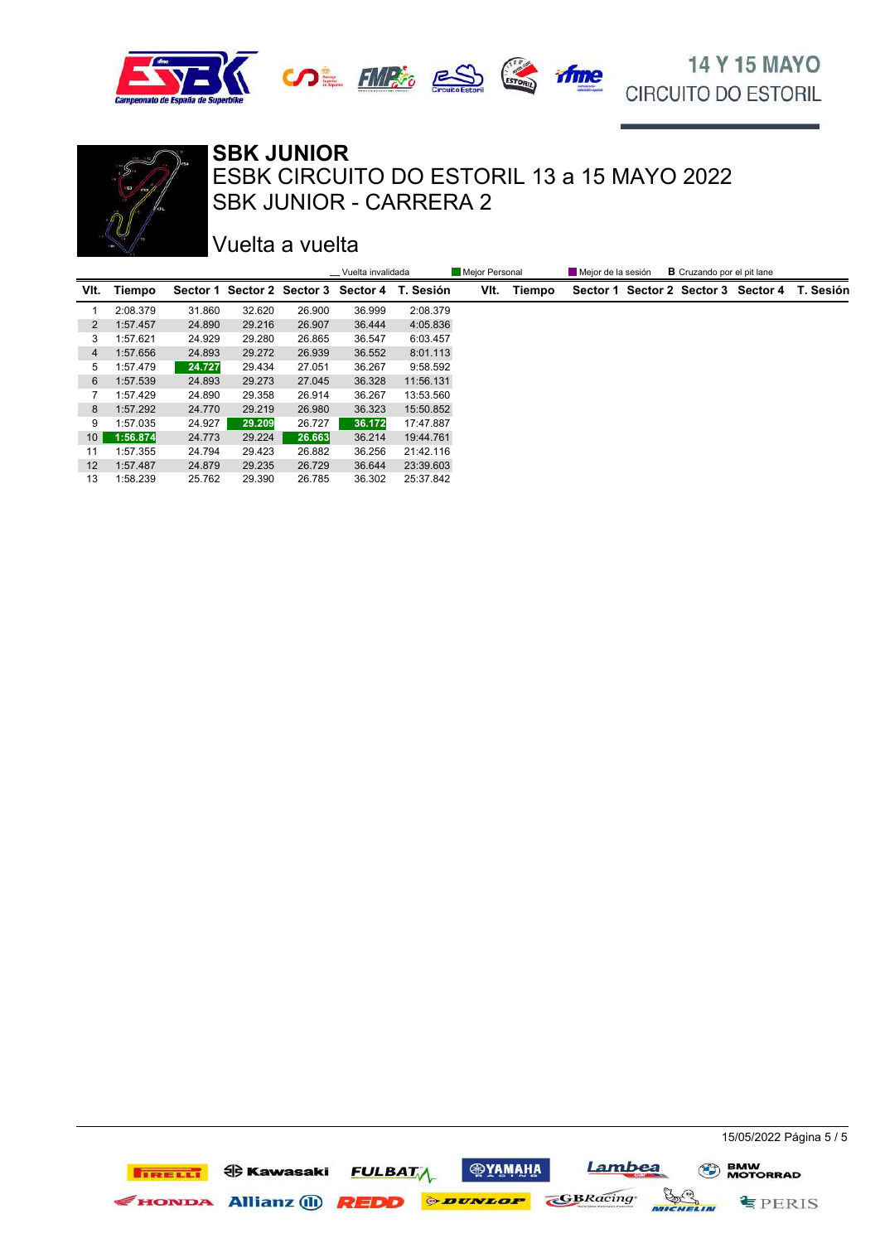





Vuelta a vuelta

|                 |          |        |        |        | __ Vuelta invalidada |                                               | Mejor Personal |        | Mejor de la sesión | <b>B</b> Cruzando por el pit lane |                                               |
|-----------------|----------|--------|--------|--------|----------------------|-----------------------------------------------|----------------|--------|--------------------|-----------------------------------|-----------------------------------------------|
| VIt.            | Tiempo   |        |        |        |                      | Sector 1 Sector 2 Sector 3 Sector 4 T. Sesión | VIt.           | Tiempo |                    |                                   | Sector 1 Sector 2 Sector 3 Sector 4 T. Sesión |
|                 | 2:08.379 | 31.860 | 32.620 | 26.900 | 36.999               | 2:08.379                                      |                |        |                    |                                   |                                               |
| 2               | 1:57.457 | 24.890 | 29.216 | 26.907 | 36.444               | 4:05.836                                      |                |        |                    |                                   |                                               |
| 3               | 1:57.621 | 24.929 | 29.280 | 26.865 | 36.547               | 6:03.457                                      |                |        |                    |                                   |                                               |
| $\overline{4}$  | 1:57.656 | 24.893 | 29.272 | 26.939 | 36.552               | 8:01.113                                      |                |        |                    |                                   |                                               |
| 5               | 1:57.479 | 24.727 | 29.434 | 27.051 | 36.267               | 9:58.592                                      |                |        |                    |                                   |                                               |
| 6               | 1:57.539 | 24.893 | 29.273 | 27.045 | 36.328               | 11:56.131                                     |                |        |                    |                                   |                                               |
| 7               | 1:57.429 | 24.890 | 29.358 | 26.914 | 36.267               | 13:53.560                                     |                |        |                    |                                   |                                               |
| 8               | 1:57.292 | 24.770 | 29.219 | 26,980 | 36.323               | 15:50.852                                     |                |        |                    |                                   |                                               |
| 9               | 1:57.035 | 24.927 | 29.209 | 26.727 | 36.172               | 17:47.887                                     |                |        |                    |                                   |                                               |
| 10 <sup>1</sup> | 1:56.874 | 24.773 | 29.224 | 26.663 | 36.214               | 19:44.761                                     |                |        |                    |                                   |                                               |
| 11              | 1:57.355 | 24.794 | 29.423 | 26.882 | 36.256               | 21:42.116                                     |                |        |                    |                                   |                                               |
| 12 <sup>2</sup> | 1:57.487 | 24.879 | 29.235 | 26.729 | 36.644               | 23:39.603                                     |                |        |                    |                                   |                                               |
| 13              | 1:58.239 | 25.762 | 29.390 | 26.785 | 36.302               | 25:37.842                                     |                |        |                    |                                   |                                               |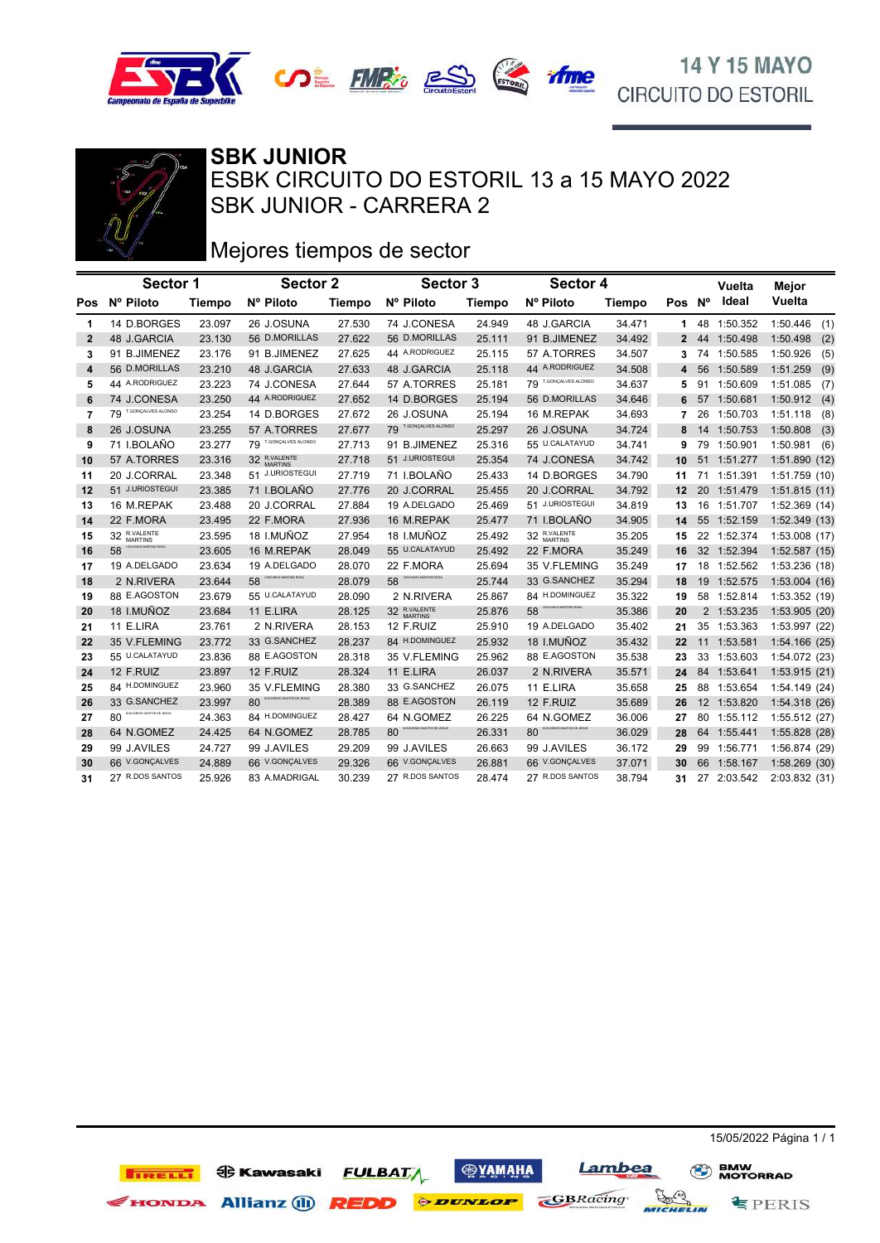



# Mejores tiempos de sector

|                | Sector 1                        |               | Sector 2                       |               | Sector 3              |        | Sector 4                      |        |              |    | Vuelta      | Mejor           |
|----------------|---------------------------------|---------------|--------------------------------|---------------|-----------------------|--------|-------------------------------|--------|--------------|----|-------------|-----------------|
|                | Pos Nº Piloto                   | <b>Tiempo</b> | Nº Piloto                      | <b>Tiempo</b> | Nº Piloto             | Tiempo | Nº Piloto                     | Tiempo | Pos Nº       |    | Ideal       | Vuelta          |
| 1              | 14 D.BORGES                     | 23.097        | 26 J.OSUNA                     | 27.530        | 74 J.CONESA           | 24.949 | 48 J.GARCIA                   | 34.471 | 1            |    | 48 1:50.352 | 1:50.446<br>(1) |
| $\mathbf{2}$   | 48 J.GARCIA                     | 23.130        | 56 D.MORILLAS                  | 27.622        | 56 D.MORILLAS         | 25.111 | 91 B.JIMENEZ                  | 34.492 | $\mathbf{2}$ | 44 | 1:50.498    | 1:50.498<br>(2) |
| 3              | 91 B.JIMENEZ                    | 23.176        | 91 B.JIMENEZ                   | 27.625        | 44 A.RODRIGUEZ        | 25.115 | 57 A.TORRES                   | 34.507 | 3            | 74 | 1:50.585    | 1:50.926<br>(5) |
| 4              | 56 D.MORILLAS                   | 23.210        | 48 J.GARCIA                    | 27.633        | 48 J.GARCIA           | 25.118 | 44 A.RODRIGUEZ                | 34.508 | 4            | 56 | 1:50.589    | 1:51.259<br>(9) |
| 5              | 44 A.RODRIGUEZ                  | 23.223        | 74 J.CONESA                    | 27.644        | 57 A.TORRES           | 25.181 | 79 T.GONÇALVES ALONSO         | 34.637 | 5            | 91 | 1:50.609    | 1:51.085<br>(7) |
| 6              | 74 J.CONESA                     | 23.250        | 44 A.RODRIGUEZ                 | 27.652        | 14 D.BORGES           | 25.194 | 56 D.MORILLAS                 | 34.646 | 6            |    | 57 1:50.681 | 1:50.912(4)     |
| $\overline{7}$ | 79 T.GONÇALVES ALONSO           | 23.254        | 14 D.BORGES                    | 27.672        | 26 J.OSUNA            | 25.194 | 16 M.REPAK                    | 34.693 | 7            | 26 | 1:50.703    | 1:51.118<br>(8) |
| 8              | 26 J.OSUNA                      | 23.255        | 57 A.TORRES                    | 27.677        | 79 T.GONÇALVES ALONSO | 25.297 | 26 J.OSUNA                    | 34.724 | 8            | 14 | 1:50.753    | 1:50.808<br>(3) |
| 9              | 71 I.BOLAÑO                     | 23.277        | 79 T.GONÇALVES ALONSO          | 27.713        | 91 B.JIMENEZ          | 25.316 | 55 U.CALATAYUD                | 34.741 | 9            | 79 | 1:50.901    | 1:50.981<br>(6) |
| 10             | 57 A.TORRES                     | 23.316        | 32 R.VALENTE                   | 27.718        | 51 J.URIOSTEGUI       | 25.354 | 74 J.CONESA                   | 34.742 | 10           | 51 | 1:51.277    | 1:51.890 (12)   |
| 11             | 20 J.CORRAL                     | 23.348        | 51 J.URIOSTEGUI                | 27.719        | 71 I.BOLAÑO           | 25.433 | 14 D.BORGES                   | 34.790 | 11           |    | 71 1:51.391 | 1:51.759(10)    |
| 12             | 51 J.URIOSTEGUI                 | 23.385        | 71 I.BOLAÑO                    | 27.776        | 20 J.CORRAL           | 25.455 | 20 J.CORRAL                   | 34.792 | 12           |    | 20 1:51.479 | 1:51.815(11)    |
| 13             | 16 M.REPAK                      | 23.488        | 20 J.CORRAL                    | 27.884        | 19 A.DELGADO          | 25.469 | 51 J.URIOSTEGUI               | 34.819 | 13           | 16 | 1:51.707    | 1:52.369 (14)   |
| 14             | 22 F.MORA                       | 23.495        | 22 F.MORA                      | 27.936        | 16 M.REPAK            | 25.477 | 71 I.BOLAÑO                   | 34.905 | 14           |    | 55 1:52.159 | 1:52.349 (13)   |
| 15             | 32 R.VALENTE                    | 23.595        | 18 I.MUÑOZ                     | 27.954        | 18 I.MUÑOZ            | 25.492 | 32 R.VALENTE                  | 35.205 | 15           |    | 22 1:52.374 | 1:53.008 (17)   |
| 16             | NHO MARTINS ROSA<br>58          | 23.605        | 16 M.REPAK                     | 28.049        | 55 U.CALATAYUD        | 25.492 | 22 F.MORA                     | 35.249 | 16           |    | 32 1:52.394 | 1:52.587(15)    |
| 17             | 19 A.DELGADO                    | 23.634        | 19 A.DELGADO                   | 28.070        | 22 F.MORA             | 25.694 | 35 V.FLEMING                  | 35.249 | 17           | 18 | 1:52.562    | 1:53.236 (18)   |
| 18             | 2 N.RIVERA                      | 23.644        | 58                             | 28.079        | 58                    | 25.744 | 33 G.SANCHEZ                  | 35.294 | 18           |    | 19 1:52.575 | 1:53.004(16)    |
| 19             | 88 E.AGOSTON                    | 23.679        | 55 U.CALATAYUD                 | 28.090        | 2 N.RIVERA            | 25.867 | 84 H.DOMINGUEZ                | 35.322 | 19           |    | 58 1:52.814 | 1:53.352 (19)   |
| 20             | 18 I.MUÑOZ                      | 23.684        | 11 E.LIRA                      | 28.125        | 32 R.VALENTE          | 25.876 | IVINHO MARTINS ROSA<br>58     | 35.386 | 20           |    | 2 1:53.235  | 1:53.905 (20)   |
| 21             | 11 E.LIRA                       | 23.761        | 2 N.RIVERA                     | 28.153        | 12 F.RUIZ             | 25.910 | 19 A.DELGADO                  | 35.402 | 21           |    | 35 1:53.363 | 1:53.997 (22)   |
| 22             | 35 V.FLEMING                    | 23.772        | 33 G.SANCHEZ                   | 28.237        | 84 H.DOMINGUEZ        | 25.932 | 18 I.MUÑOZ                    | 35.432 | 22           | 11 | 1:53.581    | 1:54.166(25)    |
| 23             | 55 U.CALATAYUD                  | 23.836        | 88 E.AGOSTON                   | 28.318        | 35 V.FLEMING          | 25.962 | 88 E.AGOSTON                  | 35.538 | 23           | 33 | 1:53.603    | 1:54.072 (23)   |
| 24             | 12 F.RUIZ                       | 23.897        | 12 F.RUIZ                      | 28.324        | 11 E.LIRA             | 26.037 | 2 N.RIVERA                    | 35.571 | 24           | 84 | 1:53.641    | 1:53.915 (21)   |
| 25             | 84 H.DOMINGUEZ                  | 23.960        | 35 V.FLEMING                   | 28.380        | 33 G.SANCHEZ          | 26.075 | 11 E.LIRA                     | 35.658 | 25           |    | 88 1:53.654 | 1:54.149 (24)   |
| 26             | 33 G.SANCHEZ                    | 23.997        | MEUGENIO SANTOS DE JESUS<br>80 | 28.389        | 88 E.AGOSTON          | 26.119 | 12 F.RUIZ                     | 35.689 | 26           |    | 12 1:53.820 | 1:54.318(26)    |
| 27             | M.EUGENIO SANTOS DE JESUS<br>80 | 24.363        | 84 H.DOMINGUEZ                 | 28.427        | 64 N.GOMEZ            | 26.225 | 64 N.GOMEZ                    | 36.006 | 27           | 80 | 1:55.112    | 1:55.512 (27)   |
| 28             | 64 N.GOMEZ                      | 24.425        | 64 N.GOMEZ                     | 28.785        | 80                    | 26.331 | EUGENIO SANTOS DE JESUS<br>80 | 36.029 | 28           | 64 | 1:55.441    | 1:55.828 (28)   |
| 29             | 99 J.AVILES                     | 24.727        | 99 J.AVILES                    | 29.209        | 99 J.AVILES           | 26.663 | 99 J.AVILES                   | 36.172 | 29           |    | 99 1:56.771 | 1:56.874 (29)   |
| 30             | 66 V.GONÇALVES                  | 24.889        | <b>RR V.GONÇALVES</b>          | 29.326        | 66 V.GONÇALVES        | 26.881 | 66 V.GONÇALVES                | 37.071 | 30           | 66 | 1:58.167    | 1:58.269(30)    |
| 31             | 27 R.DOS SANTOS                 | 25.926        | 83 A.MADRIGAL                  | 30.239        | 27 R.DOS SANTOS       | 28.474 | 27 R.DOS SANTOS               | 38.794 | 31           |    | 27 2:03.542 | 2:03.832(31)    |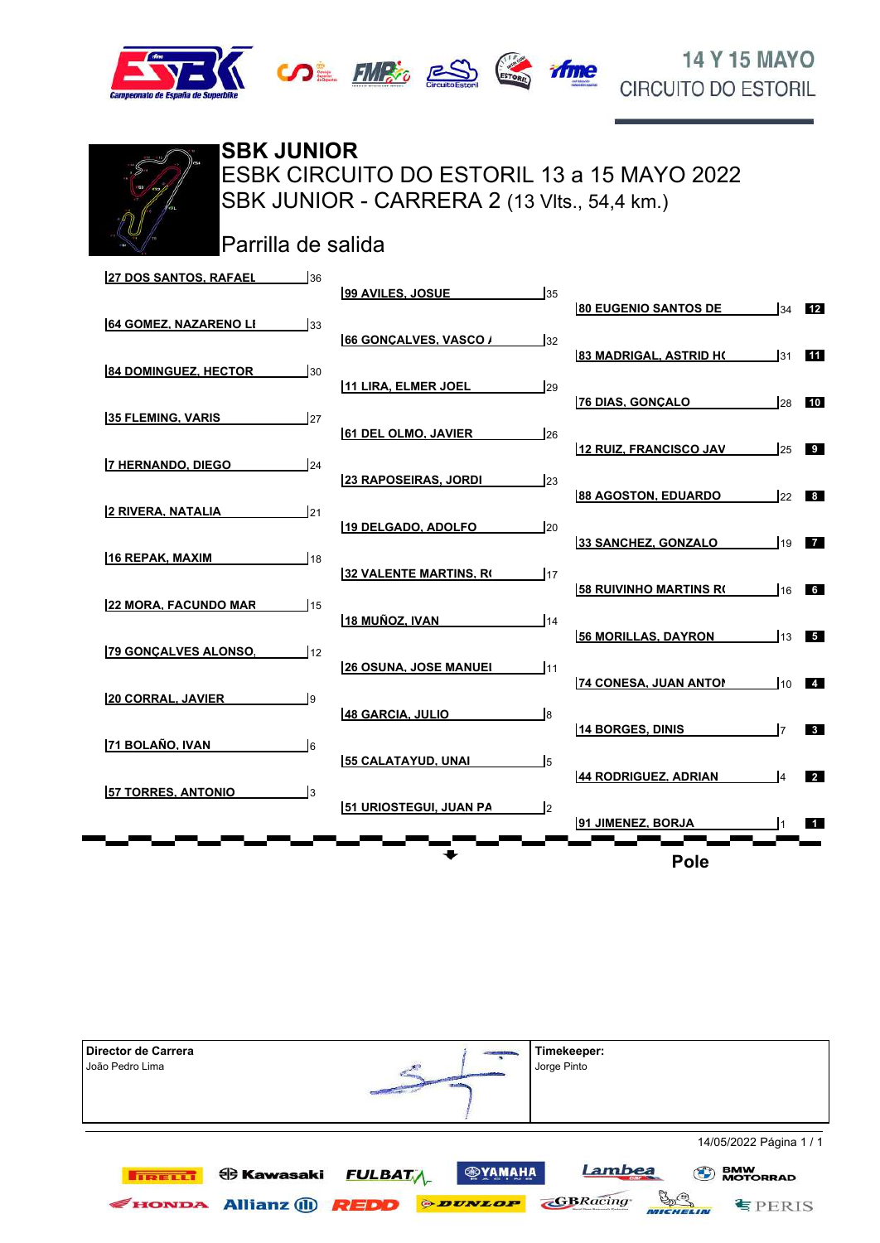





SBK JUNIOR - CARRERA 2 (13 Vits., 54,4 km.) ESBK CIRCUITO DO ESTORIL 13 a 15 MAYO 2022 **SBK JUNIOR**

Parrilla de salida

| <b>27 DOS SANTOS, RAFAEL</b><br>36 | 99 AVILES, JOSUE              | 35              |                               |     |                |
|------------------------------------|-------------------------------|-----------------|-------------------------------|-----|----------------|
| <b>64 GOMEZ, NAZARENO LI</b><br>33 | 66 GONCALVES, VASCO /         | 132             | <b>80 EUGENIO SANTOS DE</b>   | 34  | 12             |
| <b>84 DOMINGUEZ, HECTOR</b><br>30  | 11 LIRA. ELMER JOEL           | 129             | <b>83 MADRIGAL, ASTRID H(</b> | 31  | 11             |
| <b>35 FLEMING, VARIS</b><br>27     |                               |                 | 76 DIAS, GONCALO              | 28  | 10             |
| 7 HERNANDO, DIEGO<br>24            | <b>61 DEL OLMO, JAVIER</b>    | $\frac{1}{26}$  | 12 RUIZ, FRANCISCO JAV        | 25  | $\overline{9}$ |
| <b>2 RIVERA, NATALIA</b><br>21     | <b>23 RAPOSEIRAS. JORDI</b>   | <b>23</b>       | 88 AGOSTON. EDUARDO           | 22  | 8 <sup>1</sup> |
|                                    | 19 DELGADO, ADOLFO            | 120             | 33 SANCHEZ, GONZALO           | 19  | $\blacksquare$ |
| 16 REPAK, MAXIM<br>18              | 32 VALENTE MARTINS, RO        | 117             | <b>58 RUIVINHO MARTINS RO</b> | 16  | 6 <sup>1</sup> |
| <b>22 MORA. FACUNDO MAR</b><br>15  | 18 MUÑOZ, IVAN                | 14 <sub>4</sub> | <b>56 MORILLAS, DAYRON</b>    | 13  | 5              |
| <b>79 GONCALVES ALONSO.</b><br>12  | <b>26 OSUNA, JOSE MANUEL</b>  | 111             |                               |     |                |
| <b>20 CORRAL, JAVIER</b><br>l9     | 48 GARCIA. JULIO              | $\mathsf{I}$ 8  | <b>74 CONESA, JUAN ANTON</b>  | 110 | $\blacksquare$ |
| 171 BOLAÑO. IVAN<br>l6             | <b>55 CALATAYUD, UNAI</b>     | l5              | <b>14 BORGES, DINIS</b>       | l7  | 3 <sup>1</sup> |
| <b>57 TORRES, ANTONIO</b><br>l3    |                               |                 | 44 RODRIGUEZ, ADRIAN          | I۵  | $\sqrt{2}$     |
|                                    | <b>51 URIOSTEGUI, JUAN PA</b> | $\mathsf{I}2$   | 91 JIMENEZ. BORJA             |     | $\blacksquare$ |
|                                    |                               |                 | <b>Pole</b>                   |     |                |

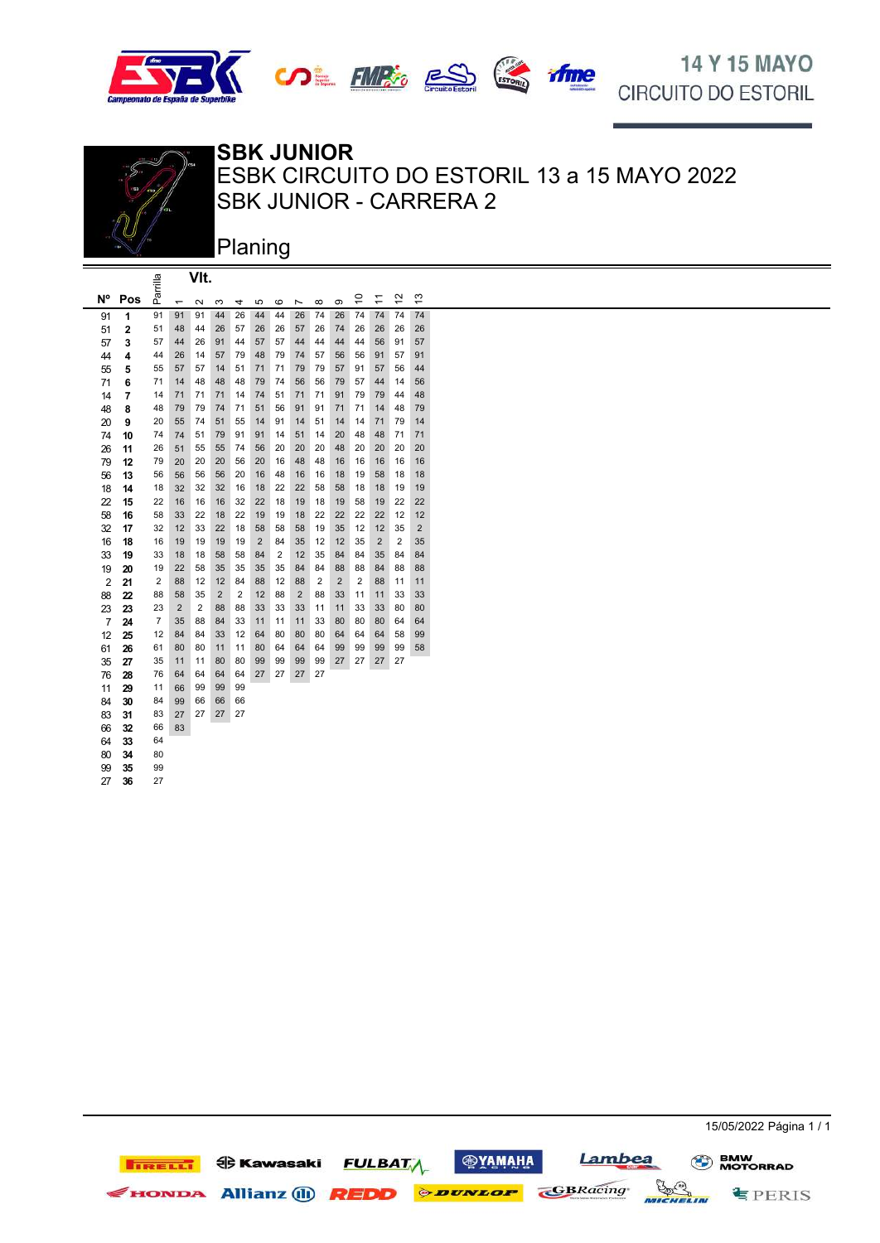







### **SBK JUNIOR**

SBK JUNIOR - CARRERA 2 ESBK CIRCUITO DO ESTORIL 13 a 15 MAYO 2022

Planing

|                |                         |                |                          | VIt.           |                |                |                |                |                |                |                |                         |                         |                |                |  |
|----------------|-------------------------|----------------|--------------------------|----------------|----------------|----------------|----------------|----------------|----------------|----------------|----------------|-------------------------|-------------------------|----------------|----------------|--|
| N°             | Pos                     | Parrilla       | $\overline{\phantom{0}}$ | 2              | ო              | 4              | 5              | ဖ              | r              | $\infty$       | σ              | $\frac{0}{1}$           | $\overline{\mathbf{r}}$ | 57             | $\frac{3}{2}$  |  |
| 91             | 1                       | 91             | 91                       | 91             | 44             | 26             | 44             | 44             | 26             | 74             | 26             | 74                      | 74                      | 74             | 74             |  |
| 51             | $\overline{\mathbf{c}}$ | 51             | 48                       | 44             | 26             | 57             | 26             | 26             | 57             | 26             | 74             | 26                      | 26                      | 26             | 26             |  |
| 57             | 3                       | 57             | 44                       | 26             | 91             | 44             | 57             | 57             | 44             | 44             | 44             | 44                      | 56                      | 91             | 57             |  |
| 44             | 4                       | 44             | 26                       | 14             | 57             | 79             | 48             | 79             | 74             | 57             | 56             | 56                      | 91                      | 57             | 91             |  |
| 55             | 5                       | 55             | 57                       | 57             | 14             | 51             | 71             | 71             | 79             | 79             | 57             | 91                      | 57                      | 56             | 44             |  |
| 71             | 6                       | 71             | 14                       | 48             | 48             | 48             | 79             | 74             | 56             | 56             | 79             | 57                      | 44                      | 14             | 56             |  |
| 14             | 7                       | 14             | 71                       | 71             | 71             | 14             | 74             | 51             | 71             | 71             | 91             | 79                      | 79                      | 44             | 48             |  |
| 48             | 8                       | 48             | 79                       | 79             | 74             | 71             | 51             | 56             | 91             | 91             | 71             | 71                      | 14                      | 48             | 79             |  |
| 20             | 9                       | 20             | 55                       | 74             | 51             | 55             | 14             | 91             | 14             | 51             | 14             | 14                      | 71                      | 79             | 14             |  |
| 74             | 10                      | 74             | 74                       | 51             | 79             | 91             | 91             | 14             | 51             | 14             | 20             | 48                      | 48                      | 71             | 71             |  |
| 26             | 11                      | 26             | 51                       | 55             | 55             | 74             | 56             | 20             | 20             | 20             | 48             | 20                      | 20                      | 20             | 20             |  |
| 79             | 12                      | 79             | 20                       | 20             | 20             | 56             | 20             | 16             | 48             | 48             | 16             | 16                      | 16                      | 16             | 16             |  |
| 56             | 13                      | 56             | 56                       | 56             | 56             | 20             | 16             | 48             | 16             | 16             | 18             | 19                      | 58                      | 18             | 18             |  |
| 18             | 14                      | 18             | 32                       | 32             | 32             | 16             | 18             | 22             | 22             | 58             | 58             | 18                      | 18                      | 19             | 19             |  |
| 22             | 15                      | 22             | 16                       | 16             | 16             | 32             | 22             | 18             | 19             | 18             | 19             | 58                      | 19                      | 22             | 22             |  |
| 58             | 16                      | 58             | 33                       | 22             | 18             | 22             | 19             | 19             | 18             | 22             | 22             | 22                      | 22                      | 12             | 12             |  |
| 32             | 17                      | 32             | 12                       | 33             | 22             | 18             | 58             | 58             | 58             | 19             | 35             | 12                      | 12                      | 35             | $\overline{2}$ |  |
| 16             | 18                      | 16             | 19                       | 19             | 19             | 19             | $\overline{2}$ | 84             | 35             | 12             | 12             | 35                      | $\overline{2}$          | $\overline{2}$ | 35             |  |
| 33             | 19                      | 33             | 18                       | 18             | 58             | 58             | 84             | $\overline{2}$ | 12             | 35             | 84             | 84                      | 35                      | 84             | 84             |  |
| 19             | 20                      | 19             | 22                       | 58             | 35             | 35             | 35             | 35             | 84             | 84             | 88             | 88                      | 84                      | 88             | 88             |  |
| $\overline{2}$ | 21                      | 2              | 88                       | 12             | 12             | 84             | 88             | 12             | 88             | $\overline{2}$ | $\overline{2}$ | $\overline{\mathbf{c}}$ | 88                      | 11             | 11             |  |
| 88             | 22                      | 88             | 58                       | 35             | $\overline{2}$ | $\overline{c}$ | 12             | 88             | $\overline{2}$ | 88             | 33             | 11                      | 11                      | 33             | 33             |  |
| 23             | 23                      | 23             | $\overline{2}$           | $\overline{2}$ | 88             | 88             | 33             | 33             | 33             | 11             | 11             | 33                      | 33                      | 80             | 80             |  |
| $\overline{7}$ | 24                      | $\overline{7}$ | 35                       | 88             | 84             | 33             | 11             | 11             | 11             | 33             | 80             | 80                      | 80                      | 64             | 64             |  |
| 12             | 25                      | 12             | 84                       | 84             | 33             | 12             | 64             | 80             | 80             | 80             | 64             | 64                      | 64                      | 58             | 99             |  |
| 61             | 26                      | 61             | 80                       | 80             | 11             | 11             | 80             | 64             | 64             | 64             | 99             | 99                      | 99                      | 99             | 58             |  |
| 35             | 27                      | 35             | 11                       | 11             | 80             | 80             | 99             | 99             | 99             | 99             | 27             | 27                      | 27                      | 27             |                |  |
| 76             | 28                      | 76             | 64                       | 64             | 64             | 64             | 27             | 27             | 27             | 27             |                |                         |                         |                |                |  |
| 11             | 29                      | 11             | 66                       | 99             | 99             | 99             |                |                |                |                |                |                         |                         |                |                |  |
| 84             | 30                      | 84             | 99                       | 66             | 66             | 66             |                |                |                |                |                |                         |                         |                |                |  |
| 83             | 31                      | 83             | 27                       | 27             | 27             | 27             |                |                |                |                |                |                         |                         |                |                |  |
| 66             | 32                      | 66             | 83                       |                |                |                |                |                |                |                |                |                         |                         |                |                |  |
| 64             | 33                      | 64             |                          |                |                |                |                |                |                |                |                |                         |                         |                |                |  |
| 80             | 34                      | 80             |                          |                |                |                |                |                |                |                |                |                         |                         |                |                |  |
| 99             | 35                      | 99             |                          |                |                |                |                |                |                |                |                |                         |                         |                |                |  |
| 27             | 36                      | 27             |                          |                |                |                |                |                |                |                |                |                         |                         |                |                |  |

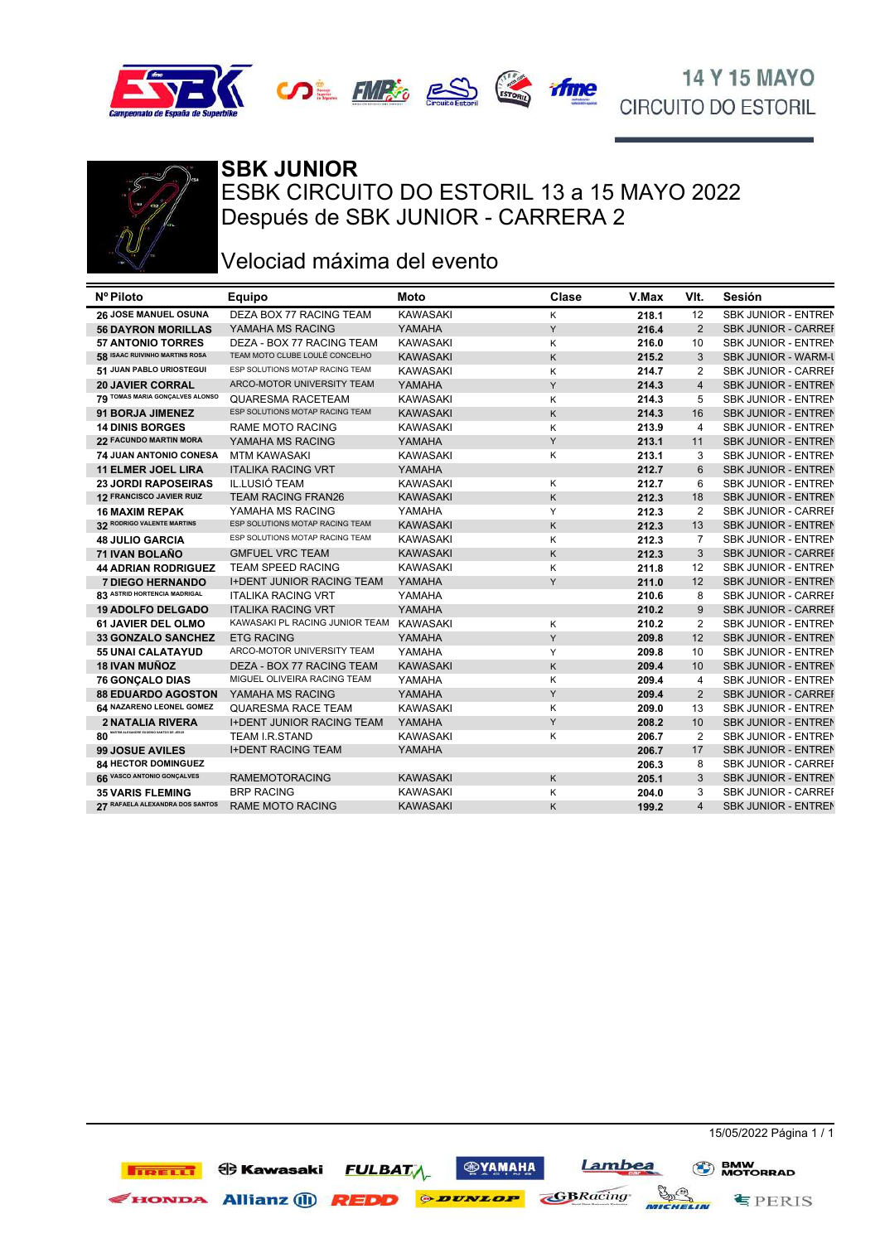







# **SBK JUNIOR**

ESBK CIRCUITO DO ESTORIL 13 a 15 MAYO 2022 Después de SBK JUNIOR - CARRERA 2

### Velociad máxima del evento

| Nº Piloto                                 | Equipo                           | Moto            | Clase | V.Max | VIt.                    | Sesión                     |
|-------------------------------------------|----------------------------------|-----------------|-------|-------|-------------------------|----------------------------|
| <b>26 JOSE MANUEL OSUNA</b>               | DEZA BOX 77 RACING TEAM          | <b>KAWASAKI</b> | K     | 218.1 | 12                      | <b>SBK JUNIOR - ENTREN</b> |
| <b>56 DAYRON MORILLAS</b>                 | YAMAHA MS RACING                 | YAMAHA          | Y     | 216.4 | 2                       | <b>SBK JUNIOR - CARREI</b> |
| <b>57 ANTONIO TORRES</b>                  | DEZA - BOX 77 RACING TEAM        | <b>KAWASAKI</b> | K     | 216.0 | 10                      | <b>SBK JUNIOR - ENTREN</b> |
| 58 ISAAC RUIVINHO MARTINS ROSA            | TEAM MOTO CLUBE LOULÉ CONCELHO   | <b>KAWASAKI</b> | K     | 215.2 | 3                       | <b>SBK JUNIOR - WARM-U</b> |
| 51 JUAN PABLO URIOSTEGUI                  | ESP SOLUTIONS MOTAP RACING TEAM  | <b>KAWASAKI</b> | K     | 214.7 | $\overline{2}$          | <b>SBK JUNIOR - CARREI</b> |
| <b>20 JAVIER CORRAL</b>                   | ARCO-MOTOR UNIVERSITY TEAM       | YAMAHA          | Y     | 214.3 | $\overline{4}$          | <b>SBK JUNIOR - ENTREN</b> |
| 79 TOMAS MARIA GONÇALVES ALONSO           | QUARESMA RACETEAM                | <b>KAWASAKI</b> | K     | 214.3 | 5                       | SBK JUNIOR - ENTREN        |
| 91 BORJA JIMENEZ                          | ESP SOLUTIONS MOTAP RACING TEAM  | <b>KAWASAKI</b> | Κ     | 214.3 | 16                      | <b>SBK JUNIOR - ENTREN</b> |
| <b>14 DINIS BORGES</b>                    | <b>RAME MOTO RACING</b>          | <b>KAWASAKI</b> | K     | 213.9 | $\overline{4}$          | <b>SBK JUNIOR - ENTREN</b> |
| 22 FACUNDO MARTIN MORA                    | YAMAHA MS RACING                 | YAMAHA          | Y     | 213.1 | 11                      | <b>SBK JUNIOR - ENTREN</b> |
| 74 JUAN ANTONIO CONESA                    | <b>MTM KAWASAKI</b>              | <b>KAWASAKI</b> | K     | 213.1 | 3                       | SBK JUNIOR - ENTREN        |
| <b>11 ELMER JOEL LIRA</b>                 | <b>ITALIKA RACING VRT</b>        | YAMAHA          |       | 212.7 | 6                       | <b>SBK JUNIOR - ENTREN</b> |
| <b>23 JORDI RAPOSEIRAS</b>                | IL.LUSIÓ TEAM                    | <b>KAWASAKI</b> | K     | 212.7 | 6                       | <b>SBK JUNIOR - ENTREN</b> |
| 12 FRANCISCO JAVIER RUIZ                  | <b>TEAM RACING FRAN26</b>        | <b>KAWASAKI</b> | K     | 212.3 | 18                      | <b>SBK JUNIOR - ENTREN</b> |
| <b>16 MAXIM REPAK</b>                     | YAMAHA MS RACING                 | YAMAHA          | Y     | 212.3 | $\overline{2}$          | <b>SBK JUNIOR - CARREI</b> |
| 32 RODRIGO VALENTE MARTINS                | ESP SOLUTIONS MOTAP RACING TEAM  | <b>KAWASAKI</b> | K     | 212.3 | 13                      | <b>SBK JUNIOR - ENTREN</b> |
| <b>48 JULIO GARCIA</b>                    | ESP SOLUTIONS MOTAP RACING TEAM  | <b>KAWASAKI</b> | K     | 212.3 | $\overline{7}$          | <b>SBK JUNIOR - ENTREN</b> |
| 71 IVAN BOLAÑO                            | <b>GMFUEL VRC TEAM</b>           | <b>KAWASAKI</b> | K     | 212.3 | 3                       | <b>SBK JUNIOR - CARREI</b> |
| <b>44 ADRIAN RODRIGUEZ</b>                | TEAM SPEED RACING                | <b>KAWASAKI</b> | K     | 211.8 | 12                      | <b>SBK JUNIOR - ENTREN</b> |
| <b>7 DIEGO HERNANDO</b>                   | <b>I+DENT JUNIOR RACING TEAM</b> | YAMAHA          | Y     | 211.0 | 12                      | <b>SBK JUNIOR - ENTREN</b> |
| 83 ASTRID HORTENCIA MADRIGAL              | <b>ITALIKA RACING VRT</b>        | YAMAHA          |       | 210.6 | 8                       | <b>SBK JUNIOR - CARREI</b> |
| <b>19 ADOLFO DELGADO</b>                  | <b>ITALIKA RACING VRT</b>        | YAMAHA          |       | 210.2 | 9                       | <b>SBK JUNIOR - CARREI</b> |
| 61 JAVIER DEL OLMO                        | KAWASAKI PL RACING JUNIOR TEAM   | <b>KAWASAKI</b> | Κ     | 210.2 | $\overline{2}$          | <b>SBK JUNIOR - ENTREN</b> |
| <b>33 GONZALO SANCHEZ</b>                 | <b>ETG RACING</b>                | YAMAHA          | Y     | 209.8 | 12                      | <b>SBK JUNIOR - ENTREN</b> |
| <b>55 UNAI CALATAYUD</b>                  | ARCO-MOTOR UNIVERSITY TEAM       | YAMAHA          | Y     | 209.8 | 10                      | <b>SBK JUNIOR - ENTREN</b> |
| <b>18 IVAN MUÑOZ</b>                      | DEZA - BOX 77 RACING TEAM        | <b>KAWASAKI</b> | Κ     | 209.4 | 10                      | <b>SBK JUNIOR - ENTREN</b> |
| 76 GONÇALO DIAS                           | MIGUEL OLIVEIRA RACING TEAM      | YAMAHA          | Κ     | 209.4 | $\overline{4}$          | SBK JUNIOR - ENTREN        |
| <b>88 EDUARDO AGOSTON</b>                 | YAMAHA MS RACING                 | YAMAHA          | Y     | 209.4 | $\overline{2}$          | <b>SBK JUNIOR - CARREI</b> |
| 64 NAZARENO LEONEL GOMEZ                  | <b>QUARESMA RACE TEAM</b>        | <b>KAWASAKI</b> | K     | 209.0 | 13                      | SBK JUNIOR - ENTREN        |
| <b>2 NATALIA RIVERA</b>                   | <b>I+DENT JUNIOR RACING TEAM</b> | YAMAHA          | Y     | 208.2 | 10                      | <b>SBK JUNIOR - ENTREN</b> |
| M ALEXANDRE EUGENIO SANTOS DE JESUS<br>80 | <b>TEAM I.R.STAND</b>            | <b>KAWASAKI</b> | Κ     | 206.7 | $\overline{2}$          | <b>SBK JUNIOR - ENTREN</b> |
| <b>99 JOSUE AVILES</b>                    | <b>I+DENT RACING TEAM</b>        | YAMAHA          |       | 206.7 | 17                      | <b>SBK JUNIOR - ENTREN</b> |
| 84 HECTOR DOMINGUEZ                       |                                  |                 |       | 206.3 | 8                       | <b>SBK JUNIOR - CARREI</b> |
| 66 VASCO ANTONIO GONÇALVES                | <b>RAMEMOTORACING</b>            | <b>KAWASAKI</b> | K     | 205.1 | 3                       | <b>SBK JUNIOR - ENTREN</b> |
| <b>35 VARIS FLEMING</b>                   | <b>BRP RACING</b>                | <b>KAWASAKI</b> | K     | 204.0 | 3                       | <b>SBK JUNIOR - CARREI</b> |
| 27 RAFAELA ALEXANDRA DOS SANTOS           | <b>RAME MOTO RACING</b>          | <b>KAWASAKI</b> | K     | 199.2 | $\overline{\mathbf{A}}$ | <b>SBK JUNIOR - ENTREN</b> |

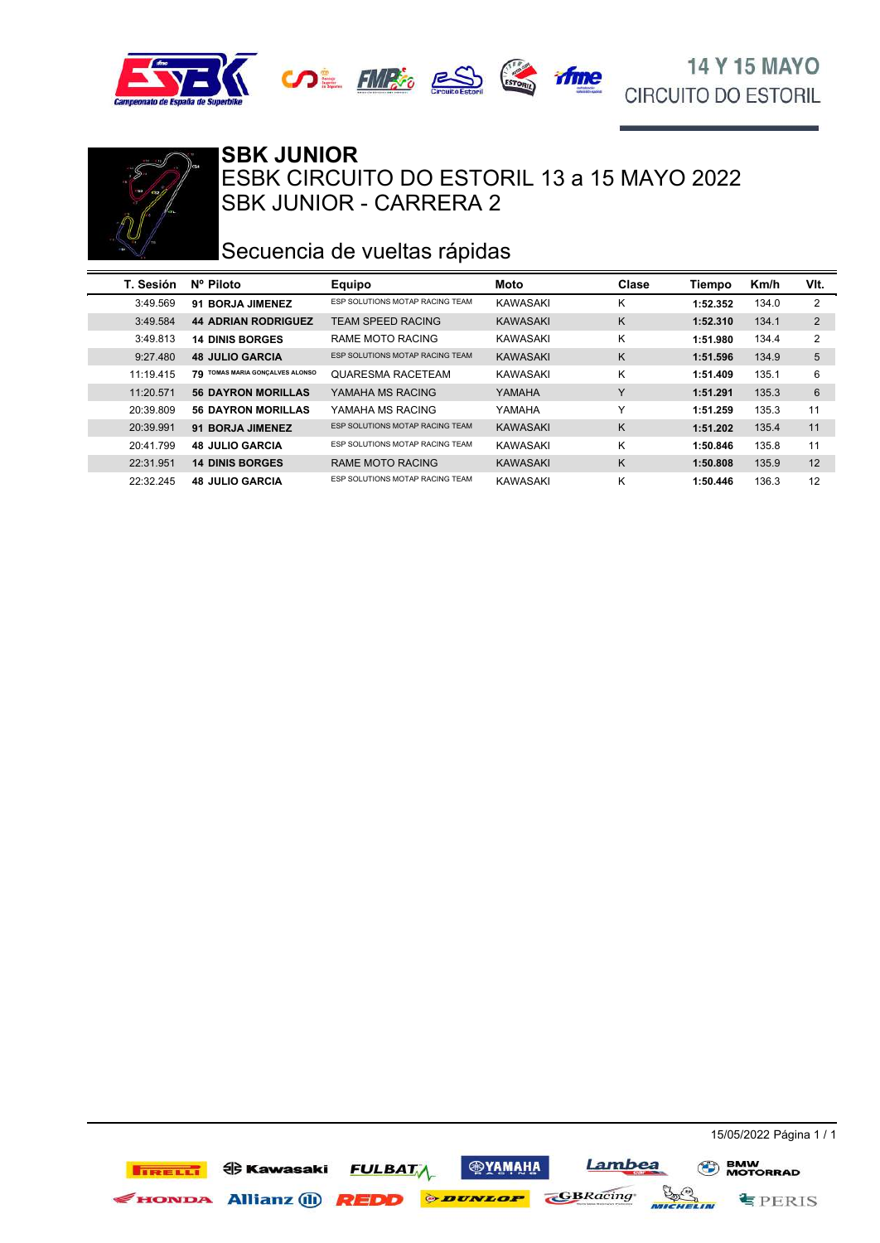





### SBK JUNIOR - CARRERA 2 ESBK CIRCUITO DO ESTORIL 13 a 15 MAYO 2022 **SBK JUNIOR**

### Secuencia de vueltas rápidas

| T. Sesión | Nº Piloto                       | <b>Equipo</b>                   | Moto            | Clase        | Tiempo   | Km/h  | VIt.           |
|-----------|---------------------------------|---------------------------------|-----------------|--------------|----------|-------|----------------|
| 3:49.569  | 91 BORJA JIMENEZ                | ESP SOLUTIONS MOTAP RACING TEAM | KAWASAKI        | κ            | 1:52.352 | 134.0 | 2              |
| 3:49.584  | <b>44 ADRIAN RODRIGUEZ</b>      | <b>TEAM SPEED RACING</b>        | <b>KAWASAKI</b> | K            | 1:52.310 | 134.1 | $\overline{2}$ |
| 3:49.813  | <b>14 DINIS BORGES</b>          | RAME MOTO RACING                | KAWASAKI        | Κ            | 1:51.980 | 134.4 | 2              |
| 9:27.480  | <b>48 JULIO GARCIA</b>          | ESP SOLUTIONS MOTAP RACING TEAM | <b>KAWASAKI</b> | K            | 1:51.596 | 134.9 | 5              |
| 11:19.415 | 79 TOMAS MARIA GONÇALVES ALONSO | <b>QUARESMA RACETEAM</b>        | KAWASAKI        | Κ            | 1:51.409 | 135.1 | 6              |
| 11:20.571 | <b>56 DAYRON MORILLAS</b>       | YAMAHA MS RACING                | YAMAHA          | $\checkmark$ | 1:51.291 | 135.3 | 6              |
| 20:39.809 | <b>56 DAYRON MORILLAS</b>       | YAMAHA MS RACING                | YAMAHA          | $\checkmark$ | 1:51.259 | 135.3 | 11             |
| 20:39.991 | 91 BORJA JIMENEZ                | ESP SOLUTIONS MOTAP RACING TEAM | <b>KAWASAKI</b> | K            | 1:51.202 | 135.4 | 11             |
| 20:41.799 | <b>48 JULIO GARCIA</b>          | ESP SOLUTIONS MOTAP RACING TEAM | KAWASAKI        | Κ            | 1:50.846 | 135.8 | 11             |
| 22:31.951 | <b>14 DINIS BORGES</b>          | RAME MOTO RACING                | <b>KAWASAKI</b> | K            | 1:50.808 | 135.9 | 12             |
| 22:32.245 | <b>48 JULIO GARCIA</b>          | ESP SOLUTIONS MOTAP RACING TEAM | KAWASAKI        | Κ            | 1:50.446 | 136.3 | 12             |